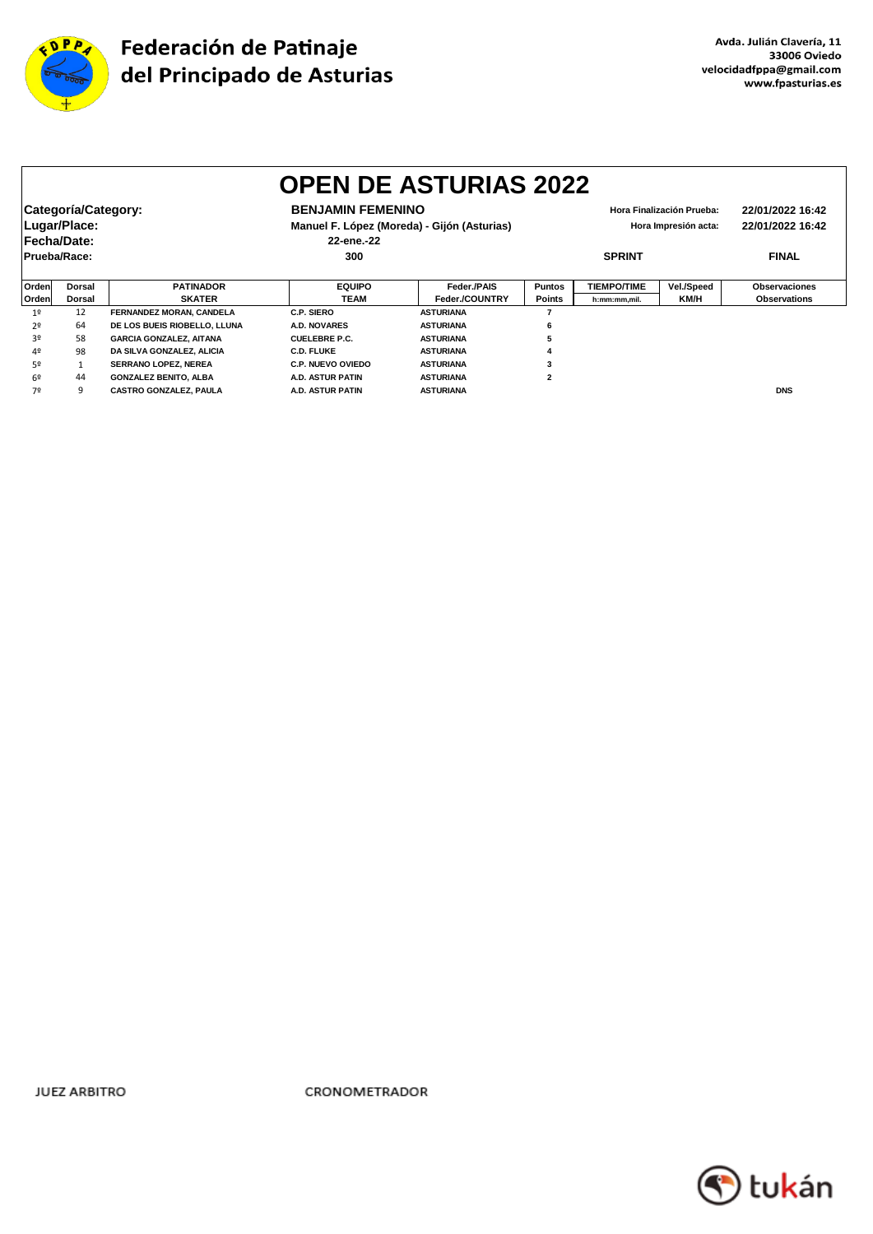

|                | <b>OPEN DE ASTURIAS 2022</b>                       |                                 |                                                                                                                                            |                  |               |                    |                                      |                      |  |  |
|----------------|----------------------------------------------------|---------------------------------|--------------------------------------------------------------------------------------------------------------------------------------------|------------------|---------------|--------------------|--------------------------------------|----------------------|--|--|
|                | Categoría/Category:<br>Lugar/Place:<br>Fecha/Date: |                                 | <b>BENJAMIN FEMENINO</b><br>Hora Finalización Prueba:<br>Manuel F. López (Moreda) - Gijón (Asturias)<br>Hora Impresión acta:<br>22-ene.-22 |                  |               |                    | 22/01/2022 16:42<br>22/01/2022 16:42 |                      |  |  |
| Prueba/Race:   |                                                    |                                 | 300                                                                                                                                        |                  | <b>SPRINT</b> |                    | <b>FINAL</b>                         |                      |  |  |
| Orden          | <b>Dorsal</b>                                      | <b>PATINADOR</b>                | <b>EQUIPO</b>                                                                                                                              | Feder./PAIS      | <b>Puntos</b> | <b>TIEMPO/TIME</b> | Vel./Speed                           | <b>Observaciones</b> |  |  |
| Orden          | Dorsal                                             | <b>SKATER</b>                   | <b>TEAM</b>                                                                                                                                | Feder./COUNTRY   | Points        | h:mm:mm,mil.       | KM/H                                 | <b>Observations</b>  |  |  |
| 1 <sup>0</sup> | 12                                                 | <b>FERNANDEZ MORAN, CANDELA</b> | C.P. SIERO                                                                                                                                 | <b>ASTURIANA</b> |               |                    |                                      |                      |  |  |
| 2º             | 64                                                 | DE LOS BUEIS RIOBELLO, LLUNA    | <b>A.D. NOVARES</b>                                                                                                                        | <b>ASTURIANA</b> | 6             |                    |                                      |                      |  |  |
| 30             | 58                                                 | <b>GARCIA GONZALEZ, AITANA</b>  | <b>CUELEBRE P.C.</b>                                                                                                                       | <b>ASTURIANA</b> |               |                    |                                      |                      |  |  |
| 4º             | 98                                                 | DA SILVA GONZALEZ, ALICIA       | <b>C.D. FLUKE</b>                                                                                                                          | <b>ASTURIANA</b> |               |                    |                                      |                      |  |  |
| 5º             |                                                    | SERRANO LOPEZ, NEREA            | <b>C.P. NUEVO OVIEDO</b>                                                                                                                   | <b>ASTURIANA</b> | 3             |                    |                                      |                      |  |  |
| 6º             | 44                                                 | <b>GONZALEZ BENITO, ALBA</b>    | <b>A.D. ASTUR PATIN</b>                                                                                                                    | <b>ASTURIANA</b> | $\mathbf{2}$  |                    |                                      |                      |  |  |
| 7º             | q                                                  | <b>CASTRO GONZALEZ, PAULA</b>   | <b>A.D. ASTUR PATIN</b>                                                                                                                    | <b>ASTURIANA</b> |               |                    |                                      | <b>DNS</b>           |  |  |

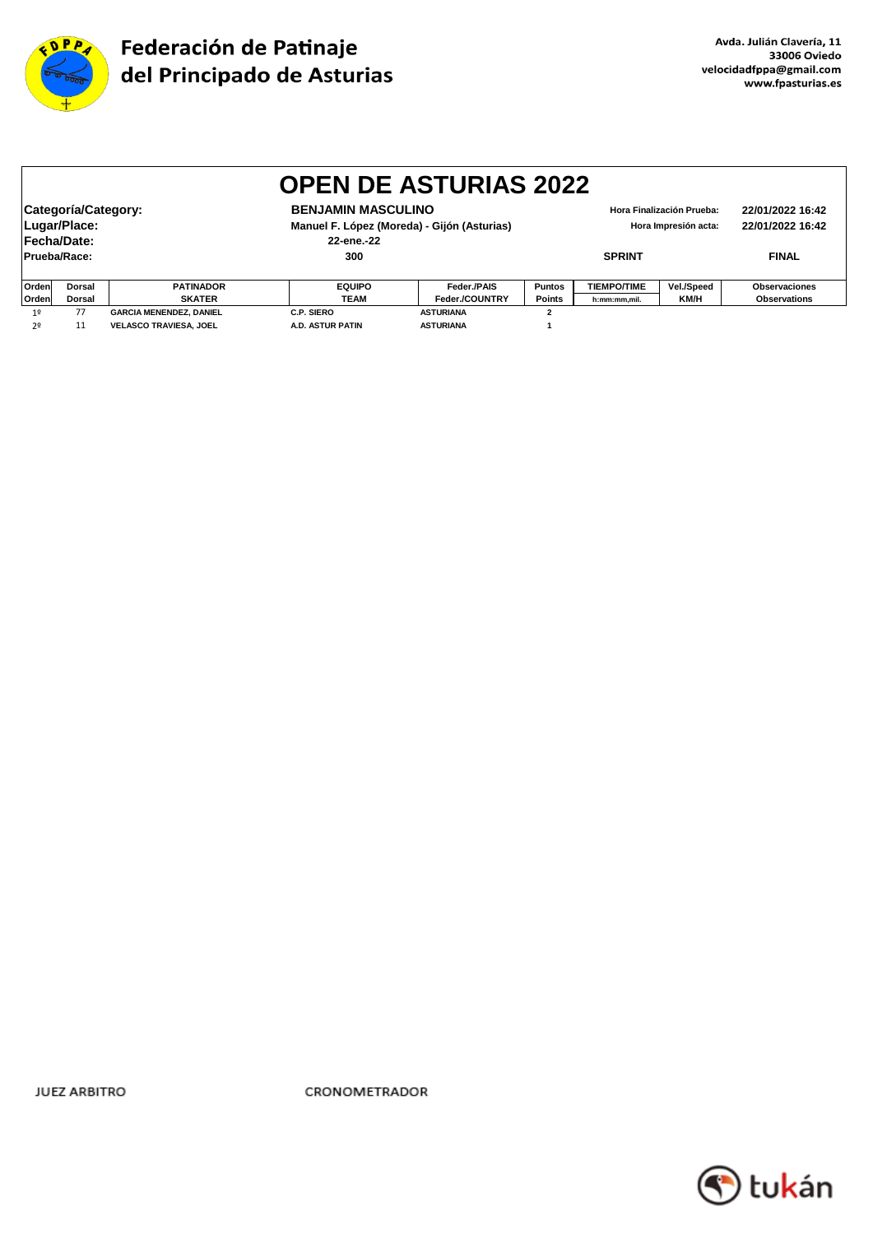

|              | <b>OPEN DE ASTURIAS 2022</b>                              |                                |                         |                  |                                                   |                                      |            |                     |  |  |
|--------------|-----------------------------------------------------------|--------------------------------|-------------------------|------------------|---------------------------------------------------|--------------------------------------|------------|---------------------|--|--|
|              | Categoría/Category:<br>Lugar/Place:<br><b>Fecha/Date:</b> |                                |                         |                  | Hora Finalización Prueba:<br>Hora Impresión acta: | 22/01/2022 16:42<br>22/01/2022 16:42 |            |                     |  |  |
|              | Prueba/Race:                                              |                                | 300                     |                  | <b>SPRINT</b>                                     |                                      |            | <b>FINAL</b>        |  |  |
| <b>Orden</b> | <b>Dorsal</b>                                             | <b>PATINADOR</b>               | <b>EQUIPO</b>           | Feder./PAIS      | <b>Puntos</b>                                     | <b>TIEMPO/TIME</b>                   | Vel./Speed | Observaciones       |  |  |
| Orden        | Dorsal                                                    | <b>SKATER</b>                  | <b>TEAM</b>             | Feder./COUNTRY   | <b>Points</b>                                     | h:mm:mm,mil.                         | KM/H       | <b>Observations</b> |  |  |
| 1º           | 77                                                        | <b>GARCIA MENENDEZ, DANIEL</b> | C.P. SIERO              | <b>ASTURIANA</b> | $\overline{2}$                                    |                                      |            |                     |  |  |
| 2º           | 11                                                        | <b>VELASCO TRAVIESA, JOEL</b>  | <b>A.D. ASTUR PATIN</b> | <b>ASTURIANA</b> |                                                   |                                      |            |                     |  |  |

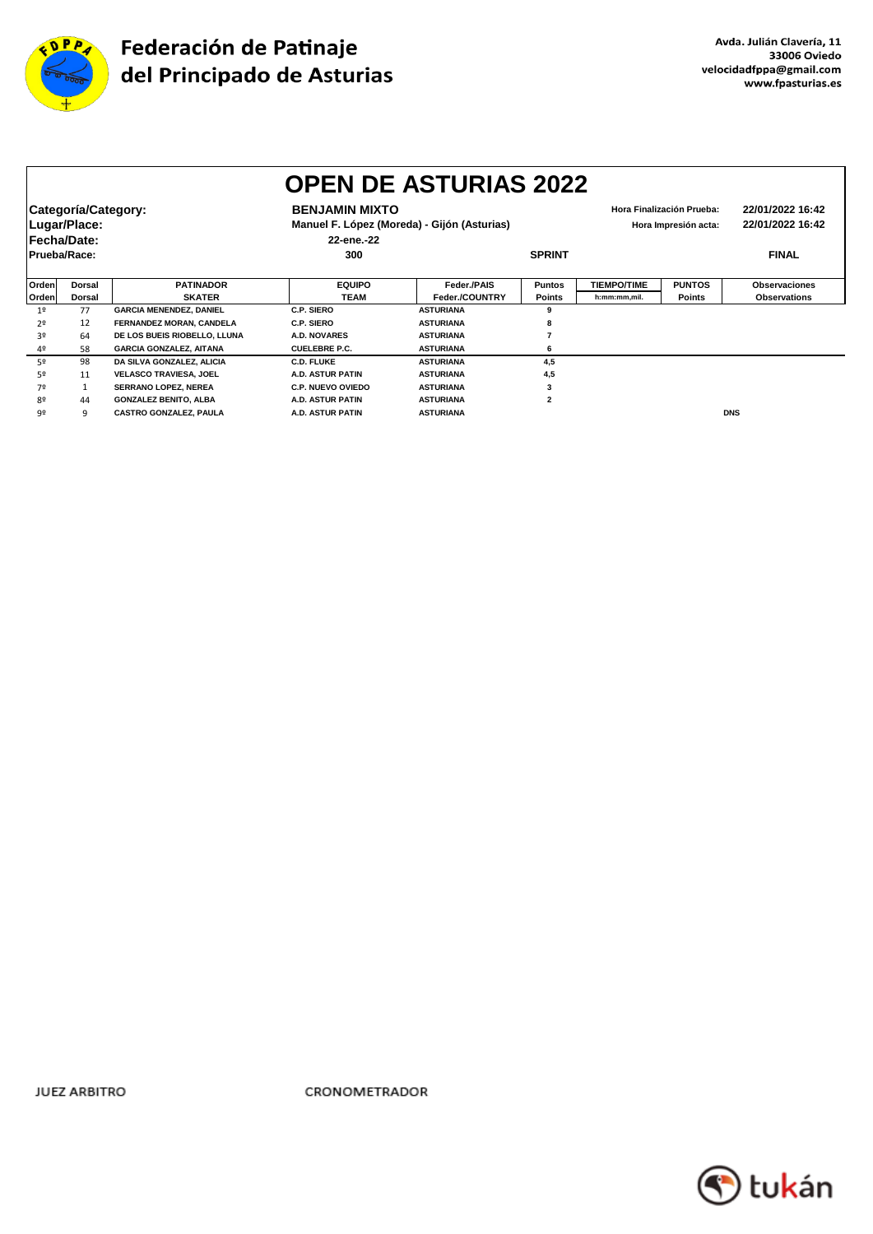

|       | <b>OPEN DE ASTURIAS 2022</b> |                                |                                             |                  |                         |                      |                           |                      |  |  |
|-------|------------------------------|--------------------------------|---------------------------------------------|------------------|-------------------------|----------------------|---------------------------|----------------------|--|--|
|       | Categoría/Category:          |                                | <b>BENJAMIN MIXTO</b>                       |                  |                         |                      | Hora Finalización Prueba: | 22/01/2022 16:42     |  |  |
|       | Lugar/Place:                 |                                | Manuel F. López (Moreda) - Gijón (Asturias) |                  |                         | Hora Impresión acta: | 22/01/2022 16:42          |                      |  |  |
|       | Fecha/Date:                  |                                | 22-ene.-22                                  |                  |                         |                      |                           |                      |  |  |
|       | Prueba/Race:                 |                                | 300                                         |                  | <b>SPRINT</b>           |                      |                           | <b>FINAL</b>         |  |  |
|       |                              |                                |                                             |                  |                         |                      |                           |                      |  |  |
| Orden | <b>Dorsal</b>                | <b>PATINADOR</b>               | <b>EQUIPO</b>                               | Feder./PAIS      | <b>Puntos</b>           | <b>TIEMPO/TIME</b>   | <b>PUNTOS</b>             | <b>Observaciones</b> |  |  |
| Orden | <b>Dorsal</b>                | <b>SKATER</b>                  | <b>TEAM</b>                                 | Feder./COUNTRY   | <b>Points</b>           | h:mm:mm.mil.         | <b>Points</b>             | <b>Observations</b>  |  |  |
| 19    | 77                           | <b>GARCIA MENENDEZ, DANIEL</b> | C.P. SIERO                                  | <b>ASTURIANA</b> | 9                       |                      |                           |                      |  |  |
| 2º    | 12                           | FERNANDEZ MORAN, CANDELA       | C.P. SIERO                                  | <b>ASTURIANA</b> | 8                       |                      |                           |                      |  |  |
| 3º    | 64                           | DE LOS BUEIS RIOBELLO, LLUNA   | A.D. NOVARES                                | <b>ASTURIANA</b> |                         |                      |                           |                      |  |  |
| 4º    | 58                           | <b>GARCIA GONZALEZ, AITANA</b> | <b>CUELEBRE P.C.</b>                        | <b>ASTURIANA</b> | 6                       |                      |                           |                      |  |  |
| 52    | 98                           | DA SILVA GONZALEZ, ALICIA      | <b>C.D. FLUKE</b>                           | <b>ASTURIANA</b> | 4,5                     |                      |                           |                      |  |  |
| 52    | 11                           | <b>VELASCO TRAVIESA, JOEL</b>  | A.D. ASTUR PATIN                            | <b>ASTURIANA</b> | 4,5                     |                      |                           |                      |  |  |
| 7º    |                              | <b>SERRANO LOPEZ, NEREA</b>    | <b>C.P. NUEVO OVIEDO</b>                    | <b>ASTURIANA</b> | 3                       |                      |                           |                      |  |  |
| 80    | 44                           | <b>GONZALEZ BENITO, ALBA</b>   | <b>A.D. ASTUR PATIN</b>                     | <b>ASTURIANA</b> | $\overline{\mathbf{2}}$ |                      |                           |                      |  |  |
| 9º    | q                            | <b>CASTRO GONZALEZ, PAULA</b>  | A.D. ASTUR PATIN                            | <b>ASTURIANA</b> |                         |                      |                           | <b>DNS</b>           |  |  |

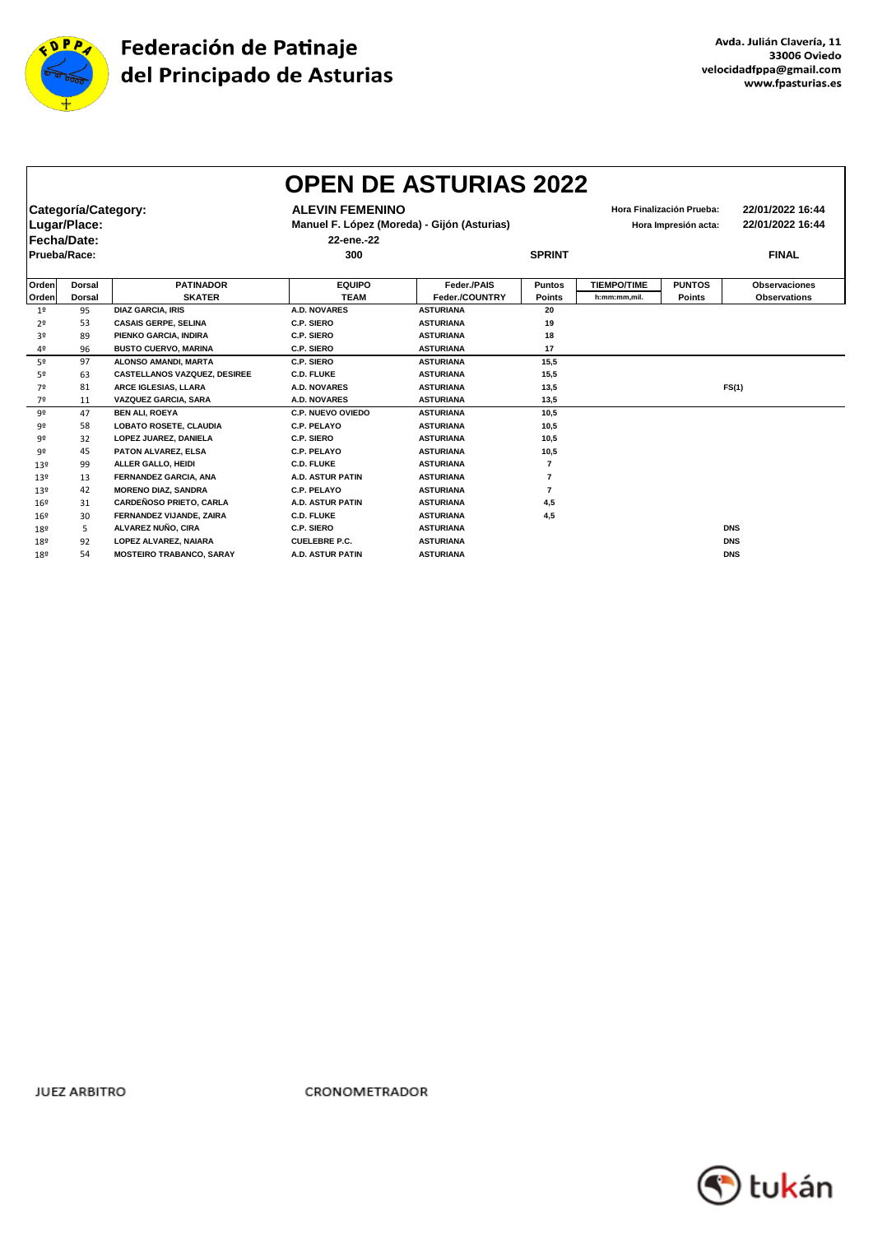

|                | <b>OPEN DE ASTURIAS 2022</b> |                                     |                          |                                             |                      |                    |                           |                      |
|----------------|------------------------------|-------------------------------------|--------------------------|---------------------------------------------|----------------------|--------------------|---------------------------|----------------------|
|                | Categoría/Category:          |                                     | <b>ALEVIN FEMENINO</b>   |                                             |                      |                    | Hora Finalización Prueba: | 22/01/2022 16:44     |
|                | Lugar/Place:                 |                                     |                          | Manuel F. López (Moreda) - Gijón (Asturias) | Hora Impresión acta: |                    |                           | 22/01/2022 16:44     |
|                | Fecha/Date:                  |                                     | 22-ene.-22               |                                             |                      |                    |                           |                      |
| Prueba/Race:   |                              |                                     | 300                      |                                             | <b>SPRINT</b>        |                    |                           | <b>FINAL</b>         |
|                |                              |                                     |                          |                                             |                      |                    |                           |                      |
| Orden          | <b>Dorsal</b>                | <b>PATINADOR</b>                    | <b>EQUIPO</b>            | Feder./PAIS                                 | <b>Puntos</b>        | <b>TIEMPO/TIME</b> | <b>PUNTOS</b>             | <b>Observaciones</b> |
| Orden          | <b>Dorsal</b>                | <b>SKATER</b>                       | <b>TEAM</b>              | Feder./COUNTRY                              | <b>Points</b>        | h:mm:mm,mil.       | <b>Points</b>             | <b>Observations</b>  |
| 1 <sup>°</sup> | 95                           | <b>DIAZ GARCIA, IRIS</b>            | <b>A.D. NOVARES</b>      | <b>ASTURIANA</b>                            | 20                   |                    |                           |                      |
| 2º             | 53                           | <b>CASAIS GERPE, SELINA</b>         | C.P. SIERO               | <b>ASTURIANA</b>                            | 19                   |                    |                           |                      |
| 3º             | 89                           | PIENKO GARCIA, INDIRA               | C.P. SIERO               | <b>ASTURIANA</b>                            | 18                   |                    |                           |                      |
| 4º             | 96                           | <b>BUSTO CUERVO, MARINA</b>         | C.P. SIERO               | <b>ASTURIANA</b>                            | 17                   |                    |                           |                      |
| 52             | 97                           | ALONSO AMANDI, MARTA                | C.P. SIERO               | <b>ASTURIANA</b>                            | 15,5                 |                    |                           |                      |
| 52             | 63                           | <b>CASTELLANOS VAZQUEZ, DESIREE</b> | <b>C.D. FLUKE</b>        | <b>ASTURIANA</b>                            | 15,5                 |                    |                           |                      |
| 7º             | 81                           | ARCE IGLESIAS, LLARA                | <b>A.D. NOVARES</b>      | <b>ASTURIANA</b>                            | 13,5                 |                    |                           | FS(1)                |
| 7º             | 11                           | VAZQUEZ GARCIA, SARA                | A.D. NOVARES             | <b>ASTURIANA</b>                            | 13,5                 |                    |                           |                      |
| 9º             | 47                           | <b>BEN ALI, ROEYA</b>               | <b>C.P. NUEVO OVIEDO</b> | <b>ASTURIANA</b>                            | 10.5                 |                    |                           |                      |
| 92             | 58                           | <b>LOBATO ROSETE, CLAUDIA</b>       | C.P. PELAYO              | <b>ASTURIANA</b>                            | 10,5                 |                    |                           |                      |
| 92             | 32                           | LOPEZ JUAREZ, DANIELA               | C.P. SIERO               | <b>ASTURIANA</b>                            | 10,5                 |                    |                           |                      |
| 92             | 45                           | PATON ALVAREZ, ELSA                 | C.P. PELAYO              | <b>ASTURIANA</b>                            | 10,5                 |                    |                           |                      |
| 13º            | 99                           | ALLER GALLO, HEIDI                  | <b>C.D. FLUKE</b>        | <b>ASTURIANA</b>                            | $\overline{7}$       |                    |                           |                      |
| 13º            | 13                           | FERNANDEZ GARCIA, ANA               | <b>A.D. ASTUR PATIN</b>  | <b>ASTURIANA</b>                            | 7                    |                    |                           |                      |
| 13º            | 42                           | <b>MORENO DIAZ, SANDRA</b>          | C.P. PELAYO              | <b>ASTURIANA</b>                            | 7                    |                    |                           |                      |
| 16º            | 31                           | CARDEÑOSO PRIETO, CARLA             | <b>A.D. ASTUR PATIN</b>  | <b>ASTURIANA</b>                            | 4,5                  |                    |                           |                      |
| 16º            | 30                           | FERNANDEZ VIJANDE, ZAIRA            | <b>C.D. FLUKE</b>        | <b>ASTURIANA</b>                            | 4,5                  |                    |                           |                      |
| 189            | 5                            | ALVAREZ NUÑO, CIRA                  | C.P. SIERO               | <b>ASTURIANA</b>                            |                      |                    |                           | <b>DNS</b>           |
| 189            | 92                           | LOPEZ ALVAREZ, NAIARA               | <b>CUELEBRE P.C.</b>     | <b>ASTURIANA</b>                            |                      |                    |                           | <b>DNS</b>           |
| 189            | 54                           | <b>MOSTEIRO TRABANCO, SARAY</b>     | <b>A.D. ASTUR PATIN</b>  | <b>ASTURIANA</b>                            |                      |                    |                           | <b>DNS</b>           |

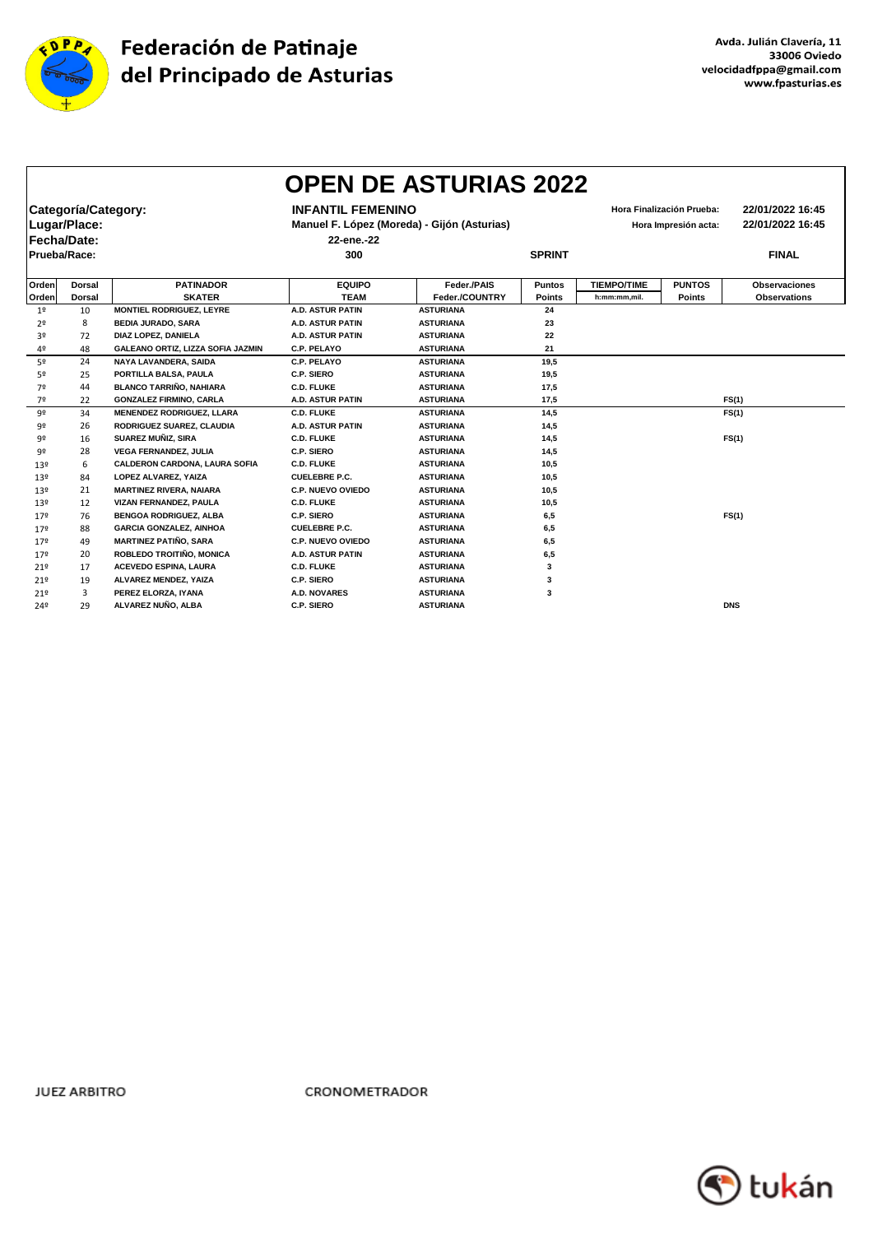

|                 |                     |                                      |                          | <b>OPEN DE ASTURIAS 2022</b>                |               |                      |                           |                      |
|-----------------|---------------------|--------------------------------------|--------------------------|---------------------------------------------|---------------|----------------------|---------------------------|----------------------|
|                 | Categoría/Category: |                                      | <b>INFANTIL FEMENINO</b> |                                             |               |                      | Hora Finalización Prueba: | 22/01/2022 16:45     |
|                 | Lugar/Place:        |                                      |                          | Manuel F. López (Moreda) - Gijón (Asturias) |               | Hora Impresión acta: |                           | 22/01/2022 16:45     |
|                 | Fecha/Date:         |                                      | 22-ene.-22               |                                             |               |                      |                           |                      |
|                 |                     |                                      |                          |                                             |               |                      |                           |                      |
|                 | Prueba/Race:        |                                      | 300                      |                                             | <b>SPRINT</b> |                      |                           | <b>FINAL</b>         |
|                 |                     |                                      |                          |                                             |               |                      |                           |                      |
| Orden           | Dorsal              | <b>PATINADOR</b>                     | <b>EQUIPO</b>            | Feder./PAIS                                 | <b>Puntos</b> | <b>TIEMPO/TIME</b>   | <b>PUNTOS</b>             | <b>Observaciones</b> |
| Orden           | <b>Dorsal</b>       | <b>SKATER</b>                        | <b>TEAM</b>              | Feder./COUNTRY                              | Points        | h:mm:mm.mil.         | <b>Points</b>             | <b>Observations</b>  |
| 1 <sup>°</sup>  | 10                  | <b>MONTIEL RODRIGUEZ, LEYRE</b>      | <b>A.D. ASTUR PATIN</b>  | <b>ASTURIANA</b>                            | 24            |                      |                           |                      |
| 2 <sup>o</sup>  | 8                   | <b>BEDIA JURADO, SARA</b>            | <b>A.D. ASTUR PATIN</b>  | <b>ASTURIANA</b>                            | 23            |                      |                           |                      |
| 3º              | 72                  | <b>DIAZ LOPEZ. DANIELA</b>           | <b>A.D. ASTUR PATIN</b>  | <b>ASTURIANA</b>                            | 22            |                      |                           |                      |
| 4º              | 48                  | GALEANO ORTIZ, LIZZA SOFIA JAZMIN    | C.P. PELAYO              | <b>ASTURIANA</b>                            | 21            |                      |                           |                      |
| 5º              | 24                  | <b>NAYA LAVANDERA, SAIDA</b>         | C.P. PELAYO              | <b>ASTURIANA</b>                            | 19.5          |                      |                           |                      |
| 5º              | 25                  | PORTILLA BALSA, PAULA                | C.P. SIERO               | <b>ASTURIANA</b>                            | 19,5          |                      |                           |                      |
| 7º              | 44                  | <b>BLANCO TARRIÑO, NAHIARA</b>       | <b>C.D. FLUKE</b>        | <b>ASTURIANA</b>                            | 17,5          |                      |                           |                      |
| 7º              | 22                  | <b>GONZALEZ FIRMINO, CARLA</b>       | A.D. ASTUR PATIN         | <b>ASTURIANA</b>                            | 17,5          |                      |                           | FS(1)                |
| 92              | 34                  | <b>MENENDEZ RODRIGUEZ, LLARA</b>     | <b>C.D. FLUKE</b>        | <b>ASTURIANA</b>                            | 14,5          |                      |                           | FS(1)                |
| 92              | 26                  | RODRIGUEZ SUAREZ, CLAUDIA            | <b>A.D. ASTUR PATIN</b>  | <b>ASTURIANA</b>                            | 14,5          |                      |                           |                      |
| 92              | 16                  | SUAREZ MUÑIZ, SIRA                   | <b>C.D. FLUKE</b>        | <b>ASTURIANA</b>                            | 14,5          |                      |                           | FS(1)                |
| 92              | 28                  | <b>VEGA FERNANDEZ, JULIA</b>         | C.P. SIERO               | <b>ASTURIANA</b>                            | 14,5          |                      |                           |                      |
| 13º             | 6                   | <b>CALDERON CARDONA, LAURA SOFIA</b> | <b>C.D. FLUKE</b>        | <b>ASTURIANA</b>                            | 10,5          |                      |                           |                      |
| 13º             | 84                  | LOPEZ ALVAREZ, YAIZA                 | <b>CUELEBRE P.C.</b>     | <b>ASTURIANA</b>                            | 10,5          |                      |                           |                      |
| 13º             | 21                  | <b>MARTINEZ RIVERA, NAIARA</b>       | <b>C.P. NUEVO OVIEDO</b> | <b>ASTURIANA</b>                            | 10.5          |                      |                           |                      |
| 13 <sup>°</sup> | 12                  | VIZAN FERNANDEZ, PAULA               | <b>C.D. FLUKE</b>        | <b>ASTURIANA</b>                            | 10,5          |                      |                           |                      |
| 179             | 76                  | <b>BENGOA RODRIGUEZ, ALBA</b>        | C.P. SIERO               | <b>ASTURIANA</b>                            | 6,5           |                      |                           | FS(1)                |
| 179             | 88                  | <b>GARCIA GONZALEZ, AINHOA</b>       | <b>CUELEBRE P.C.</b>     | <b>ASTURIANA</b>                            | 6,5           |                      |                           |                      |
| 179             | 49                  | <b>MARTINEZ PATIÑO, SARA</b>         | C.P. NUEVO OVIEDO        | <b>ASTURIANA</b>                            | 6,5           |                      |                           |                      |
| 179             | 20                  | ROBLEDO TROITIÑO, MONICA             | <b>A.D. ASTUR PATIN</b>  | <b>ASTURIANA</b>                            | 6,5           |                      |                           |                      |
| 21°             | 17                  | <b>ACEVEDO ESPINA, LAURA</b>         | <b>C.D. FLUKE</b>        | <b>ASTURIANA</b>                            | 3             |                      |                           |                      |
| 21°             | 19                  | ALVAREZ MENDEZ, YAIZA                | <b>C.P. SIERO</b>        | <b>ASTURIANA</b>                            | 3             |                      |                           |                      |
| 219             | 3                   | PEREZ ELORZA, IYANA                  | <b>A.D. NOVARES</b>      | <b>ASTURIANA</b>                            | 3             |                      |                           |                      |
| 24º             | 29                  | ALVAREZ NUÑO, ALBA                   | C.P. SIERO               | <b>ASTURIANA</b>                            |               |                      |                           | <b>DNS</b>           |
|                 |                     |                                      |                          |                                             |               |                      |                           |                      |

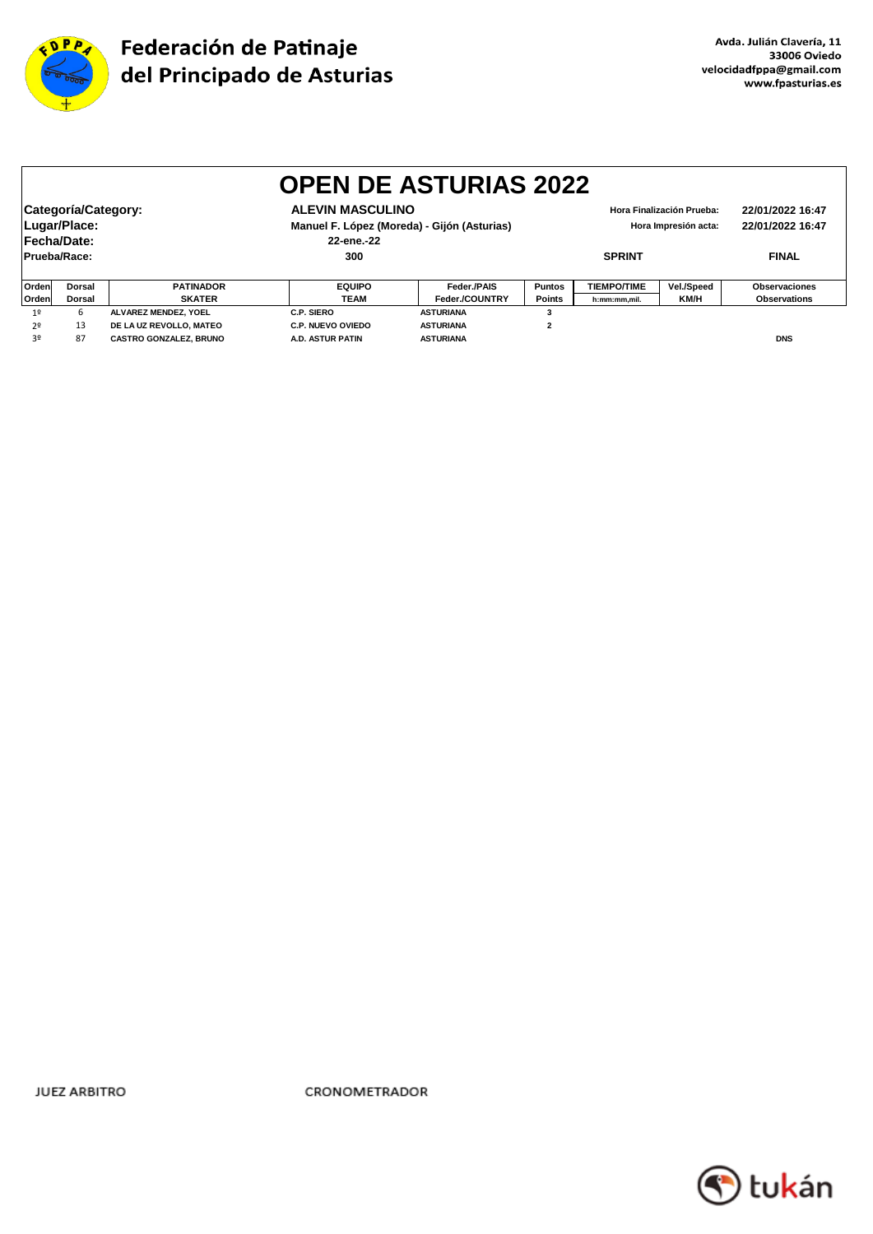

|                |                     |                               | <b>OPEN DE ASTURIAS 2022</b>                |                  |                |                                          |                           |                     |
|----------------|---------------------|-------------------------------|---------------------------------------------|------------------|----------------|------------------------------------------|---------------------------|---------------------|
|                |                     |                               |                                             |                  |                |                                          |                           |                     |
|                | Categoría/Category: |                               | <b>ALEVIN MASCULINO</b>                     |                  |                |                                          | Hora Finalización Prueba: | 22/01/2022 16:47    |
|                | Lugar/Place:        |                               | Manuel F. López (Moreda) - Gijón (Asturias) |                  |                | 22/01/2022 16:47<br>Hora Impresión acta: |                           |                     |
|                | Fecha/Date:         |                               | 22-ene.-22                                  |                  |                |                                          |                           |                     |
|                | Prueba/Race:        |                               | 300                                         |                  |                | <b>SPRINT</b>                            |                           | <b>FINAL</b>        |
|                |                     |                               |                                             |                  |                |                                          |                           |                     |
| Orden          | <b>Dorsal</b>       | <b>PATINADOR</b>              | <b>EQUIPO</b>                               | Feder./PAIS      | <b>Puntos</b>  | <b>TIEMPO/TIME</b>                       | Vel./Speed                | Observaciones       |
| Orden          | <b>Dorsal</b>       | <b>SKATER</b>                 | <b>TEAM</b>                                 | Feder./COUNTRY   | <b>Points</b>  | h:mm:mm,mil.                             | KM/H                      | <b>Observations</b> |
| 1 <sup>°</sup> | 6                   | ALVAREZ MENDEZ, YOEL          | C.P. SIERO                                  | <b>ASTURIANA</b> | 3              |                                          |                           |                     |
| 2º             | 13                  | DE LA UZ REVOLLO, MATEO       | <b>C.P. NUEVO OVIEDO</b>                    | <b>ASTURIANA</b> | $\overline{2}$ |                                          |                           |                     |
| 3º             | 87                  | <b>CASTRO GONZALEZ, BRUNO</b> | <b>A.D. ASTUR PATIN</b>                     | <b>ASTURIANA</b> |                |                                          |                           | <b>DNS</b>          |

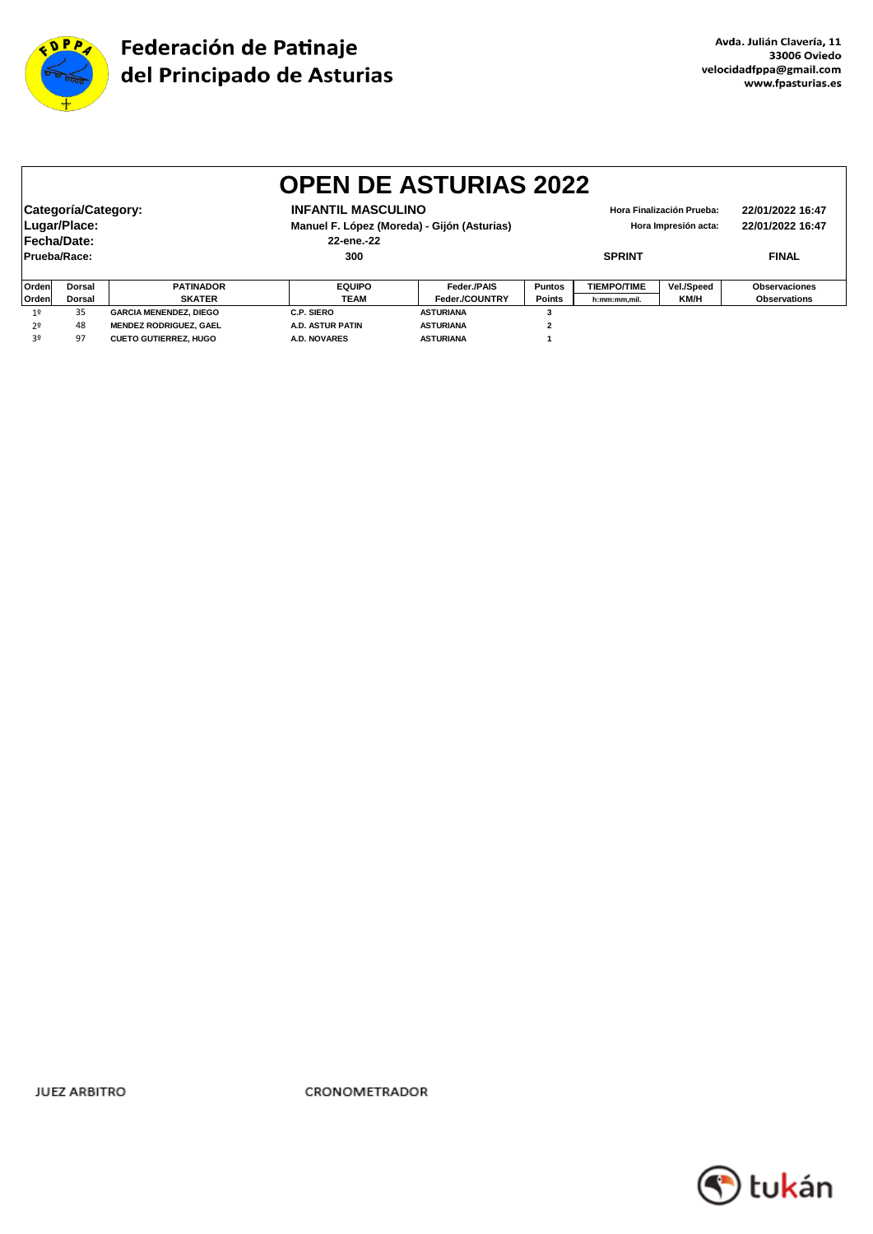

|                                                                                                                                                                                                   | <b>OPEN DE ASTURIAS 2022</b> |                               |                         |                  |               |                    |              |                                      |  |  |
|---------------------------------------------------------------------------------------------------------------------------------------------------------------------------------------------------|------------------------------|-------------------------------|-------------------------|------------------|---------------|--------------------|--------------|--------------------------------------|--|--|
| Categoría/Category:<br><b>INFANTIL MASCULINO</b><br>Hora Finalización Prueba:<br>Lugar/Place:<br>Manuel F. López (Moreda) - Gijón (Asturias)<br>Hora Impresión acta:<br>Fecha/Date:<br>22-ene.-22 |                              |                               |                         |                  |               |                    |              | 22/01/2022 16:47<br>22/01/2022 16:47 |  |  |
|                                                                                                                                                                                                   | Prueba/Race:                 |                               | 300                     |                  | <b>SPRINT</b> |                    | <b>FINAL</b> |                                      |  |  |
| <b>Orden</b>                                                                                                                                                                                      | <b>Dorsal</b>                | <b>PATINADOR</b>              | <b>EQUIPO</b>           | Feder./PAIS      | <b>Puntos</b> | <b>TIEMPO/TIME</b> | Vel./Speed   | Observaciones                        |  |  |
| <b>Orden</b>                                                                                                                                                                                      | <b>Dorsal</b>                | <b>SKATER</b>                 | TEAM                    | Feder./COUNTRY   | <b>Points</b> | h:mm:mm,mil.       | KM/H         | <b>Observations</b>                  |  |  |
| 1 <sup>°</sup>                                                                                                                                                                                    | 35                           | <b>GARCIA MENENDEZ, DIEGO</b> | C.P. SIERO              | <b>ASTURIANA</b> | 3             |                    |              |                                      |  |  |
| 2º                                                                                                                                                                                                | 48                           | <b>MENDEZ RODRIGUEZ, GAEL</b> | <b>A.D. ASTUR PATIN</b> | <b>ASTURIANA</b> |               |                    |              |                                      |  |  |
| 3∘                                                                                                                                                                                                | 97                           | <b>CUETO GUTIERREZ, HUGO</b>  | <b>A.D. NOVARES</b>     | <b>ASTURIANA</b> |               |                    |              |                                      |  |  |

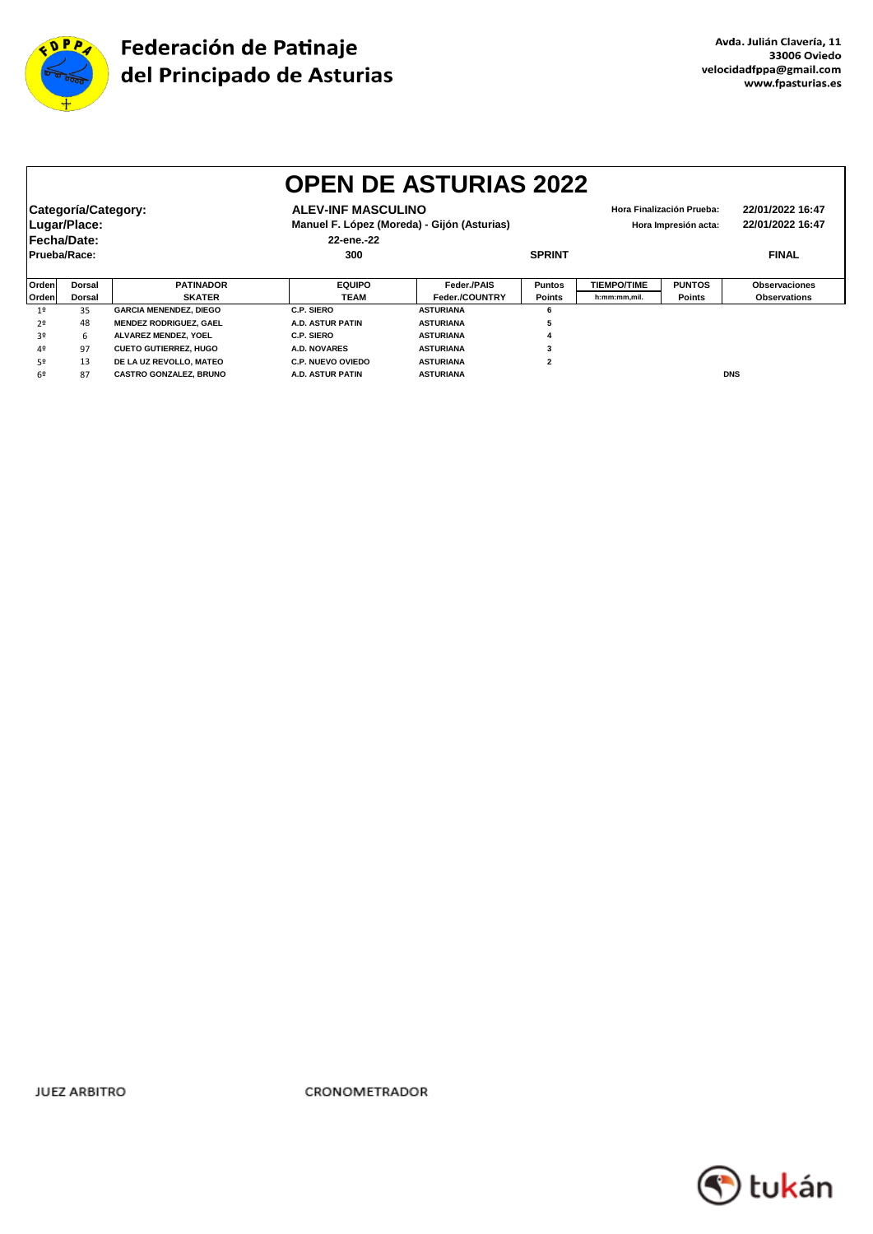

|              | <b>OPEN DE ASTURIAS 2022</b> |                               |                           |                                             |                |                    |                           |                      |  |  |  |
|--------------|------------------------------|-------------------------------|---------------------------|---------------------------------------------|----------------|--------------------|---------------------------|----------------------|--|--|--|
|              | Categoría/Category:          |                               | <b>ALEV-INF MASCULINO</b> |                                             |                |                    | Hora Finalización Prueba: | 22/01/2022 16:47     |  |  |  |
|              | Lugar/Place:                 |                               |                           | Manuel F. López (Moreda) - Gijón (Asturias) |                | 22/01/2022 16:47   |                           |                      |  |  |  |
|              | Fecha/Date:                  |                               | 22-ene.-22                |                                             |                |                    |                           |                      |  |  |  |
| Prueba/Race: |                              |                               | 300                       |                                             | <b>SPRINT</b>  |                    |                           | <b>FINAL</b>         |  |  |  |
|              |                              |                               |                           |                                             |                |                    |                           |                      |  |  |  |
| Orden        | Dorsal                       | <b>PATINADOR</b>              | <b>EQUIPO</b>             | Feder./PAIS                                 | <b>Puntos</b>  | <b>TIEMPO/TIME</b> | <b>PUNTOS</b>             | <b>Observaciones</b> |  |  |  |
| Orden        | Dorsal                       | <b>SKATER</b>                 | <b>TEAM</b>               | Feder./COUNTRY                              | <b>Points</b>  | h:mm:mm,mil.       | <b>Points</b>             | <b>Observations</b>  |  |  |  |
| 19           | 35                           | <b>GARCIA MENENDEZ, DIEGO</b> | C.P. SIERO                | <b>ASTURIANA</b>                            | 6              |                    |                           |                      |  |  |  |
| 2º           | 48                           | <b>MENDEZ RODRIGUEZ, GAEL</b> | A.D. ASTUR PATIN          | <b>ASTURIANA</b>                            | 5              |                    |                           |                      |  |  |  |
| 3º           | 6                            | <b>ALVAREZ MENDEZ. YOEL</b>   | <b>C.P. SIERO</b>         | <b>ASTURIANA</b>                            | 4              |                    |                           |                      |  |  |  |
| 40           | 97                           | <b>CUETO GUTIERREZ, HUGO</b>  | <b>A.D. NOVARES</b>       | <b>ASTURIANA</b>                            | 3              |                    |                           |                      |  |  |  |
| 52           | 13                           | DE LA UZ REVOLLO, MATEO       | <b>C.P. NUEVO OVIEDO</b>  | <b>ASTURIANA</b>                            | $\overline{2}$ |                    |                           |                      |  |  |  |
| 69           | 87                           | CASTRO GONZALEZ, BRUNO        | A.D. ASTUR PATIN          | <b>ASTURIANA</b>                            |                |                    |                           | <b>DNS</b>           |  |  |  |

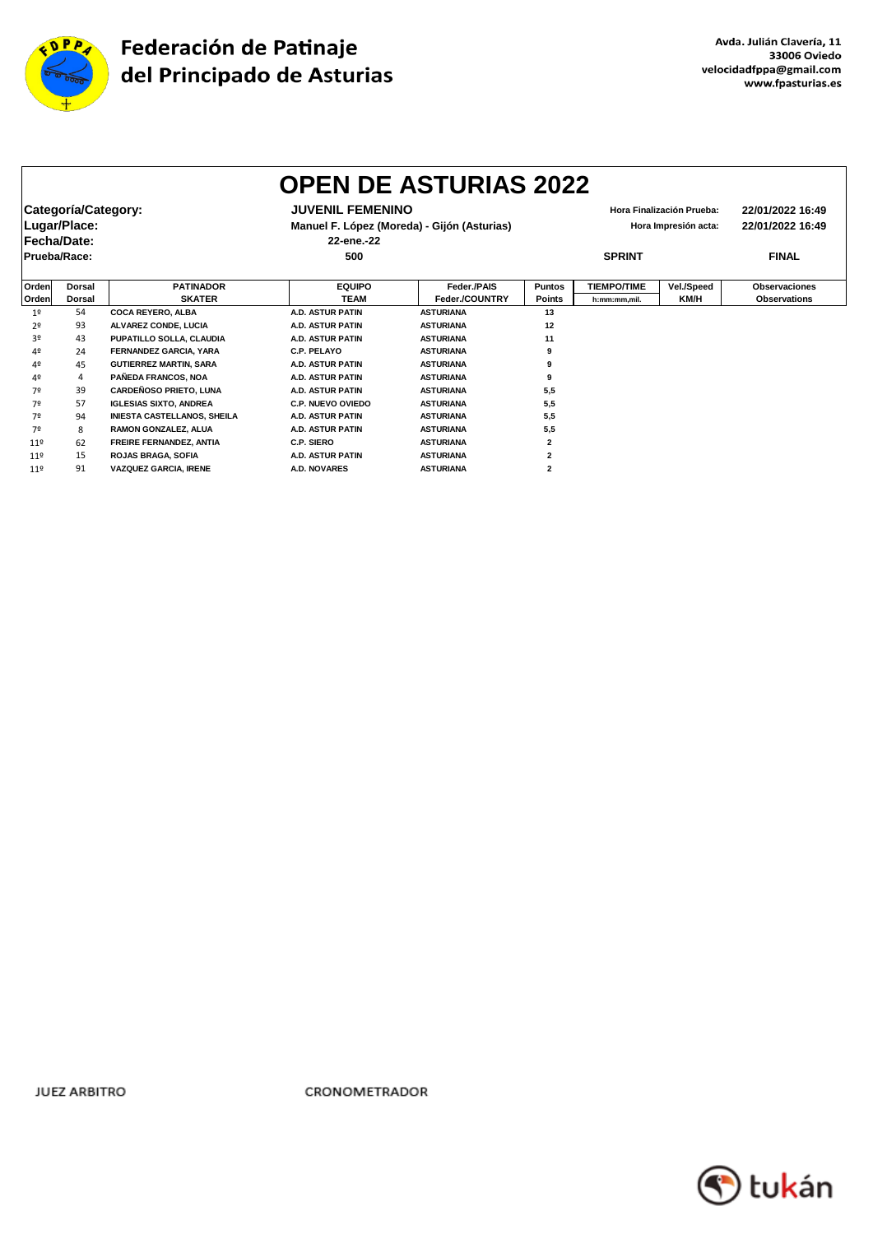

|                 | <b>OPEN DE ASTURIAS 2022</b>        |                                    |                                                           |                  |                |                    |                                                   |                                      |  |  |
|-----------------|-------------------------------------|------------------------------------|-----------------------------------------------------------|------------------|----------------|--------------------|---------------------------------------------------|--------------------------------------|--|--|
|                 | Categoría/Category:<br>Lugar/Place: |                                    | <b>JUVENIL FEMENINO</b>                                   |                  |                |                    | Hora Finalización Prueba:<br>Hora Impresión acta: | 22/01/2022 16:49<br>22/01/2022 16:49 |  |  |
|                 | Fecha/Date:                         |                                    | Manuel F. López (Moreda) - Gijón (Asturias)<br>22-ene.-22 |                  |                |                    |                                                   |                                      |  |  |
|                 | Prueba/Race:                        |                                    | 500                                                       |                  | <b>SPRINT</b>  |                    |                                                   | <b>FINAL</b>                         |  |  |
| Orden           | <b>Dorsal</b>                       | <b>PATINADOR</b>                   | <b>EQUIPO</b>                                             | Feder./PAIS      | <b>Puntos</b>  | <b>TIEMPO/TIME</b> | Vel./Speed                                        | <b>Observaciones</b>                 |  |  |
| Orden           | <b>Dorsal</b>                       | <b>SKATER</b>                      | <b>TEAM</b>                                               | Feder./COUNTRY   | <b>Points</b>  | h:mm:mm.mil.       | KM/H                                              | <b>Observations</b>                  |  |  |
| 1 <sup>°</sup>  | 54                                  | <b>COCA REYERO, ALBA</b>           | <b>A.D. ASTUR PATIN</b>                                   | <b>ASTURIANA</b> | 13             |                    |                                                   |                                      |  |  |
| 2 <sup>o</sup>  | 93                                  | <b>ALVAREZ CONDE. LUCIA</b>        | <b>A.D. ASTUR PATIN</b>                                   | <b>ASTURIANA</b> | 12             |                    |                                                   |                                      |  |  |
| 3º              | 43                                  | PUPATILLO SOLLA, CLAUDIA           | <b>A.D. ASTUR PATIN</b>                                   | <b>ASTURIANA</b> | 11             |                    |                                                   |                                      |  |  |
| 4º              | 24                                  | <b>FERNANDEZ GARCIA, YARA</b>      | C.P. PELAYO                                               | <b>ASTURIANA</b> | 9              |                    |                                                   |                                      |  |  |
| 4º              | 45                                  | <b>GUTIERREZ MARTIN, SARA</b>      | <b>A.D. ASTUR PATIN</b>                                   | <b>ASTURIANA</b> | g              |                    |                                                   |                                      |  |  |
| 4º              | 4                                   | PAÑEDA FRANCOS, NOA                | <b>A.D. ASTUR PATIN</b>                                   | <b>ASTURIANA</b> | g              |                    |                                                   |                                      |  |  |
| 7º              | 39                                  | <b>CARDEÑOSO PRIETO, LUNA</b>      | <b>A.D. ASTUR PATIN</b>                                   | <b>ASTURIANA</b> | 5,5            |                    |                                                   |                                      |  |  |
| 7º              | 57                                  | <b>IGLESIAS SIXTO, ANDREA</b>      | <b>C.P. NUEVO OVIEDO</b>                                  | <b>ASTURIANA</b> | 5,5            |                    |                                                   |                                      |  |  |
| 7º              | 94                                  | <b>INIESTA CASTELLANOS, SHEILA</b> | <b>A.D. ASTUR PATIN</b>                                   | <b>ASTURIANA</b> | 5,5            |                    |                                                   |                                      |  |  |
| 7º              | 8                                   | RAMON GONZALEZ, ALUA               | <b>A.D. ASTUR PATIN</b>                                   | <b>ASTURIANA</b> | 5,5            |                    |                                                   |                                      |  |  |
| 119             | 62                                  | FREIRE FERNANDEZ, ANTIA            | <b>C.P. SIERO</b>                                         | <b>ASTURIANA</b> | $\overline{2}$ |                    |                                                   |                                      |  |  |
| 11 <sup>°</sup> | 15                                  | <b>ROJAS BRAGA, SOFIA</b>          | <b>A.D. ASTUR PATIN</b>                                   | <b>ASTURIANA</b> | 2              |                    |                                                   |                                      |  |  |
| 119             | 91                                  | <b>VAZQUEZ GARCIA, IRENE</b>       | <b>A.D. NOVARES</b>                                       | <b>ASTURIANA</b> | $\overline{2}$ |                    |                                                   |                                      |  |  |

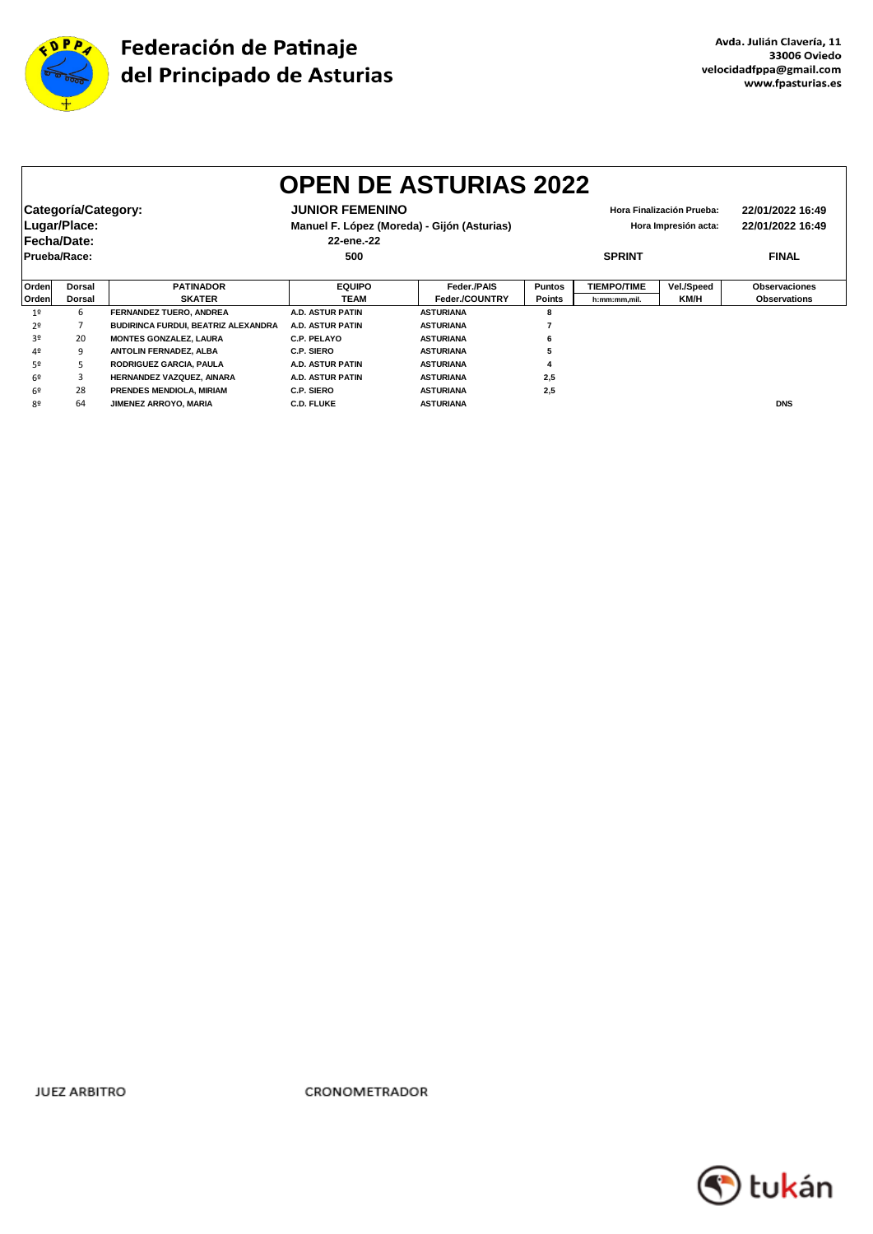

|                | <b>OPEN DE ASTURIAS 2022</b> |                                     |                        |                                                                     |               |                           |                  |                      |  |
|----------------|------------------------------|-------------------------------------|------------------------|---------------------------------------------------------------------|---------------|---------------------------|------------------|----------------------|--|
|                | Categoría/Category:          |                                     | <b>JUNIOR FEMENINO</b> |                                                                     |               | Hora Finalización Prueba: | 22/01/2022 16:49 |                      |  |
|                | Lugar/Place:                 |                                     |                        | Manuel F. López (Moreda) - Gijón (Asturias)<br>Hora Impresión acta: |               |                           |                  | 22/01/2022 16:49     |  |
|                | Fecha/Date:                  |                                     | 22-ene.-22             |                                                                     |               |                           |                  |                      |  |
|                | Prueba/Race:                 |                                     | 500                    |                                                                     | <b>SPRINT</b> |                           |                  | <b>FINAL</b>         |  |
|                |                              |                                     |                        |                                                                     |               |                           |                  |                      |  |
| Ordenl         | <b>Dorsal</b>                | <b>PATINADOR</b>                    | <b>EQUIPO</b>          | Feder./PAIS                                                         | <b>Puntos</b> | <b>TIEMPO/TIME</b>        | Vel./Speed       | <b>Observaciones</b> |  |
| Orden          | <b>Dorsal</b>                | <b>SKATER</b>                       | <b>TEAM</b>            | Feder./COUNTRY                                                      | <b>Points</b> | h:mm:mm,mil.              | <b>KM/H</b>      | <b>Observations</b>  |  |
| 1 <sup>°</sup> | 6                            | FERNANDEZ TUERO, ANDREA             | A.D. ASTUR PATIN       | <b>ASTURIANA</b>                                                    | 8             |                           |                  |                      |  |
| 2º             |                              | BUDIRINCA FURDUI, BEATRIZ ALEXANDRA | A.D. ASTUR PATIN       | <b>ASTURIANA</b>                                                    |               |                           |                  |                      |  |
| 30             | 20                           | <b>MONTES GONZALEZ, LAURA</b>       | C.P. PELAYO            | <b>ASTURIANA</b>                                                    |               |                           |                  |                      |  |
| 4º             | 9                            | ANTOLIN FERNADEZ, ALBA              | C.P. SIERO             | <b>ASTURIANA</b>                                                    |               |                           |                  |                      |  |
| 52             | 5                            | RODRIGUEZ GARCIA, PAULA             | A.D. ASTUR PATIN       | <b>ASTURIANA</b>                                                    |               |                           |                  |                      |  |
| 6º             | 3                            | HERNANDEZ VAZQUEZ, AINARA           | A.D. ASTUR PATIN       | <b>ASTURIANA</b>                                                    | 2,5           |                           |                  |                      |  |
| 6º             | 28                           | PRENDES MENDIOLA, MIRIAM            | C.P. SIERO             | <b>ASTURIANA</b>                                                    | 2,5           |                           |                  |                      |  |
| 80             | 64                           | <b>JIMENEZ ARROYO, MARIA</b>        | <b>C.D. FLUKE</b>      | <b>ASTURIANA</b>                                                    |               |                           |                  | <b>DNS</b>           |  |

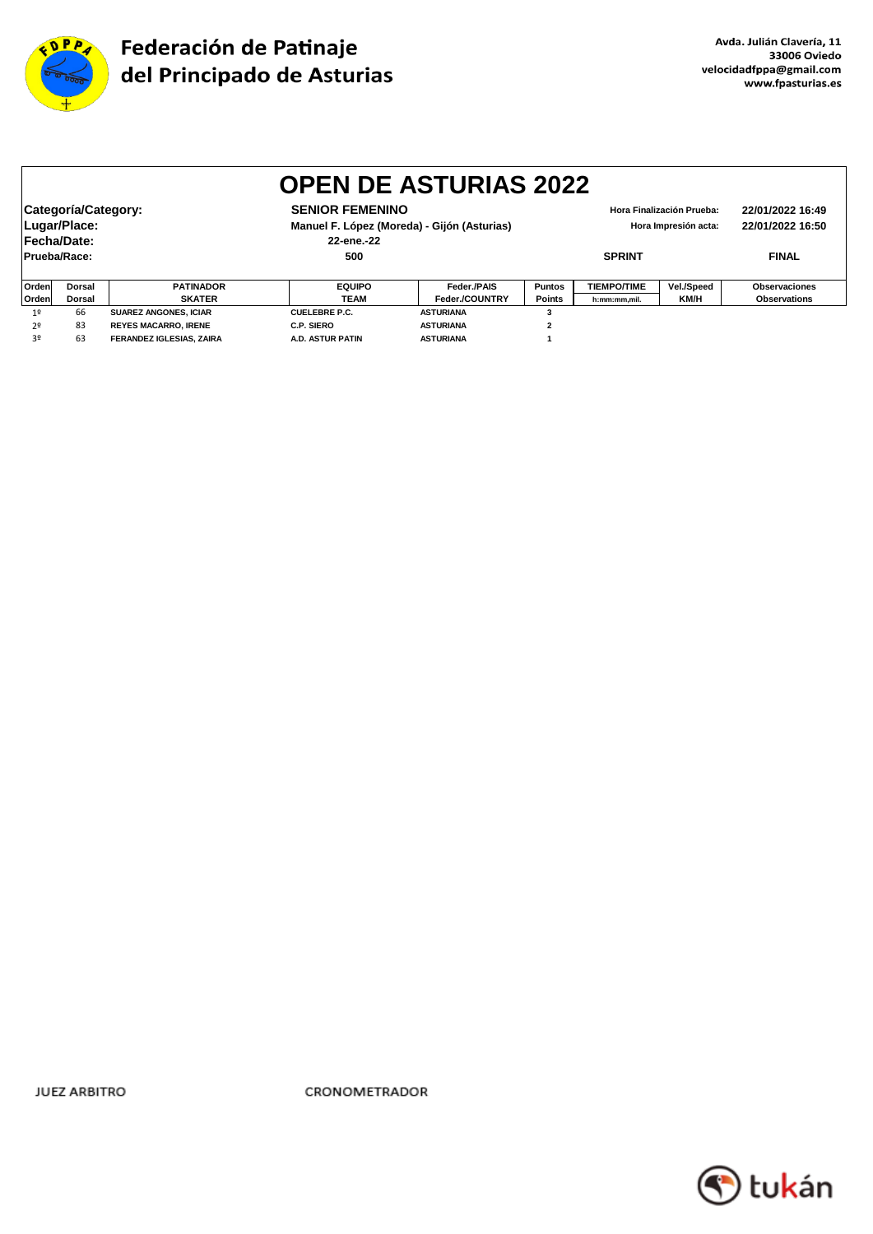

|                                                                                                                                                                                                                                        | <b>OPEN DE ASTURIAS 2022</b> |                                 |                         |                  |               |                    |              |                     |  |  |
|----------------------------------------------------------------------------------------------------------------------------------------------------------------------------------------------------------------------------------------|------------------------------|---------------------------------|-------------------------|------------------|---------------|--------------------|--------------|---------------------|--|--|
| Categoría/Category:<br><b>SENIOR FEMENINO</b><br>22/01/2022 16:49<br>Hora Finalización Prueba:<br>Lugar/Place:<br>Manuel F. López (Moreda) - Gijón (Asturias)<br>22/01/2022 16:50<br>Hora Impresión acta:<br>Fecha/Date:<br>22-ene.-22 |                              |                                 |                         |                  |               |                    |              |                     |  |  |
|                                                                                                                                                                                                                                        | Prueba/Race:                 |                                 | 500                     |                  | <b>SPRINT</b> |                    | <b>FINAL</b> |                     |  |  |
| Orden                                                                                                                                                                                                                                  | <b>Dorsal</b>                | <b>PATINADOR</b>                | <b>EQUIPO</b>           | Feder./PAIS      | <b>Puntos</b> | <b>TIEMPO/TIME</b> | Vel./Speed   | Observaciones       |  |  |
| Orden                                                                                                                                                                                                                                  | <b>Dorsal</b>                | <b>SKATER</b>                   | <b>TEAM</b>             | Feder./COUNTRY   | <b>Points</b> | h:mm:mm,mil.       | KM/H         | <b>Observations</b> |  |  |
| 1 <sup>°</sup>                                                                                                                                                                                                                         | 66                           | <b>SUAREZ ANGONES, ICIAR</b>    | <b>CUELEBRE P.C.</b>    | <b>ASTURIANA</b> |               |                    |              |                     |  |  |
| 2 <sup>0</sup>                                                                                                                                                                                                                         | 83                           | <b>REYES MACARRO. IRENE</b>     | C.P. SIERO              | <b>ASTURIANA</b> | $\mathbf{2}$  |                    |              |                     |  |  |
| 3º                                                                                                                                                                                                                                     | 63                           | <b>FERANDEZ IGLESIAS, ZAIRA</b> | <b>A.D. ASTUR PATIN</b> | <b>ASTURIANA</b> |               |                    |              |                     |  |  |

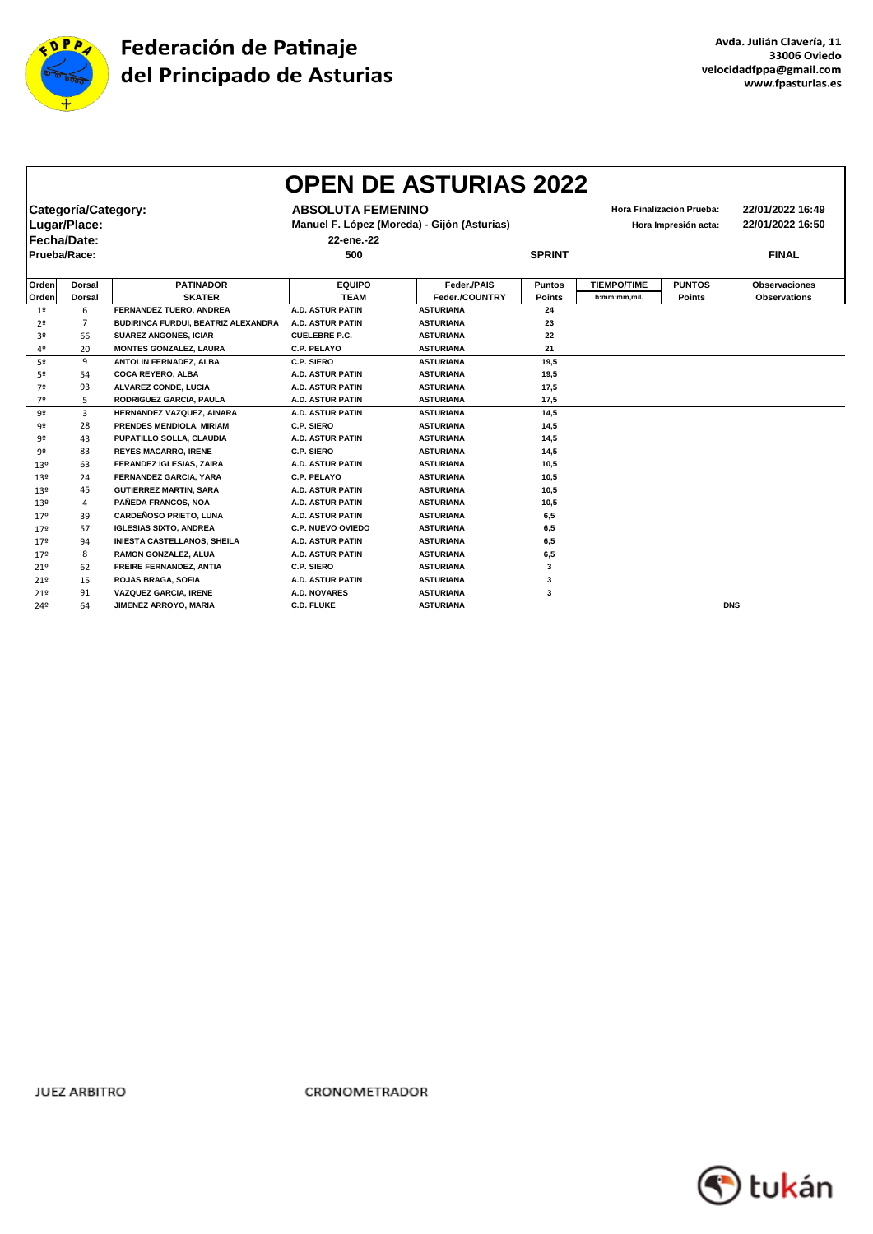

|                 |                                     |                                     |                                                                         | <b>OPEN DE ASTURIAS 2022</b> |               |                    |                                                   |                                      |
|-----------------|-------------------------------------|-------------------------------------|-------------------------------------------------------------------------|------------------------------|---------------|--------------------|---------------------------------------------------|--------------------------------------|
|                 | Categoría/Category:<br>Lugar/Place: |                                     | <b>ABSOLUTA FEMENINO</b><br>Manuel F. López (Moreda) - Gijón (Asturias) |                              |               |                    | Hora Finalización Prueba:<br>Hora Impresión acta: | 22/01/2022 16:49<br>22/01/2022 16:50 |
|                 | Fecha/Date:                         |                                     | 22-ene.-22                                                              |                              |               |                    |                                                   |                                      |
| Prueba/Race:    |                                     |                                     | 500                                                                     |                              | <b>SPRINT</b> |                    |                                                   | <b>FINAL</b>                         |
| Orden           | <b>Dorsal</b>                       | <b>PATINADOR</b>                    | <b>EQUIPO</b>                                                           | Feder./PAIS                  | Puntos        | <b>TIEMPO/TIME</b> | <b>PUNTOS</b>                                     | <b>Observaciones</b>                 |
| Orden           | <b>Dorsal</b>                       | <b>SKATER</b>                       | <b>TEAM</b>                                                             | Feder./COUNTRY               | <b>Points</b> | h:mm:mm.mil.       | Points                                            | <b>Observations</b>                  |
| 1 <sup>o</sup>  | 6                                   | FERNANDEZ TUERO, ANDREA             | <b>A.D. ASTUR PATIN</b>                                                 | <b>ASTURIANA</b>             | 24            |                    |                                                   |                                      |
| 2º              | 7                                   | BUDIRINCA FURDUI, BEATRIZ ALEXANDRA | <b>A.D. ASTUR PATIN</b>                                                 | <b>ASTURIANA</b>             | 23            |                    |                                                   |                                      |
| 3º              | 66                                  | <b>SUAREZ ANGONES, ICIAR</b>        | <b>CUELEBRE P.C.</b>                                                    | <b>ASTURIANA</b>             | 22            |                    |                                                   |                                      |
| 4º              | 20                                  | <b>MONTES GONZALEZ, LAURA</b>       | <b>C.P. PELAYO</b>                                                      | <b>ASTURIANA</b>             | 21            |                    |                                                   |                                      |
| 52              | 9                                   | ANTOLIN FERNADEZ, ALBA              | C.P. SIERO                                                              | <b>ASTURIANA</b>             | 19,5          |                    |                                                   |                                      |
| 5º              | 54                                  | <b>COCA REYERO, ALBA</b>            | <b>A.D. ASTUR PATIN</b>                                                 | <b>ASTURIANA</b>             | 19,5          |                    |                                                   |                                      |
| 7º              | 93                                  | ALVAREZ CONDE, LUCIA                | <b>A.D. ASTUR PATIN</b>                                                 | <b>ASTURIANA</b>             | 17,5          |                    |                                                   |                                      |
| 7º              | 5                                   | RODRIGUEZ GARCIA, PAULA             | <b>A.D. ASTUR PATIN</b>                                                 | <b>ASTURIANA</b>             | 17,5          |                    |                                                   |                                      |
| 92              | 3                                   | HERNANDEZ VAZQUEZ, AINARA           | <b>A.D. ASTUR PATIN</b>                                                 | <b>ASTURIANA</b>             | 14,5          |                    |                                                   |                                      |
| 92              | 28                                  | PRENDES MENDIOLA, MIRIAM            | <b>C.P. SIERO</b>                                                       | <b>ASTURIANA</b>             | 14,5          |                    |                                                   |                                      |
| 92              | 43                                  | PUPATILLO SOLLA, CLAUDIA            | <b>A.D. ASTUR PATIN</b>                                                 | <b>ASTURIANA</b>             | 14,5          |                    |                                                   |                                      |
| 92              | 83                                  | <b>REYES MACARRO, IRENE</b>         | <b>C.P. SIERO</b>                                                       | <b>ASTURIANA</b>             | 14,5          |                    |                                                   |                                      |
| 13 <sup>°</sup> | 63                                  | FERANDEZ IGLESIAS, ZAIRA            | <b>A.D. ASTUR PATIN</b>                                                 | <b>ASTURIANA</b>             | 10,5          |                    |                                                   |                                      |
| 13º             | 24                                  | <b>FERNANDEZ GARCIA, YARA</b>       | <b>C.P. PELAYO</b>                                                      | <b>ASTURIANA</b>             | 10,5          |                    |                                                   |                                      |
| 13 <sup>°</sup> | 45                                  | <b>GUTIERREZ MARTIN, SARA</b>       | <b>A.D. ASTUR PATIN</b>                                                 | <b>ASTURIANA</b>             | 10,5          |                    |                                                   |                                      |
| 13º             | 4                                   | PAÑEDA FRANCOS, NOA                 | <b>A.D. ASTUR PATIN</b>                                                 | <b>ASTURIANA</b>             | 10,5          |                    |                                                   |                                      |
| 179             | 39                                  | <b>CARDEÑOSO PRIETO, LUNA</b>       | <b>A.D. ASTUR PATIN</b>                                                 | <b>ASTURIANA</b>             | 6,5           |                    |                                                   |                                      |
| 179             | 57                                  | <b>IGLESIAS SIXTO, ANDREA</b>       | <b>C.P. NUEVO OVIEDO</b>                                                | <b>ASTURIANA</b>             | 6,5           |                    |                                                   |                                      |
| 179             | 94                                  | <b>INIESTA CASTELLANOS, SHEILA</b>  | <b>A.D. ASTUR PATIN</b>                                                 | <b>ASTURIANA</b>             | 6,5           |                    |                                                   |                                      |
| 179             | 8                                   | RAMON GONZALEZ, ALUA                | <b>A.D. ASTUR PATIN</b>                                                 | <b>ASTURIANA</b>             | 6,5           |                    |                                                   |                                      |
| 21°             | 62                                  | FREIRE FERNANDEZ, ANTIA             | C.P. SIERO                                                              | <b>ASTURIANA</b>             | 3             |                    |                                                   |                                      |
| 21°             | 15                                  | <b>ROJAS BRAGA, SOFIA</b>           | <b>A.D. ASTUR PATIN</b>                                                 | <b>ASTURIANA</b>             | 3             |                    |                                                   |                                      |
| 219             | 91                                  | <b>VAZQUEZ GARCIA, IRENE</b>        | <b>A.D. NOVARES</b>                                                     | <b>ASTURIANA</b>             | 3             |                    |                                                   |                                      |
| 24º             | 64                                  | JIMENEZ ARROYO, MARIA               | <b>C.D. FLUKE</b>                                                       | <b>ASTURIANA</b>             |               |                    |                                                   | <b>DNS</b>                           |

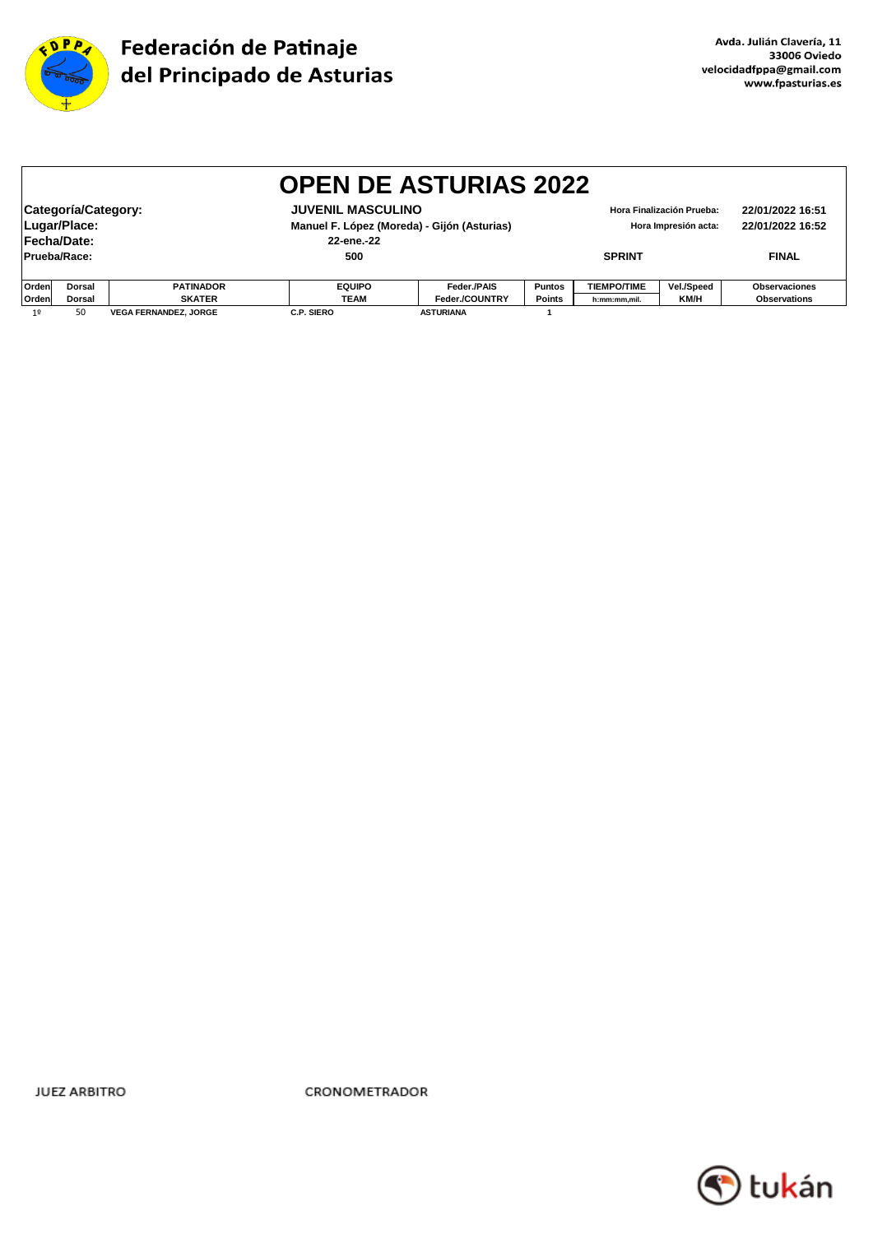

|                                                                     |                                                                                                                                                                                                                                          |                              | <b>OPEN DE ASTURIAS 2022</b> |                  |               |                    |             |                     |  |
|---------------------------------------------------------------------|------------------------------------------------------------------------------------------------------------------------------------------------------------------------------------------------------------------------------------------|------------------------------|------------------------------|------------------|---------------|--------------------|-------------|---------------------|--|
|                                                                     | Categoría/Category:<br><b>JUVENIL MASCULINO</b><br>22/01/2022 16:51<br>Hora Finalización Prueba:<br>Lugar/Place:<br>Manuel F. López (Moreda) - Gijón (Asturias)<br>22/01/2022 16:52<br>Hora Impresión acta:<br>Fecha/Date:<br>22-ene.-22 |                              |                              |                  |               |                    |             |                     |  |
| Prueba/Race:                                                        |                                                                                                                                                                                                                                          |                              | 500                          |                  |               | <b>SPRINT</b>      |             | <b>FINAL</b>        |  |
| Orden<br><b>EQUIPO</b><br>Feder./PAIS<br><b>PATINADOR</b><br>Dorsal |                                                                                                                                                                                                                                          |                              |                              |                  | <b>Puntos</b> | <b>TIEMPO/TIME</b> | Vel./Speed  | Observaciones       |  |
| Orden                                                               | <b>Dorsal</b>                                                                                                                                                                                                                            | <b>SKATER</b>                | <b>TEAM</b>                  | Feder./COUNTRY   | <b>Points</b> | h:mm:mm,mil.       | <b>KM/H</b> | <b>Observations</b> |  |
| 1 <sup>°</sup>                                                      | 50                                                                                                                                                                                                                                       | <b>VEGA FERNANDEZ, JORGE</b> | <b>C.P. SIERO</b>            | <b>ASTURIANA</b> |               |                    |             |                     |  |

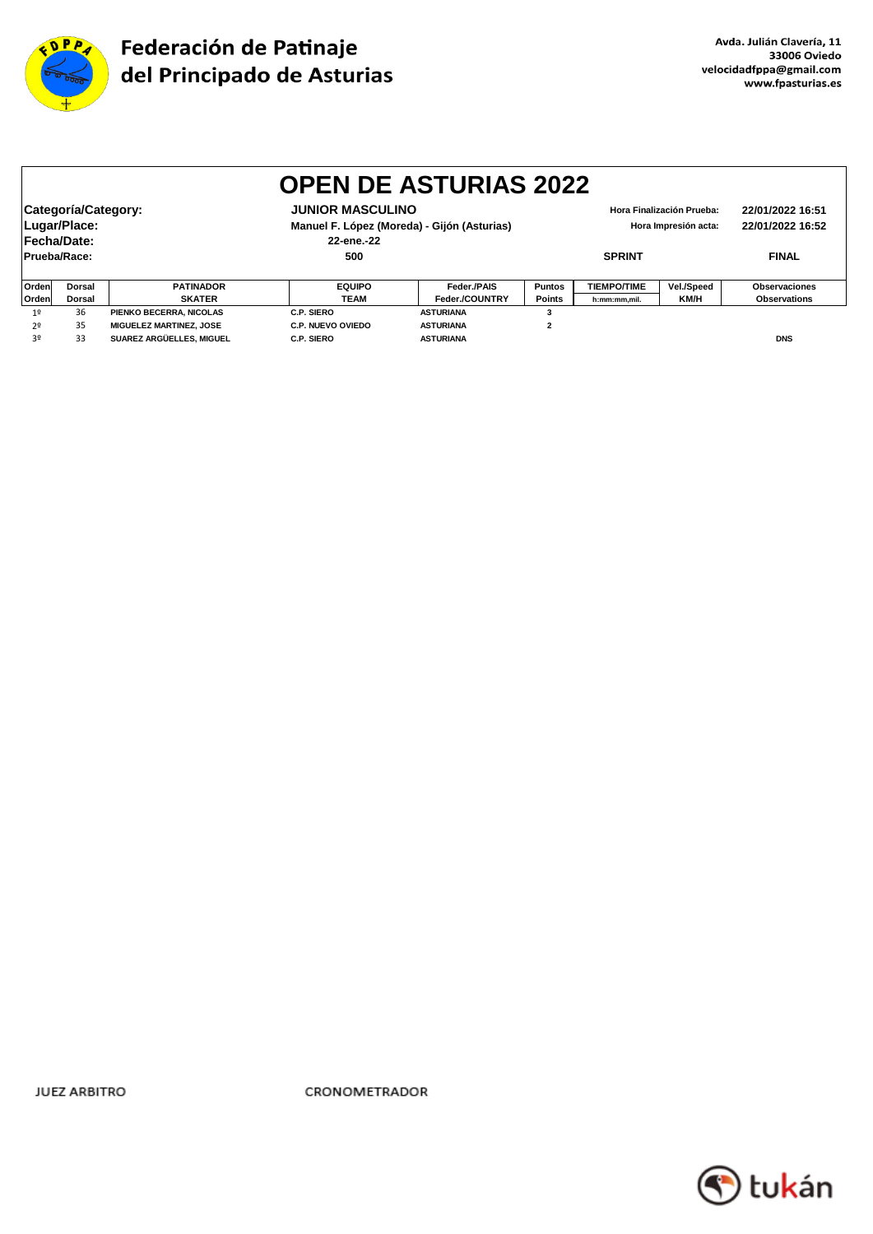

|                | <b>OPEN DE ASTURIAS 2022</b>                                                                    |                                |                          |                                             |               |                                          |            |                     |  |  |  |
|----------------|-------------------------------------------------------------------------------------------------|--------------------------------|--------------------------|---------------------------------------------|---------------|------------------------------------------|------------|---------------------|--|--|--|
|                |                                                                                                 |                                |                          |                                             |               |                                          |            |                     |  |  |  |
|                | Categoría/Category:<br><b>JUNIOR MASCULINO</b><br>22/01/2022 16:51<br>Hora Finalización Prueba: |                                |                          |                                             |               |                                          |            |                     |  |  |  |
|                | Lugar/Place:                                                                                    |                                |                          | Manuel F. López (Moreda) - Gijón (Asturias) |               | 22/01/2022 16:52<br>Hora Impresión acta: |            |                     |  |  |  |
|                | Fecha/Date:                                                                                     |                                | 22-ene.-22               |                                             |               |                                          |            |                     |  |  |  |
|                | Prueba/Race:                                                                                    |                                | 500                      |                                             |               | <b>SPRINT</b>                            |            | <b>FINAL</b>        |  |  |  |
|                |                                                                                                 |                                |                          |                                             |               |                                          |            |                     |  |  |  |
| Orden          | <b>Dorsal</b>                                                                                   | <b>PATINADOR</b>               | <b>EQUIPO</b>            | Feder./PAIS                                 | <b>Puntos</b> | <b>TIEMPO/TIME</b>                       | Vel./Speed | Observaciones       |  |  |  |
| Orden          | <b>SKATER</b><br><b>Dorsal</b>                                                                  |                                | TEAM                     | Feder./COUNTRY                              | <b>Points</b> | h:mm:mm,mil.                             | KM/H       | <b>Observations</b> |  |  |  |
| 1 <sup>0</sup> | 36                                                                                              | PIENKO BECERRA, NICOLAS        | C.P. SIERO               | <b>ASTURIANA</b>                            |               |                                          |            |                     |  |  |  |
| 2º             | 35                                                                                              | <b>MIGUELEZ MARTINEZ, JOSE</b> | <b>C.P. NUEVO OVIEDO</b> | <b>ASTURIANA</b>                            | $\mathbf{2}$  |                                          |            |                     |  |  |  |
| 3º             | 33                                                                                              | SUAREZ ARGÜELLES, MIGUEL       | C.P. SIERO               | <b>ASTURIANA</b>                            |               |                                          |            | <b>DNS</b>          |  |  |  |

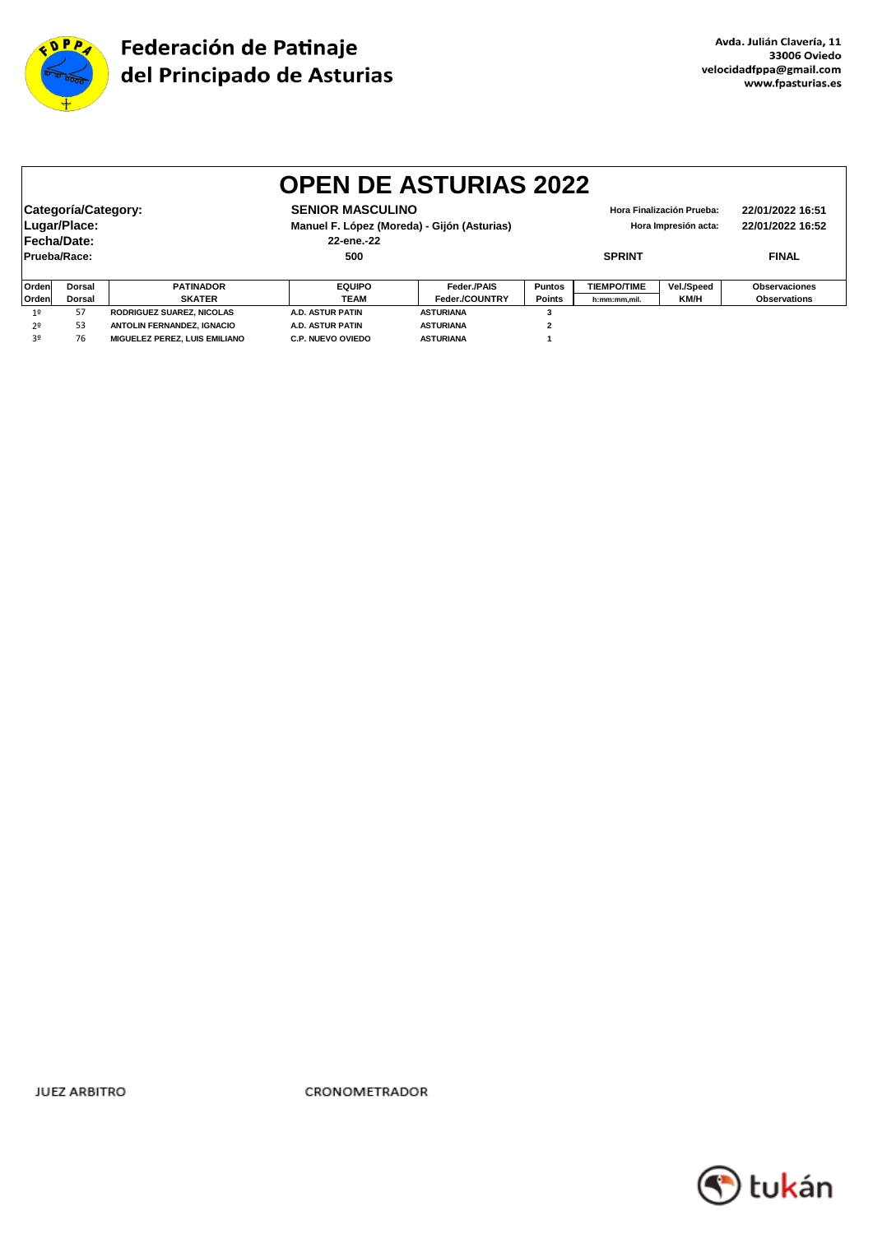

|                | <b>OPEN DE ASTURIAS 2022</b>                                                                                                                                                                                                            |                               |                          |                  |               |                    |              |                      |  |  |  |
|----------------|-----------------------------------------------------------------------------------------------------------------------------------------------------------------------------------------------------------------------------------------|-------------------------------|--------------------------|------------------|---------------|--------------------|--------------|----------------------|--|--|--|
|                | Categoría/Category:<br><b>SENIOR MASCULINO</b><br>22/01/2022 16:51<br>Hora Finalización Prueba:<br>Lugar/Place:<br>Manuel F. López (Moreda) - Gijón (Asturias)<br>22/01/2022 16:52<br>Hora Impresión acta:<br>Fecha/Date:<br>22-ene.-22 |                               |                          |                  |               |                    |              |                      |  |  |  |
|                | Prueba/Race:                                                                                                                                                                                                                            |                               | 500                      | <b>SPRINT</b>    |               |                    | <b>FINAL</b> |                      |  |  |  |
| <b>Orden</b>   | <b>Dorsal</b>                                                                                                                                                                                                                           | <b>PATINADOR</b>              | <b>EQUIPO</b>            | Feder./PAIS      | <b>Puntos</b> | <b>TIEMPO/TIME</b> | Vel./Speed   | <b>Observaciones</b> |  |  |  |
| <b>Orden</b>   | <b>SKATER</b><br><b>Dorsal</b>                                                                                                                                                                                                          |                               | TEAM                     | Feder./COUNTRY   | Points        | h:mm:mm,mil.       | KM/H         | <b>Observations</b>  |  |  |  |
| 1 <sup>°</sup> | 57                                                                                                                                                                                                                                      | RODRIGUEZ SUAREZ, NICOLAS     | <b>A.D. ASTUR PATIN</b>  | <b>ASTURIANA</b> |               |                    |              |                      |  |  |  |
| 2º             | 53                                                                                                                                                                                                                                      | ANTOLIN FERNANDEZ, IGNACIO    | A.D. ASTUR PATIN         | <b>ASTURIANA</b> | 2             |                    |              |                      |  |  |  |
| 30             | 76                                                                                                                                                                                                                                      | MIGUELEZ PEREZ. LUIS EMILIANO | <b>C.P. NUEVO OVIEDO</b> | <b>ASTURIANA</b> |               |                    |              |                      |  |  |  |

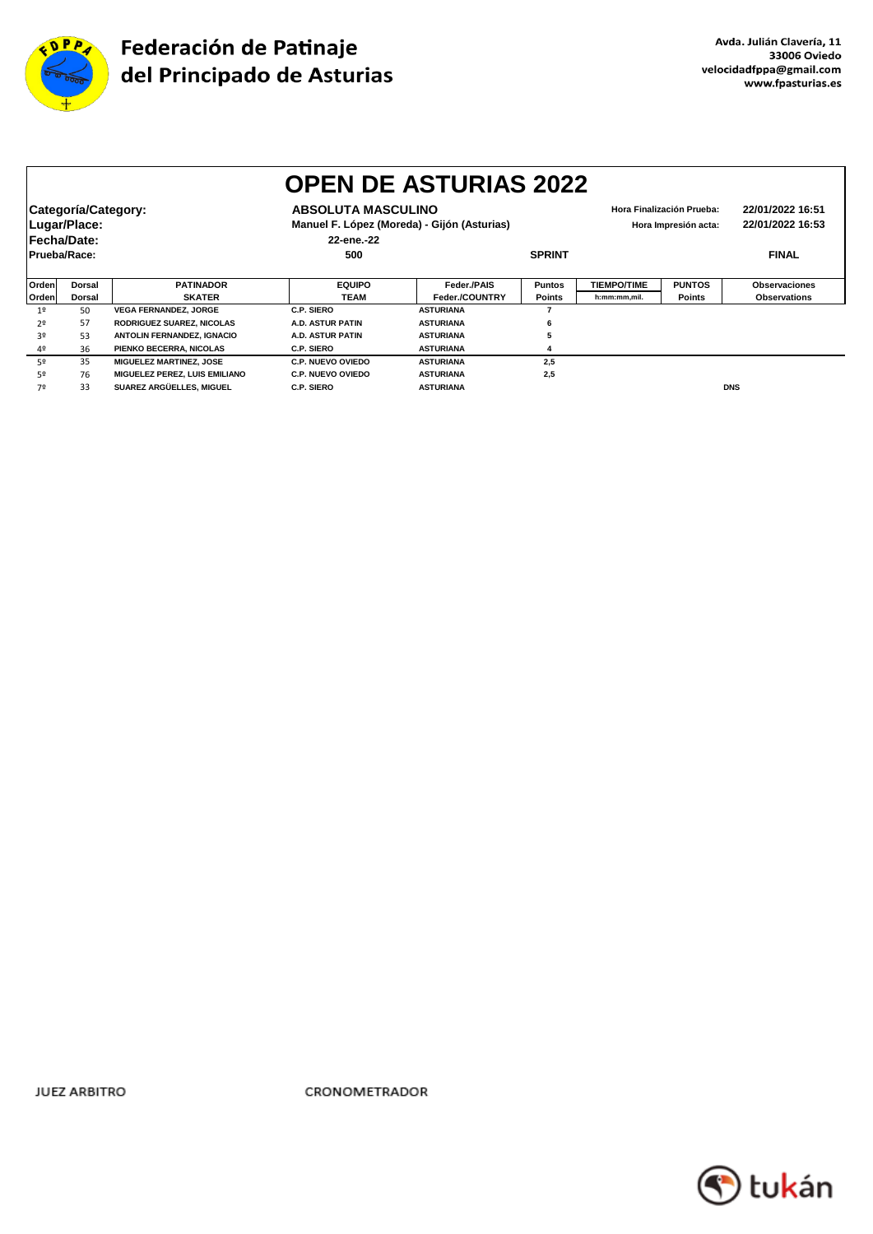

|                | <b>OPEN DE ASTURIAS 2022</b>                       |                                  |                                                                                                                                             |                  |               |                    |                                      |                      |  |  |  |
|----------------|----------------------------------------------------|----------------------------------|---------------------------------------------------------------------------------------------------------------------------------------------|------------------|---------------|--------------------|--------------------------------------|----------------------|--|--|--|
|                | Categoría/Category:<br>Lugar/Place:<br>Fecha/Date: |                                  | <b>ABSOLUTA MASCULINO</b><br>Hora Finalización Prueba:<br>Manuel F. López (Moreda) - Gijón (Asturias)<br>Hora Impresión acta:<br>22-ene.-22 |                  |               |                    | 22/01/2022 16:51<br>22/01/2022 16:53 |                      |  |  |  |
| Prueba/Race:   |                                                    |                                  | 500                                                                                                                                         |                  | <b>SPRINT</b> |                    |                                      | <b>FINAL</b>         |  |  |  |
| Orden          | <b>Dorsal</b>                                      | <b>PATINADOR</b>                 | <b>EQUIPO</b>                                                                                                                               | Feder./PAIS      | <b>Puntos</b> | <b>TIEMPO/TIME</b> | <b>PUNTOS</b>                        | <b>Observaciones</b> |  |  |  |
| Orden          | Dorsal                                             | <b>SKATER</b>                    | <b>TEAM</b>                                                                                                                                 | Feder./COUNTRY   | <b>Points</b> | h:mm:mm.mil.       | Points                               | <b>Observations</b>  |  |  |  |
| 1 <sup>0</sup> | 50                                                 | <b>VEGA FERNANDEZ, JORGE</b>     | C.P. SIERO                                                                                                                                  | <b>ASTURIANA</b> |               |                    |                                      |                      |  |  |  |
| 20             | 57                                                 | <b>RODRIGUEZ SUAREZ, NICOLAS</b> | A.D. ASTUR PATIN                                                                                                                            | <b>ASTURIANA</b> | 6             |                    |                                      |                      |  |  |  |
| 3º             | 53                                                 | ANTOLIN FERNANDEZ, IGNACIO       | A.D. ASTUR PATIN                                                                                                                            | <b>ASTURIANA</b> |               |                    |                                      |                      |  |  |  |
| 4º             | 36                                                 | PIENKO BECERRA, NICOLAS          | C.P. SIERO                                                                                                                                  | <b>ASTURIANA</b> |               |                    |                                      |                      |  |  |  |
| 52             | 35                                                 | <b>MIGUELEZ MARTINEZ, JOSE</b>   | <b>C.P. NUEVO OVIEDO</b>                                                                                                                    | <b>ASTURIANA</b> | 2,5           |                    |                                      |                      |  |  |  |
| 52             | 76                                                 | MIGUELEZ PEREZ, LUIS EMILIANO    | <b>C.P. NUEVO OVIEDO</b>                                                                                                                    | <b>ASTURIANA</b> | 2,5           |                    |                                      |                      |  |  |  |
| 7º             | 33                                                 | SUAREZ ARGÜELLES, MIGUEL         | C.P. SIERO                                                                                                                                  | <b>ASTURIANA</b> |               |                    |                                      | <b>DNS</b>           |  |  |  |

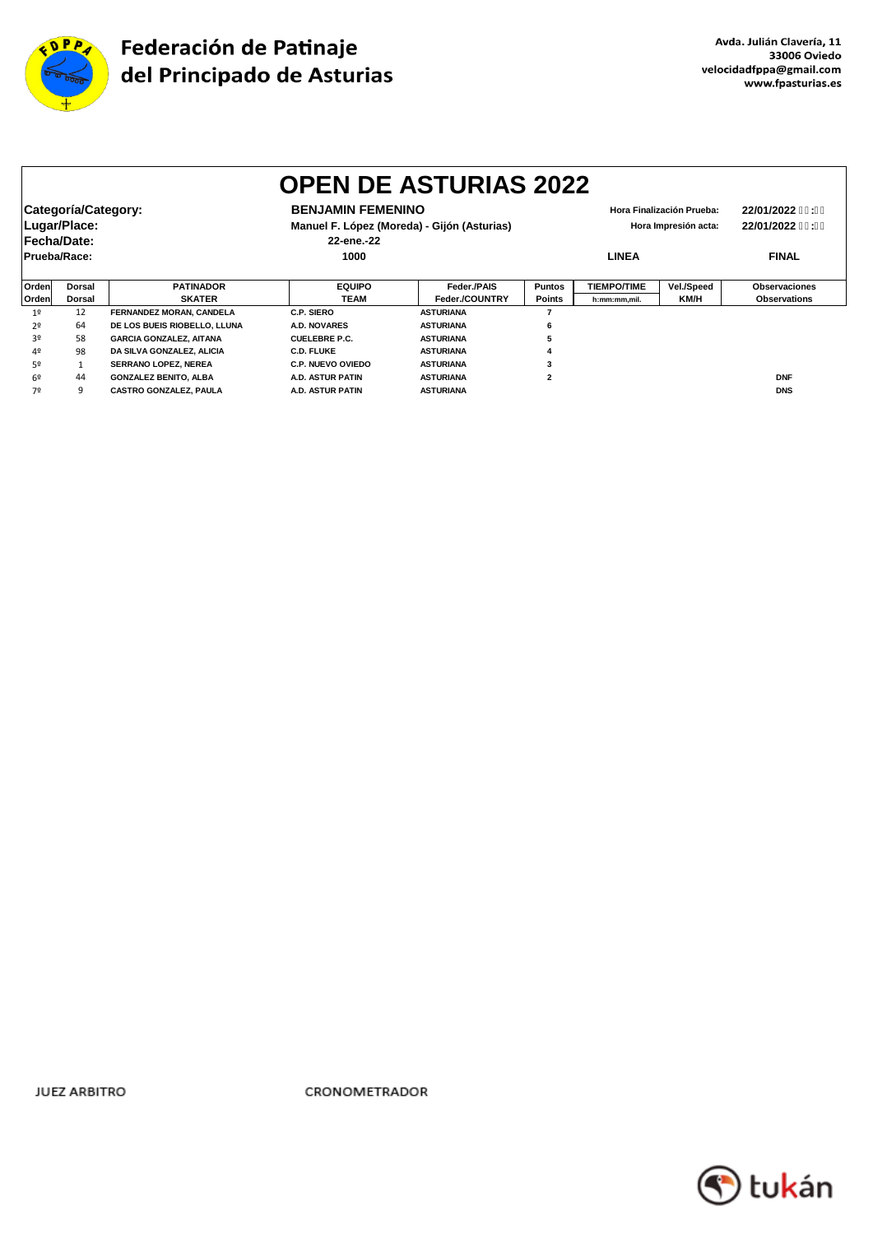

|                | <b>OPEN DE ASTURIAS 2022</b>                       |                                |                                        |                                             |                                                   |                    |              |                                    |  |  |  |
|----------------|----------------------------------------------------|--------------------------------|----------------------------------------|---------------------------------------------|---------------------------------------------------|--------------------|--------------|------------------------------------|--|--|--|
|                | Categoría/Category:<br>Lugar/Place:<br>Fecha/Date: |                                | <b>BENJAMIN FEMENINO</b><br>22-ene.-22 | Manuel F. López (Moreda) - Gijón (Asturias) | Hora Finalización Prueba:<br>Hora Impresión acta: |                    |              | 22/01/2022 %: %<br>22/01/2022 %: % |  |  |  |
|                | Prueba/Race:                                       |                                | 1000                                   |                                             | <b>LINEA</b>                                      |                    | <b>FINAL</b> |                                    |  |  |  |
| Ordenl         | Dorsal                                             | <b>PATINADOR</b>               | <b>EQUIPO</b>                          | Feder./PAIS                                 | <b>Puntos</b>                                     | <b>TIEMPO/TIME</b> | Vel./Speed   | <b>Observaciones</b>               |  |  |  |
| Orden          | Dorsal                                             | <b>SKATER</b>                  | TEAM                                   | Feder./COUNTRY                              | <b>Points</b>                                     | h:mm:mm,mil.       | KM/H         | <b>Observations</b>                |  |  |  |
| 1 <sup>°</sup> | 12                                                 | FERNANDEZ MORAN, CANDELA       | C.P. SIERO                             | <b>ASTURIANA</b>                            |                                                   |                    |              |                                    |  |  |  |
| 2º             | 64                                                 | DE LOS BUEIS RIOBELLO, LLUNA   | <b>A.D. NOVARES</b>                    | <b>ASTURIANA</b>                            | 6                                                 |                    |              |                                    |  |  |  |
| 30             | 58                                                 | <b>GARCIA GONZALEZ, AITANA</b> | <b>CUELEBRE P.C.</b>                   | <b>ASTURIANA</b>                            |                                                   |                    |              |                                    |  |  |  |
| 40             | 98                                                 | DA SILVA GONZALEZ, ALICIA      | <b>C.D. FLUKE</b>                      | <b>ASTURIANA</b>                            |                                                   |                    |              |                                    |  |  |  |
| 50             |                                                    | <b>SERRANO LOPEZ, NEREA</b>    | C.P. NUEVO OVIEDO                      | <b>ASTURIANA</b>                            |                                                   |                    |              |                                    |  |  |  |
| 69             | 44                                                 | <b>GONZALEZ BENITO, ALBA</b>   | A.D. ASTUR PATIN                       | <b>ASTURIANA</b>                            | $\overline{2}$                                    |                    |              | <b>DNF</b>                         |  |  |  |
| 7º             | 9                                                  | <b>CASTRO GONZALEZ, PAULA</b>  | A.D. ASTUR PATIN                       | <b>ASTURIANA</b>                            |                                                   |                    |              | <b>DNS</b>                         |  |  |  |

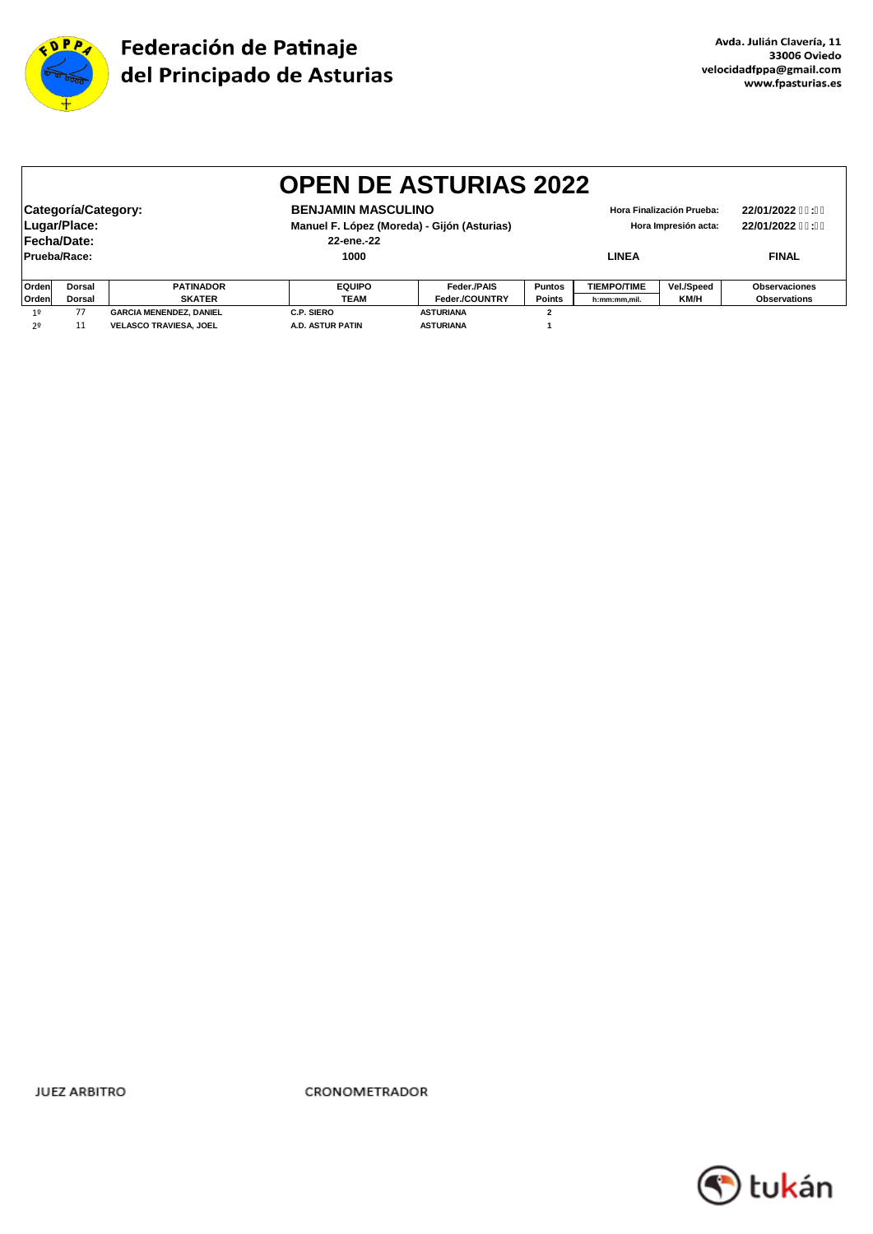

|                | <b>OPEN DE ASTURIAS 2022</b>                                                                                                                                                                                                            |                                |               |                  |                |                    |            |                     |  |  |
|----------------|-----------------------------------------------------------------------------------------------------------------------------------------------------------------------------------------------------------------------------------------|--------------------------------|---------------|------------------|----------------|--------------------|------------|---------------------|--|--|
|                | Categoría/Category:<br><b>BENJAMIN MASCULINO</b><br>22/01/2022 %: %<br>Hora Finalización Prueba:<br>Lugar/Place:<br>Manuel F. López (Moreda) - Gijón (Asturias)<br>22/01/2022 %: %<br>Hora Impresión acta:<br>Fecha/Date:<br>22-ene.-22 |                                |               |                  |                |                    |            |                     |  |  |
|                | Prueba/Race:                                                                                                                                                                                                                            |                                | 1000          |                  |                | <b>LINEA</b>       |            | <b>FINAL</b>        |  |  |
| Orden          | Dorsal                                                                                                                                                                                                                                  | <b>PATINADOR</b>               | <b>EQUIPO</b> | Feder./PAIS      | <b>Puntos</b>  | <b>TIEMPO/TIME</b> | Vel./Speed | Observaciones       |  |  |
| Orden          | <b>Dorsal</b>                                                                                                                                                                                                                           | <b>SKATER</b>                  | <b>TEAM</b>   | Feder./COUNTRY   | <b>Points</b>  | h:mm:mm.mil.       | KM/H       | <b>Observations</b> |  |  |
| 1 <sup>°</sup> | 77                                                                                                                                                                                                                                      | <b>GARCIA MENENDEZ, DANIEL</b> | C.P. SIERO    | <b>ASTURIANA</b> | $\overline{2}$ |                    |            |                     |  |  |
| 2 <sup>o</sup> | 11<br><b>VELASCO TRAVIESA, JOEL</b><br><b>A.D. ASTUR PATIN</b><br><b>ASTURIANA</b>                                                                                                                                                      |                                |               |                  |                |                    |            |                     |  |  |

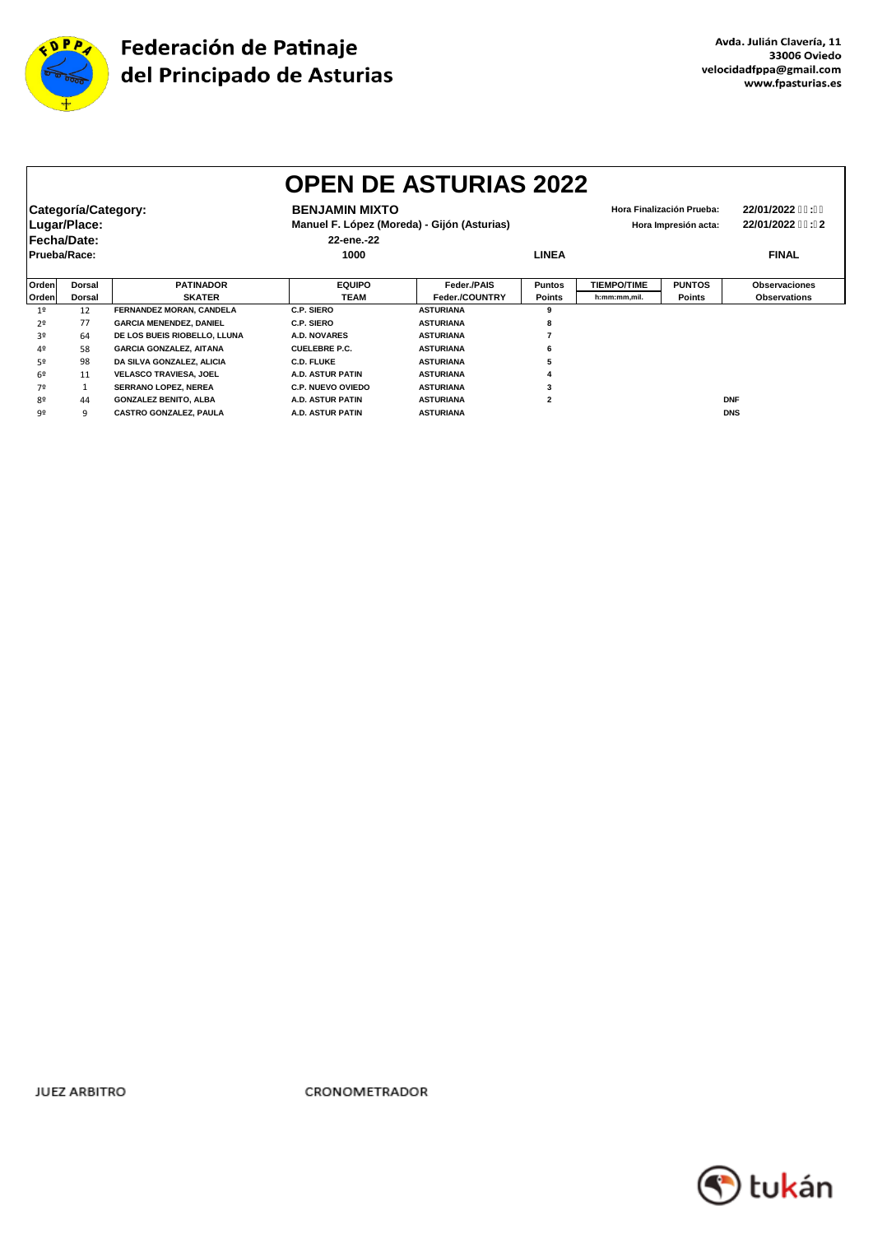

|                |                                                    |                                |                                     | <b>OPEN DE ASTURIAS 2022</b>                                                                     |                |                    |               |                                    |
|----------------|----------------------------------------------------|--------------------------------|-------------------------------------|--------------------------------------------------------------------------------------------------|----------------|--------------------|---------------|------------------------------------|
|                | Categoría/Category:<br>Lugar/Place:<br>Fecha/Date: |                                | <b>BENJAMIN MIXTO</b><br>22-ene.-22 | Hora Finalización Prueba:<br>Manuel F. López (Moreda) - Gijón (Asturias)<br>Hora Impresión acta: |                |                    |               | 22/01/2022 %: %<br>22/01/2022 %: 2 |
| Prueba/Race:   |                                                    |                                | 1000                                |                                                                                                  | <b>LINEA</b>   |                    |               | <b>FINAL</b>                       |
| Orden          | <b>Dorsal</b>                                      | <b>PATINADOR</b>               | <b>EQUIPO</b>                       | Feder./PAIS                                                                                      | <b>Puntos</b>  | <b>TIEMPO/TIME</b> | <b>PUNTOS</b> | <b>Observaciones</b>               |
| Orden          | Dorsal                                             | <b>SKATER</b>                  | <b>TEAM</b>                         | Feder./COUNTRY                                                                                   | <b>Points</b>  | h:mm:mm.mil.       | Points        | <b>Observations</b>                |
| 1 <sup>°</sup> | 12                                                 | FERNANDEZ MORAN, CANDELA       | C.P. SIERO                          | <b>ASTURIANA</b>                                                                                 | 9              |                    |               |                                    |
| 2º             | 77                                                 | <b>GARCIA MENENDEZ, DANIEL</b> | C.P. SIERO                          | <b>ASTURIANA</b>                                                                                 | 8              |                    |               |                                    |
| 3º             | 64                                                 | DE LOS BUEIS RIOBELLO, LLUNA   | <b>A.D. NOVARES</b>                 | <b>ASTURIANA</b>                                                                                 |                |                    |               |                                    |
| 4º             | 58                                                 | <b>GARCIA GONZALEZ, AITANA</b> | <b>CUELEBRE P.C.</b>                | <b>ASTURIANA</b>                                                                                 | 6              |                    |               |                                    |
| 52             | 98                                                 | DA SILVA GONZALEZ, ALICIA      | <b>C.D. FLUKE</b>                   | <b>ASTURIANA</b>                                                                                 |                |                    |               |                                    |
| 6º             | 11                                                 | <b>VELASCO TRAVIESA, JOEL</b>  | A.D. ASTUR PATIN                    | <b>ASTURIANA</b>                                                                                 |                |                    |               |                                    |
| 70             |                                                    | SERRANO LOPEZ, NEREA           | <b>C.P. NUEVO OVIEDO</b>            | <b>ASTURIANA</b>                                                                                 |                |                    |               |                                    |
| 80             | 44                                                 | <b>GONZALEZ BENITO, ALBA</b>   | <b>A.D. ASTUR PATIN</b>             | <b>ASTURIANA</b>                                                                                 | $\overline{2}$ |                    |               | <b>DNF</b>                         |
| 92             | 9                                                  | CASTRO GONZALEZ, PAULA         | A.D. ASTUR PATIN                    | <b>ASTURIANA</b>                                                                                 |                |                    |               | <b>DNS</b>                         |

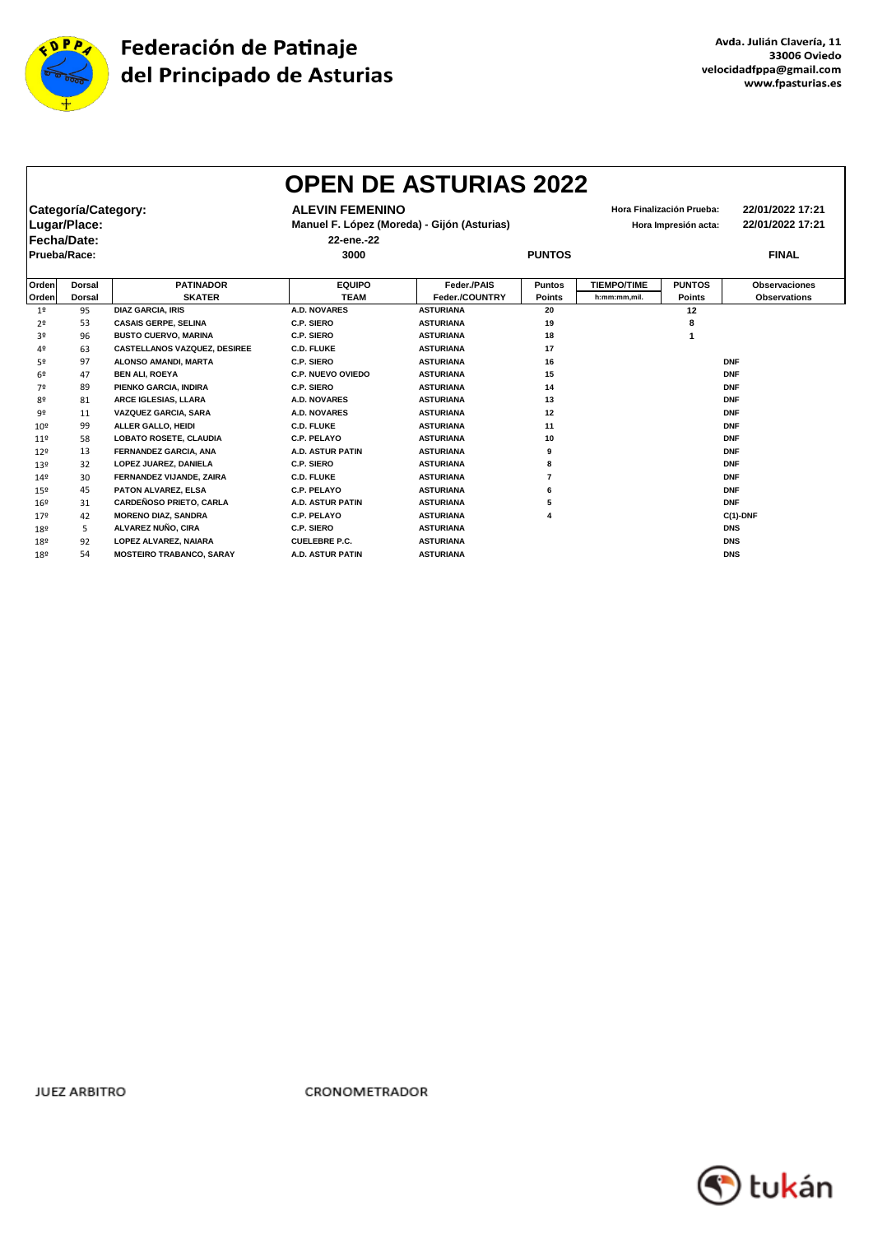

|                 |                     |                                     |                         | <b>OPEN DE ASTURIAS 2022</b>                |               |                    |                           |                      |
|-----------------|---------------------|-------------------------------------|-------------------------|---------------------------------------------|---------------|--------------------|---------------------------|----------------------|
|                 | Categoría/Category: |                                     | <b>ALEVIN FEMENINO</b>  |                                             |               |                    | Hora Finalización Prueba: | 22/01/2022 17:21     |
|                 | Lugar/Place:        |                                     |                         | Manuel F. López (Moreda) - Gijón (Asturias) |               |                    | Hora Impresión acta:      | 22/01/2022 17:21     |
| Fecha/Date:     |                     |                                     | 22-ene.-22              |                                             |               |                    |                           |                      |
| Prueba/Race:    |                     |                                     | 3000                    |                                             | <b>PUNTOS</b> |                    |                           | <b>FINAL</b>         |
| Orden           | <b>Dorsal</b>       | <b>PATINADOR</b>                    | <b>EQUIPO</b>           | Feder./PAIS                                 | <b>Puntos</b> | <b>TIEMPO/TIME</b> | <b>PUNTOS</b>             | <b>Observaciones</b> |
| Orden           | <b>Dorsal</b>       | <b>SKATER</b>                       | <b>TEAM</b>             | Feder./COUNTRY                              | <b>Points</b> | h:mm:mm.mil.       | <b>Points</b>             | <b>Observations</b>  |
| 1 <sup>o</sup>  | 95                  | <b>DIAZ GARCIA, IRIS</b>            | <b>A.D. NOVARES</b>     | <b>ASTURIANA</b>                            | 20            |                    | 12                        |                      |
| 2 <sup>o</sup>  | 53                  | <b>CASAIS GERPE, SELINA</b>         | C.P. SIERO              | <b>ASTURIANA</b>                            | 19            |                    | 8                         |                      |
| 30              | 96                  | <b>BUSTO CUERVO, MARINA</b>         | C.P. SIERO              | <b>ASTURIANA</b>                            | 18            |                    |                           |                      |
| 4º              | 63                  | <b>CASTELLANOS VAZQUEZ, DESIREE</b> | <b>C.D. FLUKE</b>       | <b>ASTURIANA</b>                            | 17            |                    |                           |                      |
| 5º              | 97                  | ALONSO AMANDI, MARTA                | C.P. SIERO              | <b>ASTURIANA</b>                            | 16            |                    |                           | <b>DNF</b>           |
| 6º              | 47                  | <b>BEN ALI, ROEYA</b>               | C.P. NUEVO OVIEDO       | <b>ASTURIANA</b>                            | 15            |                    |                           | <b>DNF</b>           |
| 79              | 89                  | PIENKO GARCIA, INDIRA               | C.P. SIERO              | <b>ASTURIANA</b>                            | 14            |                    |                           | <b>DNF</b>           |
| 80              | 81                  | ARCE IGLESIAS, LLARA                | A.D. NOVARES            | <b>ASTURIANA</b>                            | 13            |                    |                           | <b>DNF</b>           |
| 92              | 11                  | VAZQUEZ GARCIA, SARA                | <b>A.D. NOVARES</b>     | <b>ASTURIANA</b>                            | 12            |                    |                           | <b>DNF</b>           |
| 10 <sup>9</sup> | 99                  | ALLER GALLO, HEIDI                  | <b>C.D. FLUKE</b>       | <b>ASTURIANA</b>                            | 11            |                    |                           | <b>DNF</b>           |
| 119             | 58                  | <b>LOBATO ROSETE, CLAUDIA</b>       | C.P. PELAYO             | <b>ASTURIANA</b>                            | 10            |                    |                           | <b>DNF</b>           |
| 129             | 13                  | FERNANDEZ GARCIA, ANA               | <b>A.D. ASTUR PATIN</b> | <b>ASTURIANA</b>                            | 9             |                    |                           | <b>DNF</b>           |
| 13º             | 32                  | LOPEZ JUAREZ, DANIELA               | C.P. SIERO              | <b>ASTURIANA</b>                            | 8             |                    |                           | <b>DNF</b>           |
| 14º             | 30                  | FERNANDEZ VIJANDE, ZAIRA            | <b>C.D. FLUKE</b>       | <b>ASTURIANA</b>                            | 7             |                    |                           | <b>DNF</b>           |
| 15º             | 45                  | PATON ALVAREZ, ELSA                 | C.P. PELAYO             | <b>ASTURIANA</b>                            | 6             |                    |                           | <b>DNF</b>           |
| 16º             | 31                  | <b>CARDEÑOSO PRIETO, CARLA</b>      | <b>A.D. ASTUR PATIN</b> | <b>ASTURIANA</b>                            | 5             |                    |                           | <b>DNF</b>           |
| 179             | 42                  | <b>MORENO DIAZ, SANDRA</b>          | C.P. PELAYO             | <b>ASTURIANA</b>                            | 4             |                    |                           | $C(1)$ -DNF          |
| 18º             | 5                   | ALVAREZ NUÑO, CIRA                  | C.P. SIERO              | <b>ASTURIANA</b>                            |               |                    |                           | <b>DNS</b>           |
| 18º             | 92                  | LOPEZ ALVAREZ, NAIARA               | <b>CUELEBRE P.C.</b>    | <b>ASTURIANA</b>                            |               |                    |                           | <b>DNS</b>           |
| 18º             | 54                  | <b>MOSTEIRO TRABANCO, SARAY</b>     | <b>A.D. ASTUR PATIN</b> | <b>ASTURIANA</b>                            |               |                    |                           | <b>DNS</b>           |

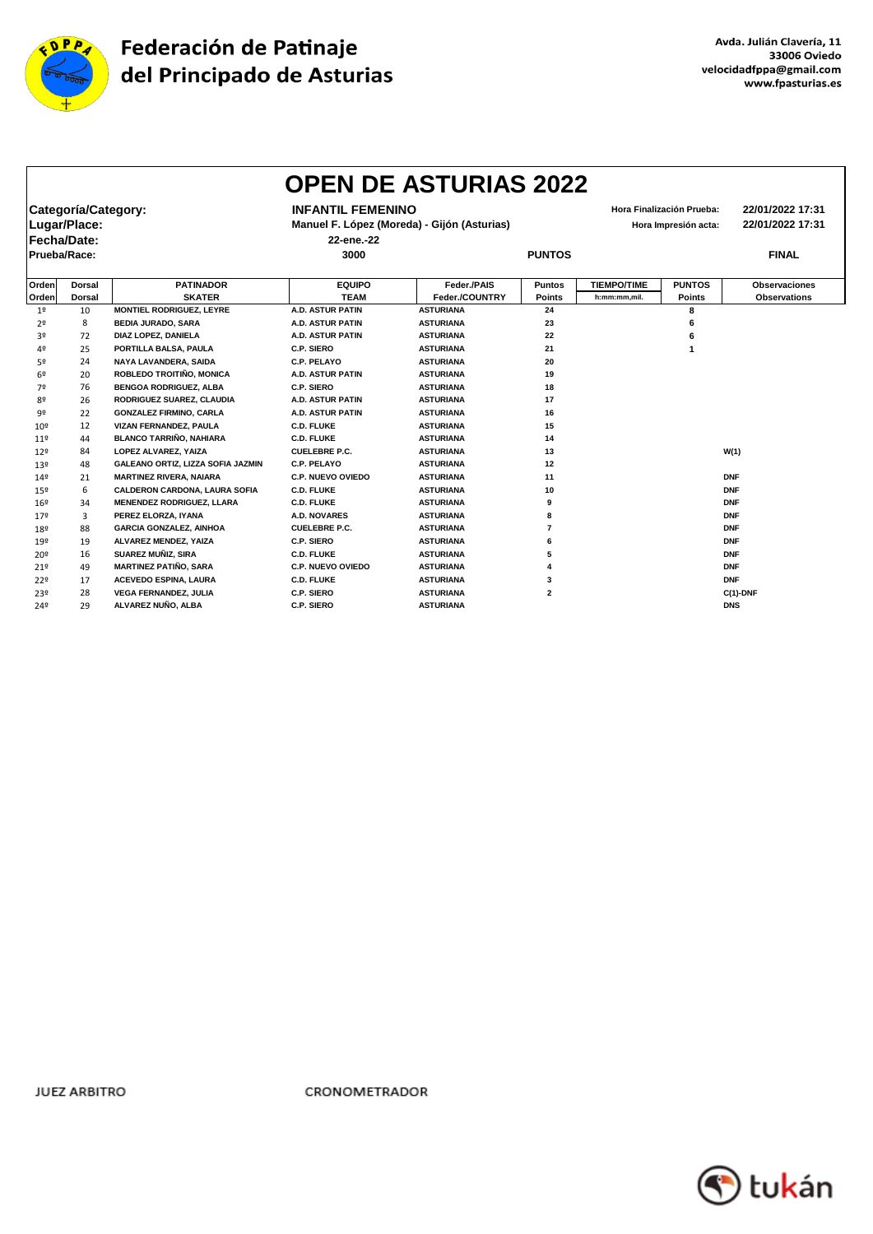

|                 |                     |                                      |                          | <b>OPEN DE ASTURIAS 2022</b>                |                         |                    |                           |                      |
|-----------------|---------------------|--------------------------------------|--------------------------|---------------------------------------------|-------------------------|--------------------|---------------------------|----------------------|
|                 | Categoría/Category: |                                      | <b>INFANTIL FEMENINO</b> |                                             |                         |                    | Hora Finalización Prueba: | 22/01/2022 17:31     |
|                 | Lugar/Place:        |                                      |                          | Manuel F. López (Moreda) - Gijón (Asturias) |                         |                    | Hora Impresión acta:      | 22/01/2022 17:31     |
| Fecha/Date:     |                     |                                      | 22-ene.-22               |                                             |                         |                    |                           |                      |
|                 |                     |                                      |                          |                                             |                         |                    |                           |                      |
| Prueba/Race:    |                     |                                      | 3000                     |                                             | <b>PUNTOS</b>           |                    |                           | <b>FINAL</b>         |
| Orden           | Dorsal              | <b>PATINADOR</b>                     | <b>EQUIPO</b>            | Feder./PAIS                                 | <b>Puntos</b>           | <b>TIEMPO/TIME</b> | <b>PUNTOS</b>             | <b>Observaciones</b> |
| Orden           | <b>Dorsal</b>       | <b>SKATER</b>                        | <b>TEAM</b>              | Feder./COUNTRY                              | <b>Points</b>           | h:mm:mm,mil.       | <b>Points</b>             | <b>Observations</b>  |
| 1 <sup>o</sup>  | 10                  | MONTIEL RODRIGUEZ, LEYRE             | <b>A.D. ASTUR PATIN</b>  | <b>ASTURIANA</b>                            | 24                      |                    | 8                         |                      |
| 2º              | 8                   | <b>BEDIA JURADO, SARA</b>            | <b>A.D. ASTUR PATIN</b>  | <b>ASTURIANA</b>                            | 23                      |                    | 6                         |                      |
| 3º              | 72                  | DIAZ LOPEZ, DANIELA                  | <b>A.D. ASTUR PATIN</b>  | <b>ASTURIANA</b>                            | 22                      |                    | 6                         |                      |
| 40              | 25                  | PORTILLA BALSA, PAULA                | C.P. SIERO               | <b>ASTURIANA</b>                            | 21                      |                    | $\mathbf{1}$              |                      |
| 5º              | 24                  | NAYA LAVANDERA, SAIDA                | <b>C.P. PELAYO</b>       | <b>ASTURIANA</b>                            | 20                      |                    |                           |                      |
| 6 <sup>°</sup>  | 20                  | ROBLEDO TROITIÑO, MONICA             | <b>A.D. ASTUR PATIN</b>  | <b>ASTURIANA</b>                            | 19                      |                    |                           |                      |
| 7º              | 76                  | <b>BENGOA RODRIGUEZ, ALBA</b>        | C.P. SIERO               | <b>ASTURIANA</b>                            | 18                      |                    |                           |                      |
| 8º              | 26                  | RODRIGUEZ SUAREZ, CLAUDIA            | <b>A.D. ASTUR PATIN</b>  | <b>ASTURIANA</b>                            | 17                      |                    |                           |                      |
| 9º              | 22                  | <b>GONZALEZ FIRMINO, CARLA</b>       | <b>A.D. ASTUR PATIN</b>  | <b>ASTURIANA</b>                            | 16                      |                    |                           |                      |
| 10 <sup>9</sup> | 12                  | VIZAN FERNANDEZ, PAULA               | <b>C.D. FLUKE</b>        | <b>ASTURIANA</b>                            | 15                      |                    |                           |                      |
| 119             | 44                  | <b>BLANCO TARRIÑO, NAHIARA</b>       | <b>C.D. FLUKE</b>        | <b>ASTURIANA</b>                            | 14                      |                    |                           |                      |
| 129             | 84                  | <b>LOPEZ ALVAREZ. YAIZA</b>          | <b>CUELEBRE P.C.</b>     | <b>ASTURIANA</b>                            | 13                      |                    |                           | W(1)                 |
| 13 <sup>°</sup> | 48                  | GALEANO ORTIZ, LIZZA SOFIA JAZMIN    | <b>C.P. PELAYO</b>       | <b>ASTURIANA</b>                            | 12                      |                    |                           |                      |
| 14º             | 21                  | <b>MARTINEZ RIVERA, NAIARA</b>       | <b>C.P. NUEVO OVIEDO</b> | <b>ASTURIANA</b>                            | 11                      |                    |                           | <b>DNF</b>           |
| 15º             | 6                   | <b>CALDERON CARDONA, LAURA SOFIA</b> | <b>C.D. FLUKE</b>        | <b>ASTURIANA</b>                            | 10                      |                    |                           | <b>DNF</b>           |
| 16 <sup>°</sup> | 34                  | <b>MENENDEZ RODRIGUEZ, LLARA</b>     | <b>C.D. FLUKE</b>        | <b>ASTURIANA</b>                            | 9                       |                    |                           | <b>DNF</b>           |
| 179             | 3                   | PEREZ ELORZA, IYANA                  | <b>A.D. NOVARES</b>      | <b>ASTURIANA</b>                            | 8                       |                    |                           | <b>DNF</b>           |
| 18º             | 88                  | <b>GARCIA GONZALEZ, AINHOA</b>       | <b>CUELEBRE P.C.</b>     | <b>ASTURIANA</b>                            | 7                       |                    |                           | <b>DNF</b>           |
| 19º             | 19                  | ALVAREZ MENDEZ, YAIZA                | C.P. SIERO               | <b>ASTURIANA</b>                            | 6                       |                    |                           | <b>DNF</b>           |
| 20 <sup>°</sup> | 16                  | SUAREZ MUÑIZ, SIRA                   | <b>C.D. FLUKE</b>        | <b>ASTURIANA</b>                            | 5                       |                    |                           | <b>DNF</b>           |
| 219             | 49                  | <b>MARTINEZ PATIÑO, SARA</b>         | <b>C.P. NUEVO OVIEDO</b> | <b>ASTURIANA</b>                            | 4                       |                    |                           | <b>DNF</b>           |
| 229             | 17                  | <b>ACEVEDO ESPINA, LAURA</b>         | <b>C.D. FLUKE</b>        | <b>ASTURIANA</b>                            | 3                       |                    |                           | <b>DNF</b>           |
| 23º             | 28                  | <b>VEGA FERNANDEZ, JULIA</b>         | C.P. SIERO               | <b>ASTURIANA</b>                            | $\overline{\mathbf{2}}$ |                    |                           | $C(1)$ -DNF          |
| 24º             | 29                  | ALVAREZ NUÑO, ALBA                   | C.P. SIERO               | <b>ASTURIANA</b>                            |                         |                    |                           | <b>DNS</b>           |

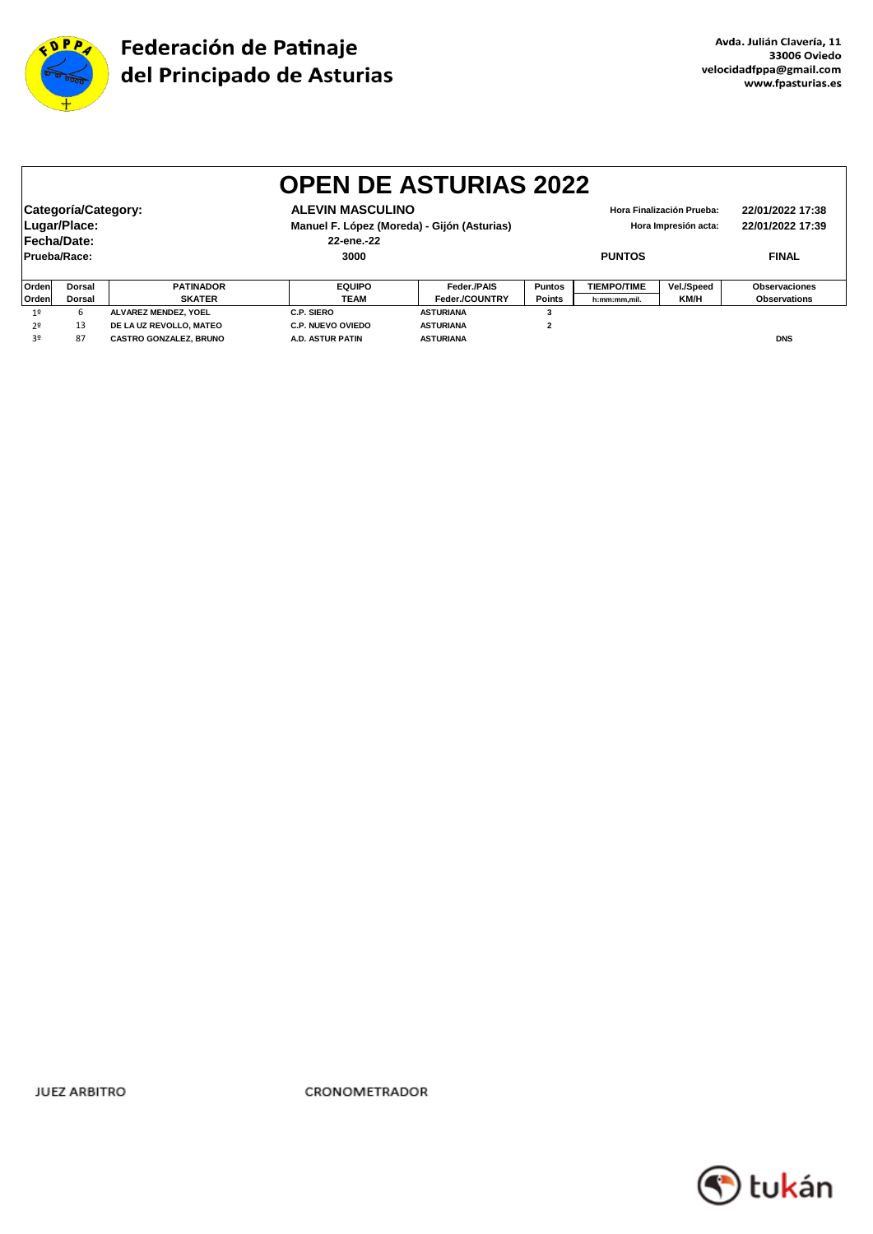

|                |                                |                               |                          | <b>OPEN DE ASTURIAS 2022</b>                |               |                    |                                          |                      |  |
|----------------|--------------------------------|-------------------------------|--------------------------|---------------------------------------------|---------------|--------------------|------------------------------------------|----------------------|--|
|                |                                |                               |                          |                                             |               |                    |                                          |                      |  |
|                | Categoría/Category:            |                               | <b>ALEVIN MASCULINO</b>  |                                             |               |                    | Hora Finalización Prueba:                | 22/01/2022 17:38     |  |
|                | Lugar/Place:                   |                               |                          | Manuel F. López (Moreda) - Gijón (Asturias) |               |                    | 22/01/2022 17:39<br>Hora Impresión acta: |                      |  |
|                | Fecha/Date:                    |                               | 22-ene.-22               |                                             |               |                    |                                          |                      |  |
|                | Prueba/Race:                   |                               | 3000                     |                                             | <b>PUNTOS</b> |                    | <b>FINAL</b>                             |                      |  |
| Ordenl         | <b>Dorsal</b>                  | <b>PATINADOR</b>              | <b>EQUIPO</b>            | Feder./PAIS                                 | <b>Puntos</b> | <b>TIEMPO/TIME</b> | Vel./Speed                               | <b>Observaciones</b> |  |
| Orden          | <b>SKATER</b><br><b>Dorsal</b> |                               | <b>TEAM</b>              | Feder./COUNTRY                              | <b>Points</b> | h:mm:mm,mil.       | KM/H                                     | <b>Observations</b>  |  |
| 19             | 6                              | ALVAREZ MENDEZ. YOEL          | <b>C.P. SIERO</b>        | <b>ASTURIANA</b>                            | 3             |                    |                                          |                      |  |
| 2 <sup>0</sup> | 13                             | DE LA UZ REVOLLO, MATEO       | <b>C.P. NUEVO OVIEDO</b> | <b>ASTURIANA</b>                            | $\mathbf{2}$  |                    |                                          |                      |  |
| 3º             | 87                             | <b>CASTRO GONZALEZ, BRUNO</b> | <b>A.D. ASTUR PATIN</b>  | <b>ASTURIANA</b>                            |               |                    |                                          | <b>DNS</b>           |  |

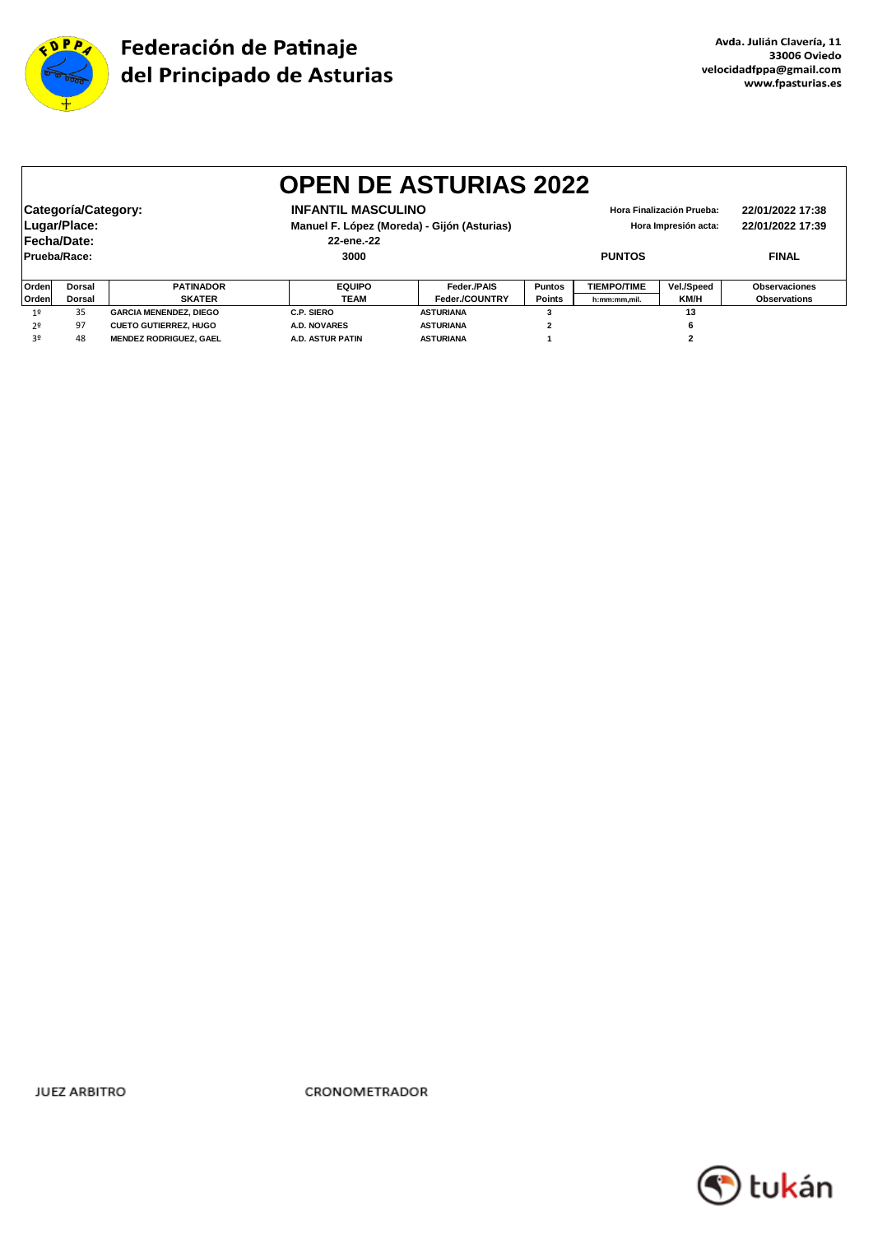

|                | <b>OPEN DE ASTURIAS 2022</b>                                                                                                                                                                                                              |                               |                         |                  |                |                    |              |                     |  |  |
|----------------|-------------------------------------------------------------------------------------------------------------------------------------------------------------------------------------------------------------------------------------------|-------------------------------|-------------------------|------------------|----------------|--------------------|--------------|---------------------|--|--|
|                | <b>INFANTIL MASCULINO</b><br>Categoría/Category:<br>22/01/2022 17:38<br>Hora Finalización Prueba:<br>Lugar/Place:<br>Manuel F. López (Moreda) - Gijón (Asturias)<br>22/01/2022 17:39<br>Hora Impresión acta:<br>Fecha/Date:<br>22-ene.-22 |                               |                         |                  |                |                    |              |                     |  |  |
|                | Prueba/Race:                                                                                                                                                                                                                              |                               | 3000                    | <b>PUNTOS</b>    |                |                    | <b>FINAL</b> |                     |  |  |
| Orden          | <b>Dorsal</b>                                                                                                                                                                                                                             | <b>PATINADOR</b>              | <b>EQUIPO</b>           | Feder./PAIS      | <b>Puntos</b>  | <b>TIEMPO/TIME</b> | Vel./Speed   | Observaciones       |  |  |
| Orden          | <b>Dorsal</b>                                                                                                                                                                                                                             | <b>SKATER</b>                 | <b>TEAM</b>             | Feder./COUNTRY   | <b>Points</b>  | h:mm:mm,mil.       | KM/H         | <b>Observations</b> |  |  |
| 1 <sup>°</sup> | 35<br><b>GARCIA MENENDEZ, DIEGO</b>                                                                                                                                                                                                       |                               | <b>C.P. SIERO</b>       | <b>ASTURIANA</b> |                | 13                 |              |                     |  |  |
| 2 <sup>0</sup> | 97                                                                                                                                                                                                                                        | <b>CUETO GUTIERREZ, HUGO</b>  | <b>A.D. NOVARES</b>     | <b>ASTURIANA</b> | $\overline{2}$ |                    | 6            |                     |  |  |
| 3º             | 48                                                                                                                                                                                                                                        | <b>MENDEZ RODRIGUEZ, GAEL</b> | <b>A.D. ASTUR PATIN</b> | <b>ASTURIANA</b> |                |                    |              |                     |  |  |

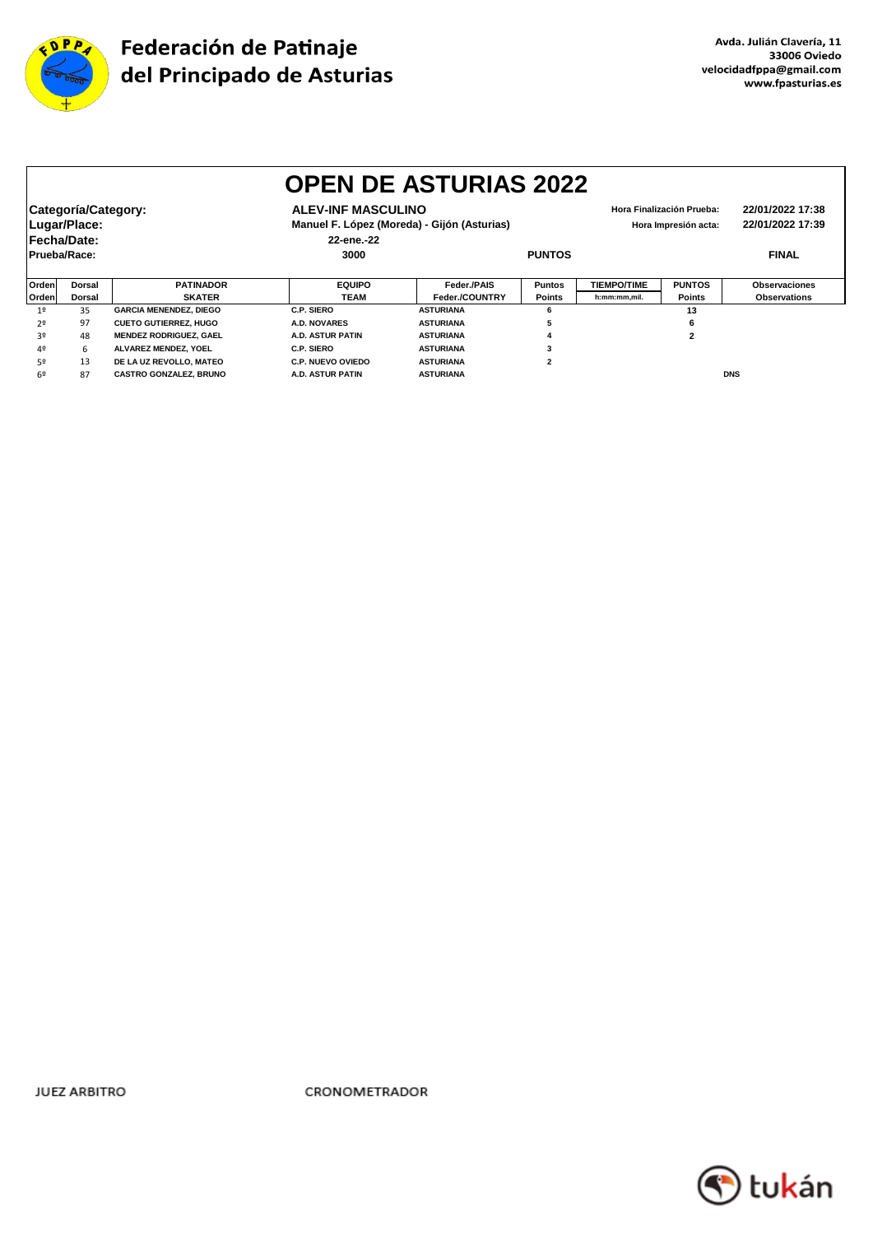

|              | <b>OPEN DE ASTURIAS 2022</b> |                               |                           |                                             |                |                    |                           |                      |  |  |  |
|--------------|------------------------------|-------------------------------|---------------------------|---------------------------------------------|----------------|--------------------|---------------------------|----------------------|--|--|--|
|              | Categoría/Category:          |                               | <b>ALEV-INF MASCULINO</b> |                                             |                |                    | Hora Finalización Prueba: | 22/01/2022 17:38     |  |  |  |
|              | Lugar/Place:                 |                               |                           | Manuel F. López (Moreda) - Gijón (Asturias) |                |                    | Hora Impresión acta:      | 22/01/2022 17:39     |  |  |  |
| Fecha/Date:  |                              |                               | 22-ene.-22                |                                             |                |                    |                           |                      |  |  |  |
| Prueba/Race: |                              |                               | 3000                      |                                             | <b>PUNTOS</b>  |                    |                           | <b>FINAL</b>         |  |  |  |
|              |                              |                               |                           |                                             |                |                    |                           |                      |  |  |  |
| Orden        | <b>Dorsal</b>                | <b>PATINADOR</b>              | <b>EQUIPO</b>             | Feder./PAIS                                 | <b>Puntos</b>  | <b>TIEMPO/TIME</b> | <b>PUNTOS</b>             | <b>Observaciones</b> |  |  |  |
| Orden        | <b>Dorsal</b>                | <b>SKATER</b>                 | TEAM                      | Feder./COUNTRY                              | <b>Points</b>  | h:mm:mm,mil.       | <b>Points</b>             | <b>Observations</b>  |  |  |  |
| 19           | 35                           | <b>GARCIA MENENDEZ, DIEGO</b> | C.P. SIERO                | <b>ASTURIANA</b>                            | 6              |                    | 13                        |                      |  |  |  |
| 2º           | 97                           | <b>CUETO GUTIERREZ, HUGO</b>  | A.D. NOVARES              | <b>ASTURIANA</b>                            | э              |                    | 6                         |                      |  |  |  |
| 3º           | 48                           | <b>MENDEZ RODRIGUEZ, GAEL</b> | A.D. ASTUR PATIN          | <b>ASTURIANA</b>                            |                |                    | 2                         |                      |  |  |  |
| 40           | 6                            | ALVAREZ MENDEZ, YOEL          | C.P. SIERO                | <b>ASTURIANA</b>                            |                |                    |                           |                      |  |  |  |
| 50           | 13                           | DE LA UZ REVOLLO, MATEO       | <b>C.P. NUEVO OVIEDO</b>  | <b>ASTURIANA</b>                            | $\overline{2}$ |                    |                           |                      |  |  |  |
| 6º           | 87                           | <b>CASTRO GONZALEZ, BRUNO</b> | A.D. ASTUR PATIN          | <b>ASTURIANA</b>                            |                |                    |                           | <b>DNS</b>           |  |  |  |

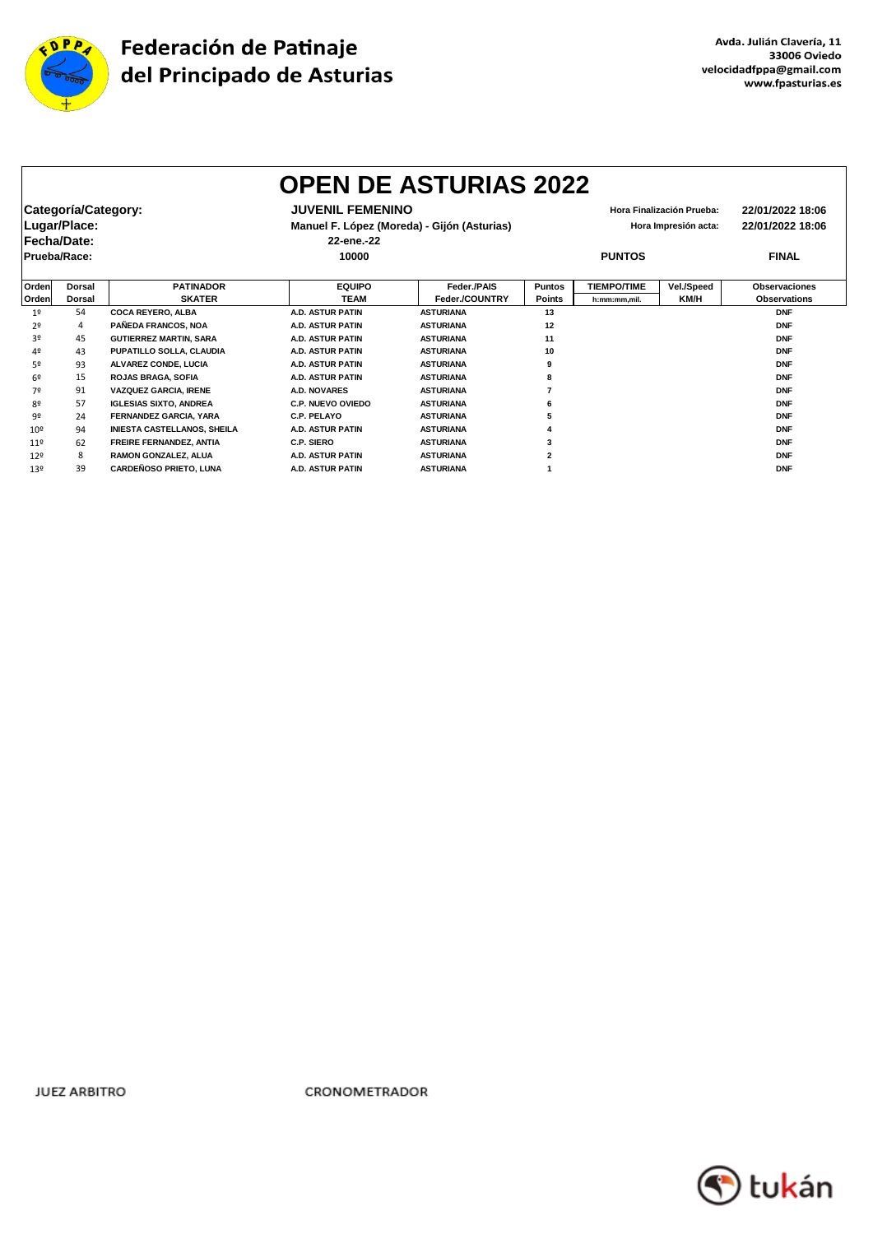

 $\mathsf{r}$ 

٦

|                 |                     |                                    |                          | <b>OPEN DE ASTURIAS 2022</b>                |               |                    |                           |                      |
|-----------------|---------------------|------------------------------------|--------------------------|---------------------------------------------|---------------|--------------------|---------------------------|----------------------|
|                 | Categoría/Category: |                                    | <b>JUVENIL FEMENINO</b>  |                                             |               |                    | Hora Finalización Prueba: | 22/01/2022 18:06     |
|                 | Lugar/Place:        |                                    |                          | Manuel F. López (Moreda) - Gijón (Asturias) |               |                    | Hora Impresión acta:      | 22/01/2022 18:06     |
| Fecha/Date:     |                     |                                    | 22-ene.-22               |                                             |               |                    |                           |                      |
| Prueba/Race:    |                     |                                    | 10000                    |                                             | <b>PUNTOS</b> |                    |                           | <b>FINAL</b>         |
| Orden           | <b>Dorsal</b>       | <b>PATINADOR</b>                   | <b>EQUIPO</b>            | Feder./PAIS                                 | <b>Puntos</b> | <b>TIEMPO/TIME</b> | Vel./Speed                | <b>Observaciones</b> |
| Orden           | Dorsal              | <b>SKATER</b>                      | <b>TEAM</b>              | Feder./COUNTRY                              | <b>Points</b> | h:mm:mm.mil.       | KM/H                      | <b>Observations</b>  |
| 1 <sup>°</sup>  | 54                  | <b>COCA REYERO, ALBA</b>           | <b>A.D. ASTUR PATIN</b>  | <b>ASTURIANA</b>                            | 13            |                    |                           | <b>DNF</b>           |
| 2º              | 4                   | PAÑEDA FRANCOS, NOA                | <b>A.D. ASTUR PATIN</b>  | <b>ASTURIANA</b>                            | 12            |                    |                           | <b>DNF</b>           |
| 30              | 45                  | <b>GUTIERREZ MARTIN, SARA</b>      | <b>A.D. ASTUR PATIN</b>  | <b>ASTURIANA</b>                            | 11            |                    |                           | <b>DNF</b>           |
| 4º              | 43                  | PUPATILLO SOLLA, CLAUDIA           | <b>A.D. ASTUR PATIN</b>  | <b>ASTURIANA</b>                            | 10            |                    |                           | <b>DNF</b>           |
| 52              | 93                  | <b>ALVAREZ CONDE, LUCIA</b>        | <b>A.D. ASTUR PATIN</b>  | <b>ASTURIANA</b>                            | 9             |                    |                           | <b>DNF</b>           |
| 69              | 15                  | <b>ROJAS BRAGA, SOFIA</b>          | <b>A.D. ASTUR PATIN</b>  | <b>ASTURIANA</b>                            |               |                    |                           | <b>DNF</b>           |
| 7º              | 91                  | <b>VAZQUEZ GARCIA, IRENE</b>       | <b>A.D. NOVARES</b>      | <b>ASTURIANA</b>                            |               |                    |                           | <b>DNF</b>           |
| 80              | 57                  | <b>IGLESIAS SIXTO, ANDREA</b>      | <b>C.P. NUEVO OVIEDO</b> | <b>ASTURIANA</b>                            |               |                    |                           | <b>DNF</b>           |
| 92              | 24                  | <b>FERNANDEZ GARCIA, YARA</b>      | C.P. PELAYO              | <b>ASTURIANA</b>                            |               |                    |                           | <b>DNF</b>           |
| 10 <sup>°</sup> | 94                  | <b>INIESTA CASTELLANOS, SHEILA</b> | <b>A.D. ASTUR PATIN</b>  | <b>ASTURIANA</b>                            |               |                    |                           | <b>DNF</b>           |
| 119             | 62                  | FREIRE FERNANDEZ, ANTIA            | C.P. SIERO               | <b>ASTURIANA</b>                            |               |                    |                           | <b>DNF</b>           |
| 129             | 8                   | RAMON GONZALEZ, ALUA               | <b>A.D. ASTUR PATIN</b>  | <b>ASTURIANA</b>                            |               |                    |                           | <b>DNF</b>           |
| 139             | 39                  | <b>CARDEÑOSO PRIETO, LUNA</b>      | <b>A.D. ASTUR PATIN</b>  | <b>ASTURIANA</b>                            |               |                    |                           | <b>DNF</b>           |
|                 |                     |                                    |                          |                                             |               |                    |                           |                      |

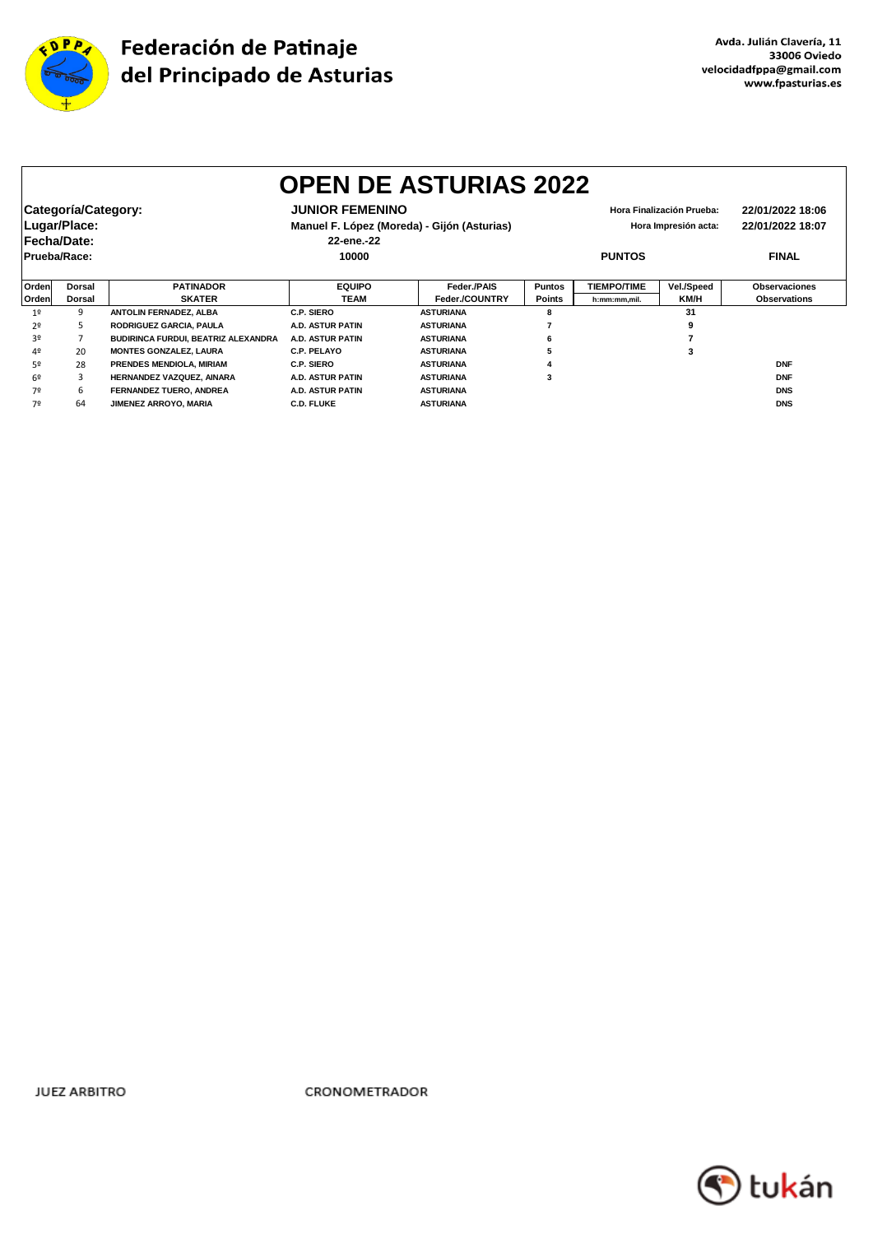

|                     | <b>OPEN DE ASTURIAS 2022</b> |                                     |                                             |                  |               |                    |                           |                      |  |  |
|---------------------|------------------------------|-------------------------------------|---------------------------------------------|------------------|---------------|--------------------|---------------------------|----------------------|--|--|
| Categoría/Category: |                              |                                     | <b>JUNIOR FEMENINO</b>                      |                  |               |                    | Hora Finalización Prueba: | 22/01/2022 18:06     |  |  |
| Lugar/Place:        |                              |                                     | Manuel F. López (Moreda) - Gijón (Asturias) |                  |               |                    | Hora Impresión acta:      | 22/01/2022 18:07     |  |  |
| Fecha/Date:         |                              |                                     | 22-ene.-22                                  |                  |               |                    |                           |                      |  |  |
| Prueba/Race:        |                              |                                     | 10000                                       |                  |               | <b>PUNTOS</b>      |                           | <b>FINAL</b>         |  |  |
|                     |                              |                                     |                                             |                  |               |                    |                           |                      |  |  |
| Orden               | Dorsal                       | <b>PATINADOR</b>                    | <b>EQUIPO</b>                               | Feder./PAIS      | <b>Puntos</b> | <b>TIEMPO/TIME</b> | Vel./Speed                | <b>Observaciones</b> |  |  |
| Orden               | <b>Dorsal</b>                | <b>SKATER</b>                       | TEAM                                        | Feder./COUNTRY   | Points        | h:mm:mm.mil.       | KM/H                      | <b>Observations</b>  |  |  |
| 1 <sup>°</sup>      | 9                            | ANTOLIN FERNADEZ, ALBA              | C.P. SIERO                                  | <b>ASTURIANA</b> | 8             |                    | 31                        |                      |  |  |
| 2º                  | 5.                           | <b>RODRIGUEZ GARCIA, PAULA</b>      | <b>A.D. ASTUR PATIN</b>                     | <b>ASTURIANA</b> |               |                    |                           |                      |  |  |
| 30                  |                              | BUDIRINCA FURDUI, BEATRIZ ALEXANDRA | A.D. ASTUR PATIN                            | <b>ASTURIANA</b> |               |                    |                           |                      |  |  |
| 4º                  | 20                           | <b>MONTES GONZALEZ, LAURA</b>       | C.P. PELAYO                                 | <b>ASTURIANA</b> |               |                    |                           |                      |  |  |
| 52                  | 28                           | PRENDES MENDIOLA, MIRIAM            | C.P. SIERO                                  | <b>ASTURIANA</b> |               |                    |                           | <b>DNF</b>           |  |  |
| 62                  | 3                            | HERNANDEZ VAZQUEZ, AINARA           | <b>A.D. ASTUR PATIN</b>                     | <b>ASTURIANA</b> | 3             |                    |                           | <b>DNF</b>           |  |  |
| 7º                  | 6                            | FERNANDEZ TUERO, ANDREA             | <b>A.D. ASTUR PATIN</b>                     | <b>ASTURIANA</b> |               |                    |                           | <b>DNS</b>           |  |  |
| 70                  | 64                           | JIMENEZ ARROYO, MARIA               | <b>C.D. FLUKE</b>                           | <b>ASTURIANA</b> |               |                    |                           | <b>DNS</b>           |  |  |

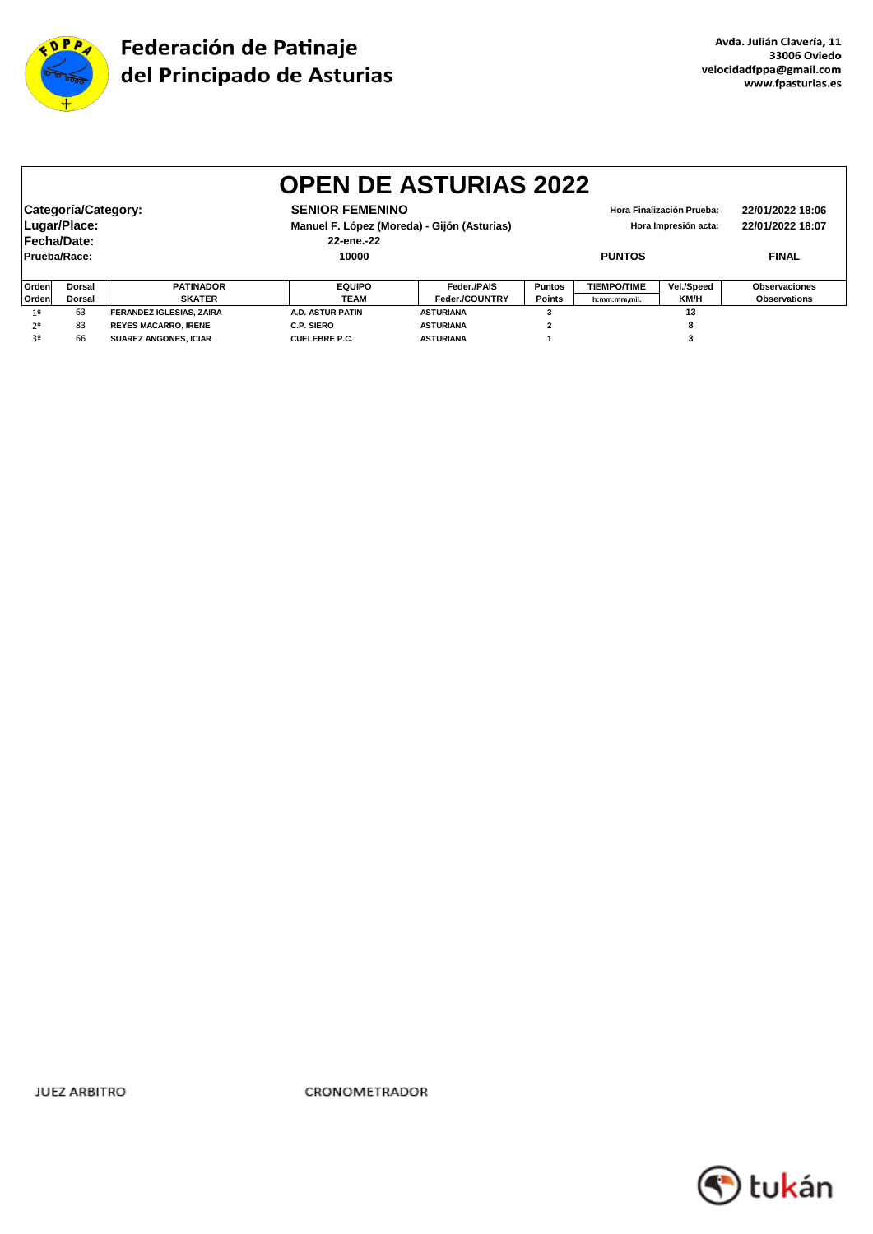

|                                                                                                                                           | <b>OPEN DE ASTURIAS 2022</b> |                                 |                         |                  |                                                   |                    |            |                                      |  |  |
|-------------------------------------------------------------------------------------------------------------------------------------------|------------------------------|---------------------------------|-------------------------|------------------|---------------------------------------------------|--------------------|------------|--------------------------------------|--|--|
| Categoría/Category:<br><b>SENIOR FEMENINO</b><br>Lugar/Place:<br>Manuel F. López (Moreda) - Gijón (Asturias)<br>Fecha/Date:<br>22-ene.-22 |                              |                                 |                         |                  | Hora Finalización Prueba:<br>Hora Impresión acta: |                    |            | 22/01/2022 18:06<br>22/01/2022 18:07 |  |  |
| Prueba/Race:                                                                                                                              |                              |                                 | 10000                   |                  | <b>PUNTOS</b>                                     |                    |            | <b>FINAL</b>                         |  |  |
| Orden                                                                                                                                     | <b>Dorsal</b>                | <b>PATINADOR</b>                | <b>EQUIPO</b>           | Feder./PAIS      | <b>Puntos</b>                                     | <b>TIEMPO/TIME</b> | Vel./Speed | <b>Observaciones</b>                 |  |  |
| Orden                                                                                                                                     | <b>Dorsal</b>                | <b>SKATER</b>                   | <b>TEAM</b>             | Feder./COUNTRY   | <b>Points</b>                                     | h:mm:mm,mil.       | KM/H       | <b>Observations</b>                  |  |  |
| 1 <sup>°</sup>                                                                                                                            | 63                           | <b>FERANDEZ IGLESIAS, ZAIRA</b> | <b>A.D. ASTUR PATIN</b> | <b>ASTURIANA</b> |                                                   |                    | 13         |                                      |  |  |
| 2 <sup>0</sup>                                                                                                                            | 83                           | <b>REYES MACARRO, IRENE</b>     | C.P. SIERO              | <b>ASTURIANA</b> | $\overline{2}$                                    |                    | 8          |                                      |  |  |
| 3º                                                                                                                                        | 66                           | <b>SUAREZ ANGONES, ICIAR</b>    | <b>CUELEBRE P.C.</b>    | <b>ASTURIANA</b> |                                                   |                    |            |                                      |  |  |

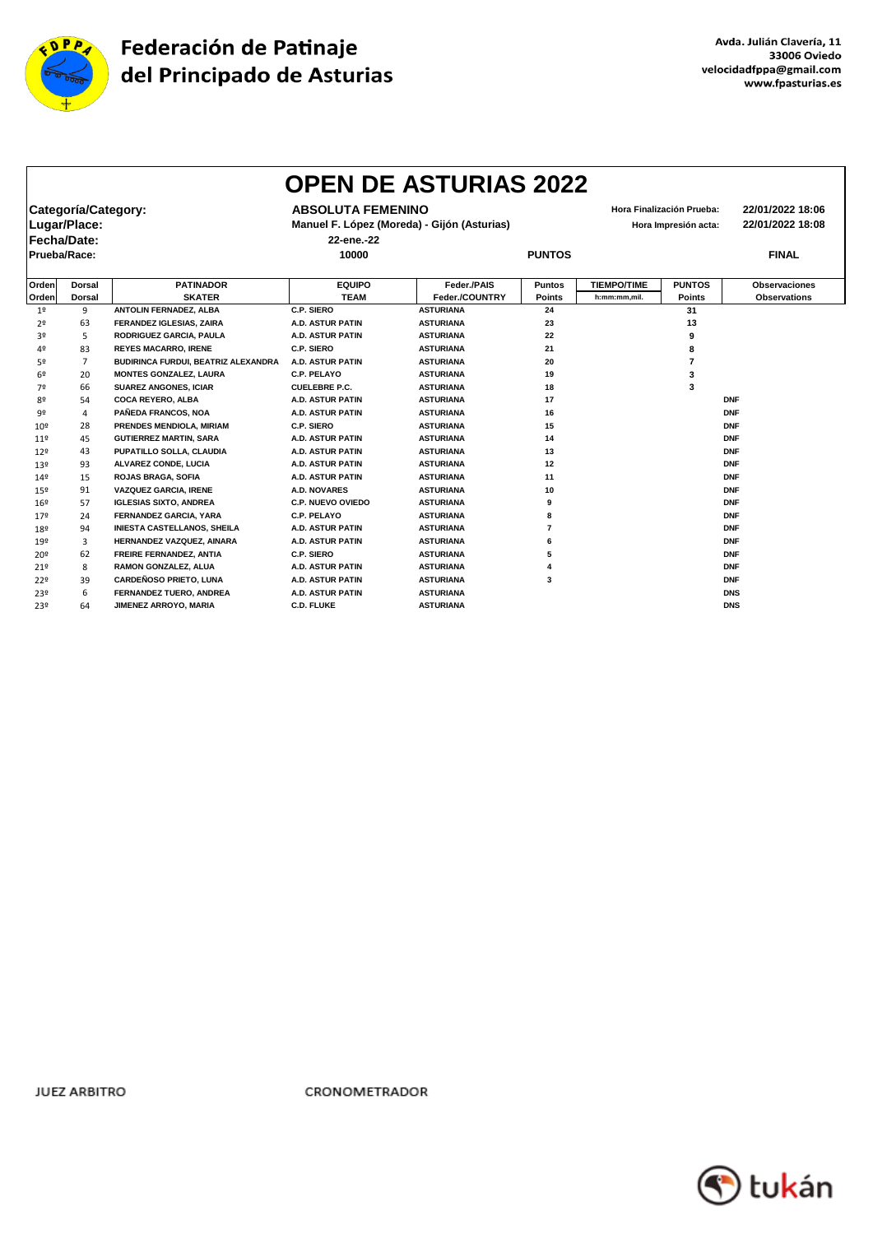

|                 |                     |                                     |                          | <b>OPEN DE ASTURIAS 2022</b>                |               |                    |                           |                      |
|-----------------|---------------------|-------------------------------------|--------------------------|---------------------------------------------|---------------|--------------------|---------------------------|----------------------|
|                 | Categoría/Category: |                                     | <b>ABSOLUTA FEMENINO</b> |                                             |               |                    | Hora Finalización Prueba: | 22/01/2022 18:06     |
|                 | Lugar/Place:        |                                     |                          | Manuel F. López (Moreda) - Gijón (Asturias) |               |                    | Hora Impresión acta:      | 22/01/2022 18:08     |
|                 | Fecha/Date:         |                                     | 22-ene.-22               |                                             |               |                    |                           |                      |
|                 |                     |                                     |                          |                                             |               |                    |                           | <b>FINAL</b>         |
| Prueba/Race:    |                     |                                     | 10000                    |                                             | <b>PUNTOS</b> |                    |                           |                      |
| Orden           | <b>Dorsal</b>       | <b>PATINADOR</b>                    | <b>EQUIPO</b>            | Feder./PAIS                                 | <b>Puntos</b> | <b>TIEMPO/TIME</b> | <b>PUNTOS</b>             | <b>Observaciones</b> |
| Orden           | <b>Dorsal</b>       | <b>SKATER</b>                       | <b>TEAM</b>              | Feder./COUNTRY                              | Points        | h:mm:mm,mil.       | <b>Points</b>             | <b>Observations</b>  |
| 1 <sup>°</sup>  | 9                   | ANTOLIN FERNADEZ, ALBA              | C.P. SIERO               | <b>ASTURIANA</b>                            | 24            |                    | 31                        |                      |
| 2 <sup>o</sup>  | 63                  | FERANDEZ IGLESIAS, ZAIRA            | <b>A.D. ASTUR PATIN</b>  | <b>ASTURIANA</b>                            | 23            |                    | 13                        |                      |
| 3º              | 5                   | RODRIGUEZ GARCIA, PAULA             | <b>A.D. ASTUR PATIN</b>  | <b>ASTURIANA</b>                            | 22            |                    | 9                         |                      |
| 4º              | 83                  | <b>REYES MACARRO, IRENE</b>         | C.P. SIERO               | <b>ASTURIANA</b>                            | 21            |                    | 8                         |                      |
| 52              | $\overline{7}$      | BUDIRINCA FURDUI, BEATRIZ ALEXANDRA | <b>A.D. ASTUR PATIN</b>  | <b>ASTURIANA</b>                            | 20            |                    | $\overline{7}$            |                      |
| 6º              | 20                  | <b>MONTES GONZALEZ, LAURA</b>       | <b>C.P. PELAYO</b>       | <b>ASTURIANA</b>                            | 19            |                    | 3                         |                      |
| 7º              | 66                  | <b>SUAREZ ANGONES, ICIAR</b>        | <b>CUELEBRE P.C.</b>     | <b>ASTURIANA</b>                            | 18            |                    | 3                         |                      |
| 80              | 54                  | <b>COCA REYERO, ALBA</b>            | <b>A.D. ASTUR PATIN</b>  | <b>ASTURIANA</b>                            | 17            |                    |                           | <b>DNF</b>           |
| 92              | 4                   | PAÑEDA FRANCOS, NOA                 | <b>A.D. ASTUR PATIN</b>  | <b>ASTURIANA</b>                            | 16            |                    |                           | <b>DNF</b>           |
| 10 <sup>9</sup> | 28                  | PRENDES MENDIOLA, MIRIAM            | C.P. SIERO               | <b>ASTURIANA</b>                            | 15            |                    |                           | <b>DNF</b>           |
| 119             | 45                  | <b>GUTIERREZ MARTIN, SARA</b>       | <b>A.D. ASTUR PATIN</b>  | <b>ASTURIANA</b>                            | 14            |                    |                           | <b>DNF</b>           |
| 129             | 43                  | PUPATILLO SOLLA, CLAUDIA            | <b>A.D. ASTUR PATIN</b>  | <b>ASTURIANA</b>                            | 13            |                    |                           | <b>DNF</b>           |
| 13º             | 93                  | ALVAREZ CONDE, LUCIA                | <b>A.D. ASTUR PATIN</b>  | <b>ASTURIANA</b>                            | 12            |                    |                           | <b>DNF</b>           |
| 149             | 15                  | <b>ROJAS BRAGA, SOFIA</b>           | <b>A.D. ASTUR PATIN</b>  | <b>ASTURIANA</b>                            | 11            |                    |                           | <b>DNF</b>           |
| 15º             | 91                  | <b>VAZQUEZ GARCIA, IRENE</b>        | <b>A.D. NOVARES</b>      | <b>ASTURIANA</b>                            | 10            |                    |                           | <b>DNF</b>           |
| 16 <sup>°</sup> | 57                  | <b>IGLESIAS SIXTO, ANDREA</b>       | <b>C.P. NUEVO OVIEDO</b> | <b>ASTURIANA</b>                            | 9             |                    |                           | <b>DNF</b>           |
| 179             | 24                  | FERNANDEZ GARCIA, YARA              | <b>C.P. PELAYO</b>       | <b>ASTURIANA</b>                            | 8             |                    |                           | <b>DNF</b>           |
| 18º             | 94                  | <b>INIESTA CASTELLANOS, SHEILA</b>  | <b>A.D. ASTUR PATIN</b>  | <b>ASTURIANA</b>                            | 7             |                    |                           | <b>DNF</b>           |
| 19º             | 3                   | HERNANDEZ VAZQUEZ, AINARA           | <b>A.D. ASTUR PATIN</b>  | <b>ASTURIANA</b>                            | 6             |                    |                           | <b>DNF</b>           |
| 20 <sup>9</sup> | 62                  | <b>FREIRE FERNANDEZ, ANTIA</b>      | C.P. SIERO               | <b>ASTURIANA</b>                            | 5             |                    |                           | <b>DNF</b>           |
| 219             | 8                   | RAMON GONZALEZ, ALUA                | <b>A.D. ASTUR PATIN</b>  | <b>ASTURIANA</b>                            |               |                    |                           | <b>DNF</b>           |
| 22º             | 39                  | <b>CARDEÑOSO PRIETO, LUNA</b>       | <b>A.D. ASTUR PATIN</b>  | <b>ASTURIANA</b>                            | 3             |                    |                           | <b>DNF</b>           |
| 23º             | 6                   | FERNANDEZ TUERO, ANDREA             | <b>A.D. ASTUR PATIN</b>  | <b>ASTURIANA</b>                            |               |                    |                           | <b>DNS</b>           |
| 23º             | 64                  | JIMENEZ ARROYO, MARIA               | <b>C.D. FLUKE</b>        | <b>ASTURIANA</b>                            |               |                    |                           | <b>DNS</b>           |

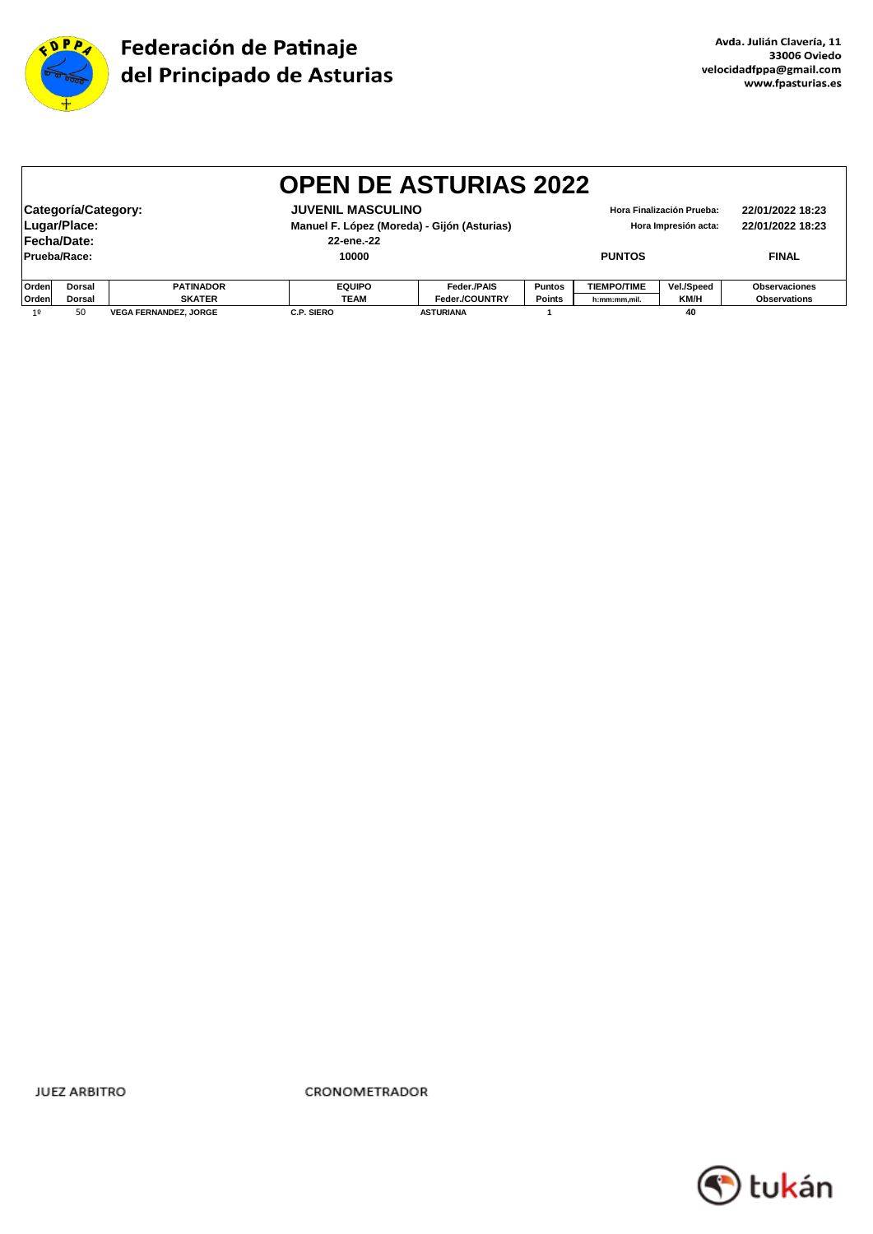

|                                                   | <b>OPEN DE ASTURIAS 2022</b>                                                                                                                |                              |                   |                  |                                                   |               |                      |                                      |  |
|---------------------------------------------------|---------------------------------------------------------------------------------------------------------------------------------------------|------------------------------|-------------------|------------------|---------------------------------------------------|---------------|----------------------|--------------------------------------|--|
|                                                   | Categoría/Category:<br><b>JUVENIL MASCULINO</b><br>Lugar/Place:<br>Manuel F. López (Moreda) - Gijón (Asturias)<br>Fecha/Date:<br>22-ene.-22 |                              |                   |                  | Hora Finalización Prueba:<br>Hora Impresión acta: |               |                      | 22/01/2022 18:23<br>22/01/2022 18:23 |  |
| Prueba/Race:                                      |                                                                                                                                             |                              | 10000             |                  |                                                   | <b>PUNTOS</b> |                      | <b>FINAL</b>                         |  |
| <b>Orden</b><br><b>PATINADOR</b><br><b>Dorsal</b> |                                                                                                                                             | <b>EQUIPO</b>                | Feder./PAIS       | <b>Puntos</b>    | <b>TIEMPO/TIME</b>                                | Vel./Speed    | <b>Observaciones</b> |                                      |  |
| Orden                                             | <b>Points</b><br><b>SKATER</b><br><b>TEAM</b><br>Feder./COUNTRY<br>KM/H<br><b>Dorsal</b><br>h:mm:mm,mil.                                    |                              |                   |                  | <b>Observations</b>                               |               |                      |                                      |  |
| 19                                                | 50                                                                                                                                          | <b>VEGA FERNANDEZ. JORGE</b> | <b>C.P. SIERO</b> | <b>ASTURIANA</b> |                                                   |               | 40                   |                                      |  |

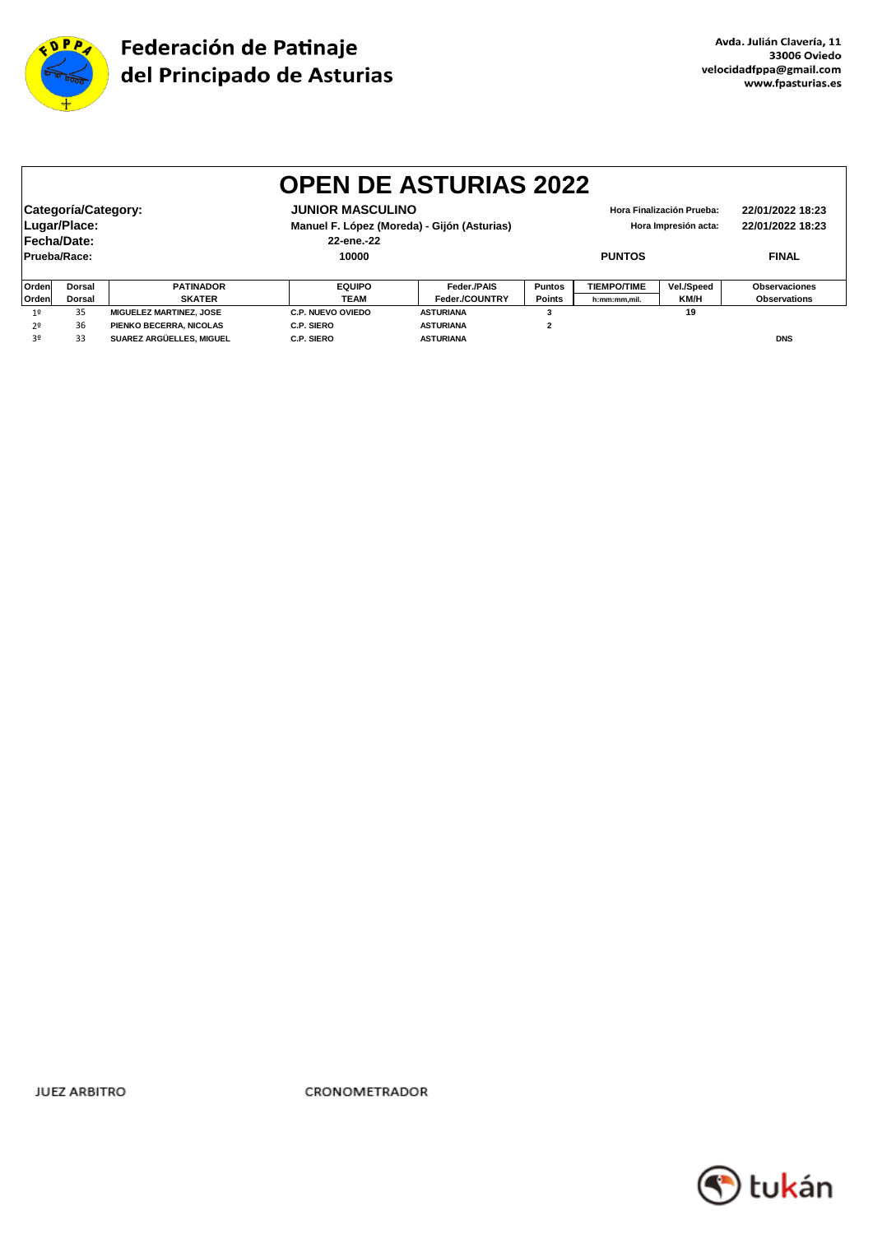

|                                                | <b>OPEN DE ASTURIAS 2022</b> |                                |                          |                                             |                |                           |                      |                      |  |  |
|------------------------------------------------|------------------------------|--------------------------------|--------------------------|---------------------------------------------|----------------|---------------------------|----------------------|----------------------|--|--|
|                                                |                              |                                |                          |                                             |                |                           |                      |                      |  |  |
| Categoría/Category:<br><b>JUNIOR MASCULINO</b> |                              |                                |                          |                                             |                | Hora Finalización Prueba: | 22/01/2022 18:23     |                      |  |  |
|                                                | Lugar/Place:                 |                                |                          | Manuel F. López (Moreda) - Gijón (Asturias) |                |                           | Hora Impresión acta: | 22/01/2022 18:23     |  |  |
| Fecha/Date:                                    |                              |                                | 22-ene.-22               |                                             |                |                           |                      |                      |  |  |
| Prueba/Race:                                   |                              |                                | 10000                    |                                             | <b>PUNTOS</b>  |                           |                      | <b>FINAL</b>         |  |  |
|                                                |                              |                                |                          |                                             |                |                           |                      |                      |  |  |
| Ordenl                                         | Dorsal                       | <b>PATINADOR</b>               | <b>EQUIPO</b>            | Feder./PAIS                                 | <b>Puntos</b>  | <b>TIEMPO/TIME</b>        | Vel./Speed           | <b>Observaciones</b> |  |  |
| Orden                                          | <b>Dorsal</b>                | <b>SKATER</b>                  | <b>TEAM</b>              | Feder./COUNTRY                              | <b>Points</b>  | h:mm:mm,mil.              | KM/H                 | <b>Observations</b>  |  |  |
| 1 <sup>°</sup>                                 | 35                           | <b>MIGUELEZ MARTINEZ, JOSE</b> | <b>C.P. NUEVO OVIEDO</b> | <b>ASTURIANA</b>                            |                |                           | 19                   |                      |  |  |
| 2 <sup>0</sup>                                 | 36                           | PIENKO BECERRA, NICOLAS        | C.P. SIERO               | <b>ASTURIANA</b>                            | $\overline{2}$ |                           |                      |                      |  |  |
| 3º                                             | 33                           | SUAREZ ARGÜELLES, MIGUEL       | C.P. SIERO               | <b>ASTURIANA</b>                            |                |                           |                      | <b>DNS</b>           |  |  |

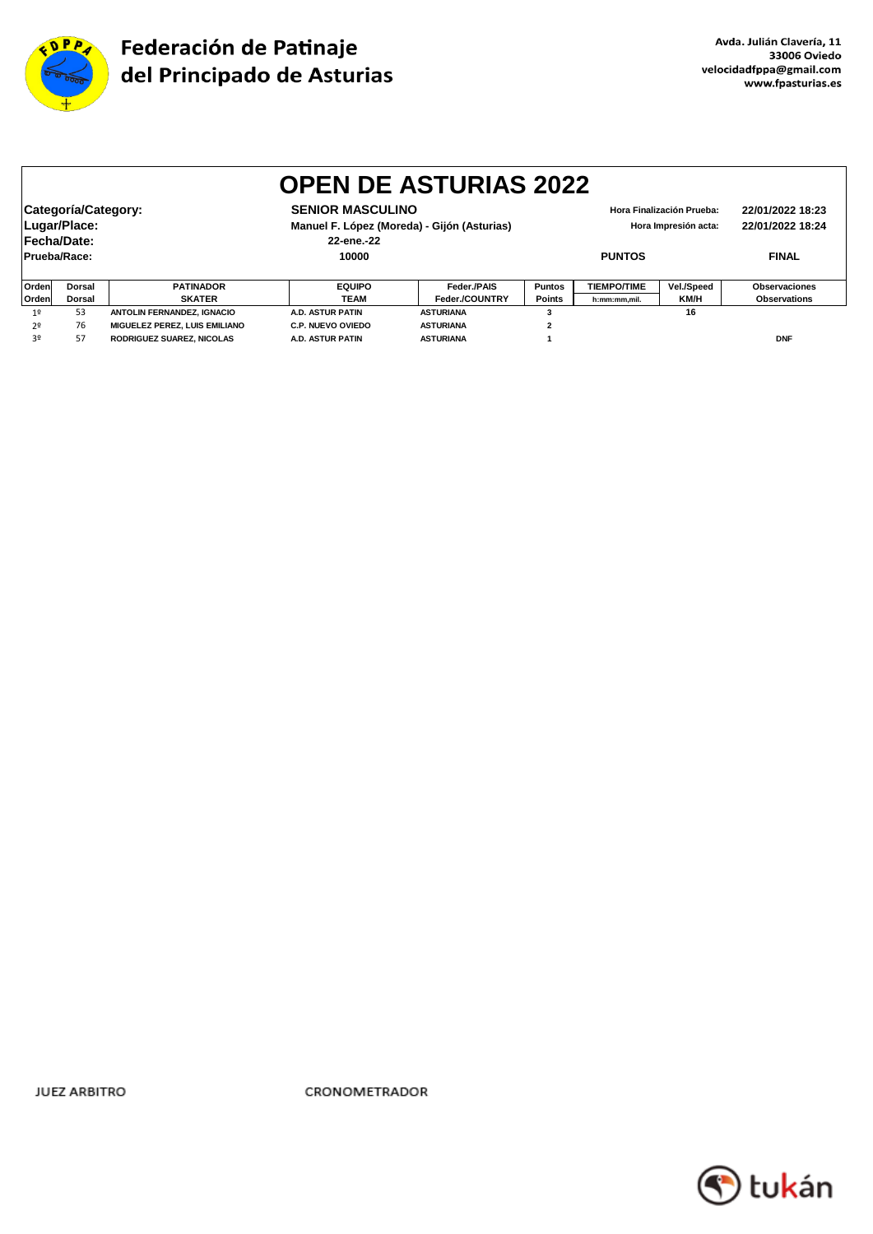

|              | <b>OPEN DE ASTURIAS 2022</b>                   |                                   |                          |                                             |                |                           |                      |                      |  |  |
|--------------|------------------------------------------------|-----------------------------------|--------------------------|---------------------------------------------|----------------|---------------------------|----------------------|----------------------|--|--|
|              |                                                |                                   |                          |                                             |                |                           |                      |                      |  |  |
|              | <b>SENIOR MASCULINO</b><br>Categoría/Category: |                                   |                          |                                             |                | Hora Finalización Prueba: | 22/01/2022 18:23     |                      |  |  |
|              | Lugar/Place:                                   |                                   |                          | Manuel F. López (Moreda) - Gijón (Asturias) |                |                           | Hora Impresión acta: | 22/01/2022 18:24     |  |  |
|              | Fecha/Date:                                    |                                   | 22-ene.-22               |                                             |                |                           |                      |                      |  |  |
| Prueba/Race: |                                                |                                   | 10000                    |                                             | <b>PUNTOS</b>  |                           |                      | <b>FINAL</b>         |  |  |
|              |                                                |                                   |                          |                                             |                |                           |                      |                      |  |  |
| Orden        | <b>Dorsal</b>                                  | <b>PATINADOR</b>                  | <b>EQUIPO</b>            | Feder./PAIS                                 | <b>Puntos</b>  | <b>TIEMPO/TIME</b>        | Vel./Speed           | <b>Observaciones</b> |  |  |
| Orden        | <b>Dorsal</b>                                  | <b>SKATER</b>                     | TEAM                     | Feder./COUNTRY                              | <b>Points</b>  | h:mm:mm,mil.              | KM/H                 | <b>Observations</b>  |  |  |
| 19           | 53                                             | <b>ANTOLIN FERNANDEZ, IGNACIO</b> | A.D. ASTUR PATIN         | <b>ASTURIANA</b>                            | 3              |                           | 16                   |                      |  |  |
| 2º           | 76                                             | MIGUELEZ PEREZ. LUIS EMILIANO     | <b>C.P. NUEVO OVIEDO</b> | <b>ASTURIANA</b>                            | $\overline{2}$ |                           |                      |                      |  |  |
| 3º           | 57                                             | <b>RODRIGUEZ SUAREZ, NICOLAS</b>  | A.D. ASTUR PATIN         | <b>ASTURIANA</b>                            |                |                           |                      | <b>DNF</b>           |  |  |

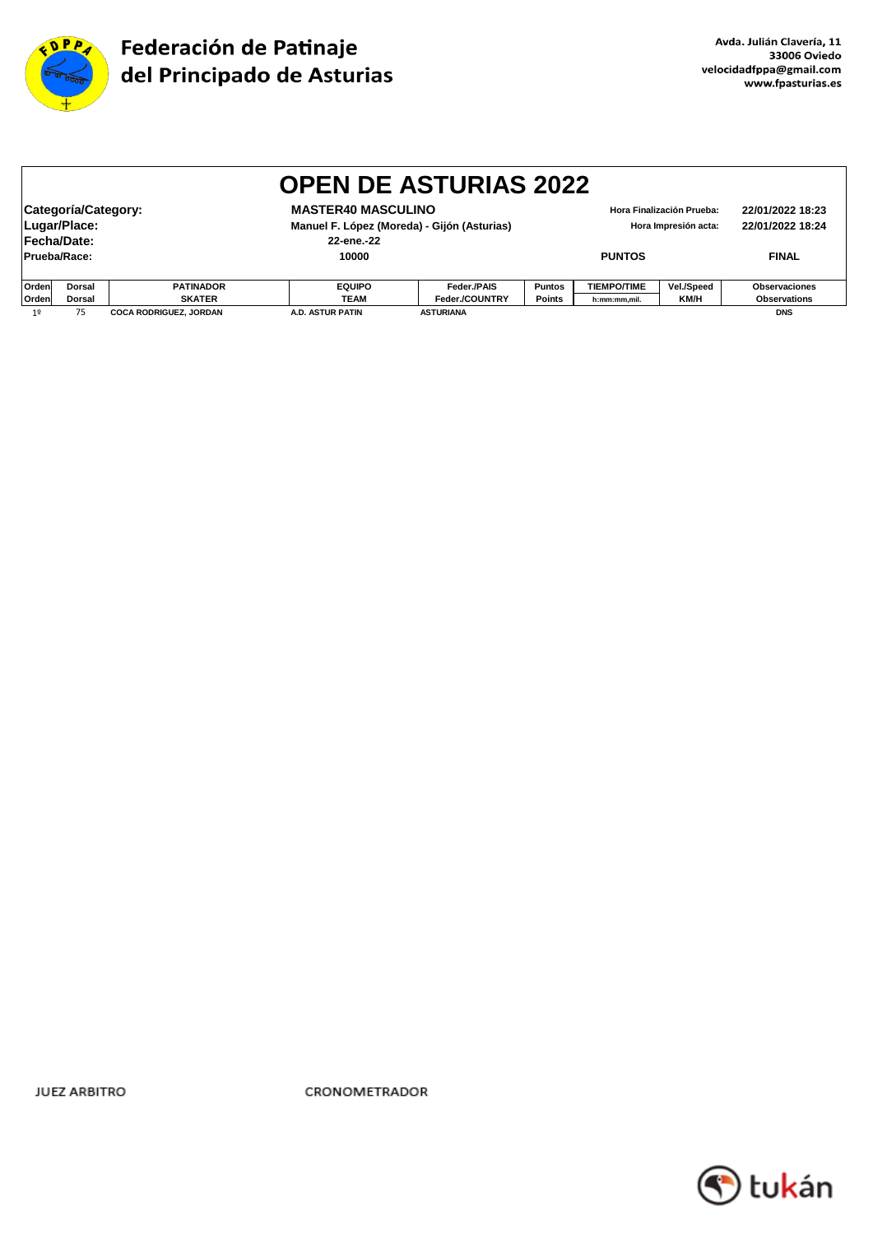

|                | <b>OPEN DE ASTURIAS 2022</b>                                                                                                                 |                               |                  |                  |               |                    |                                                   |                                      |  |  |
|----------------|----------------------------------------------------------------------------------------------------------------------------------------------|-------------------------------|------------------|------------------|---------------|--------------------|---------------------------------------------------|--------------------------------------|--|--|
|                | Categoría/Category:<br><b>MASTER40 MASCULINO</b><br>Lugar/Place:<br>Manuel F. López (Moreda) - Gijón (Asturias)<br>Fecha/Date:<br>22-ene.-22 |                               |                  |                  |               |                    | Hora Finalización Prueba:<br>Hora Impresión acta: | 22/01/2022 18:23<br>22/01/2022 18:24 |  |  |
| Prueba/Race:   |                                                                                                                                              |                               | 10000            |                  |               | <b>PUNTOS</b>      |                                                   | <b>FINAL</b>                         |  |  |
| Orden          | Dorsal                                                                                                                                       | <b>PATINADOR</b>              | <b>EQUIPO</b>    | Feder./PAIS      | <b>Puntos</b> | <b>TIEMPO/TIME</b> | Vel./Speed                                        | Observaciones                        |  |  |
| Orden          | Dorsal                                                                                                                                       | <b>SKATER</b>                 | <b>TEAM</b>      | Feder./COUNTRY   | <b>Points</b> | h:mm:mm,mil.       | KM/H                                              | <b>Observations</b>                  |  |  |
| 1 <sup>°</sup> | 75                                                                                                                                           | <b>COCA RODRIGUEZ, JORDAN</b> | A.D. ASTUR PATIN | <b>ASTURIANA</b> |               |                    |                                                   | <b>DNS</b>                           |  |  |